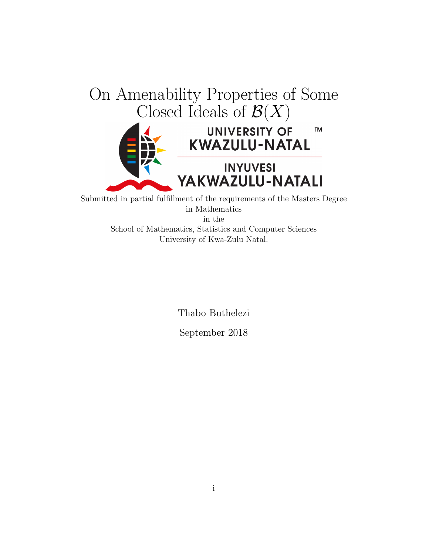

Submitted in partial fulfillment of the requirements of the Masters Degree in Mathematics in the School of Mathematics, Statistics and Computer Sciences University of Kwa-Zulu Natal.

Thabo Buthelezi

September 2018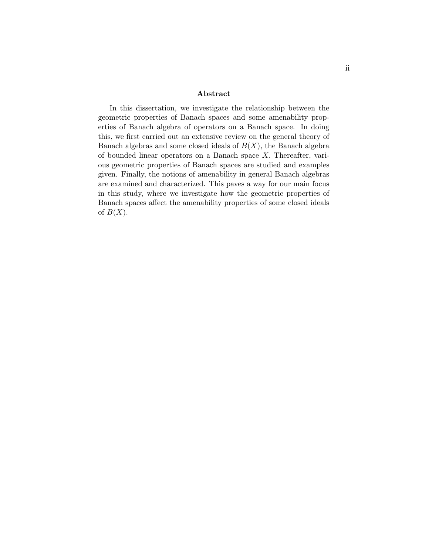#### Abstract

In this dissertation, we investigate the relationship between the geometric properties of Banach spaces and some amenability properties of Banach algebra of operators on a Banach space. In doing this, we first carried out an extensive review on the general theory of Banach algebras and some closed ideals of  $B(X)$ , the Banach algebra of bounded linear operators on a Banach space X. Thereafter, various geometric properties of Banach spaces are studied and examples given. Finally, the notions of amenability in general Banach algebras are examined and characterized. This paves a way for our main focus in this study, where we investigate how the geometric properties of Banach spaces affect the amenability properties of some closed ideals of  $B(X)$ .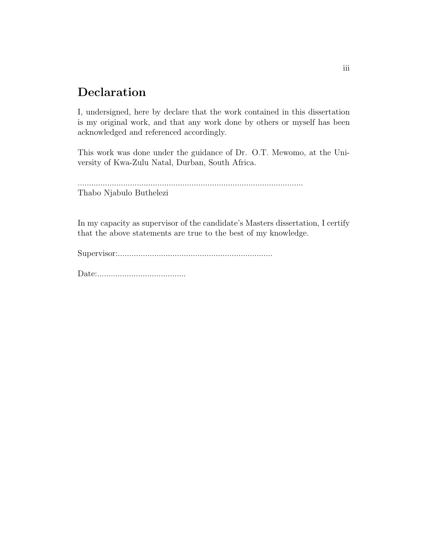# Declaration

I, undersigned, here by declare that the work contained in this dissertation is my original work, and that any work done by others or myself has been acknowledged and referenced accordingly.

This work was done under the guidance of Dr. O.T. Mewomo, at the University of Kwa-Zulu Natal, Durban, South Africa.

................................................................................................... Thabo Njabulo Buthelezi

In my capacity as supervisor of the candidate's Masters dissertation, I certify that the above statements are true to the best of my knowledge.

| $\sim$ |  |  |
|--------|--|--|
|        |  |  |
|        |  |  |
|        |  |  |

Date:.......................................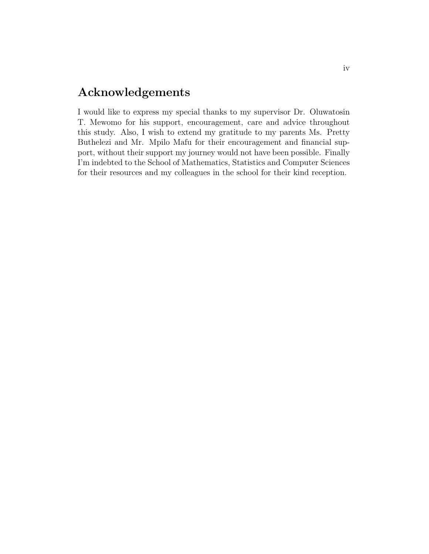## Acknowledgements

I would like to express my special thanks to my supervisor Dr. Oluwatosin T. Mewomo for his support, encouragement, care and advice throughout this study. Also, I wish to extend my gratitude to my parents Ms. Pretty Buthelezi and Mr. Mpilo Mafu for their encouragement and financial support, without their support my journey would not have been possible. Finally I'm indebted to the School of Mathematics, Statistics and Computer Sciences for their resources and my colleagues in the school for their kind reception.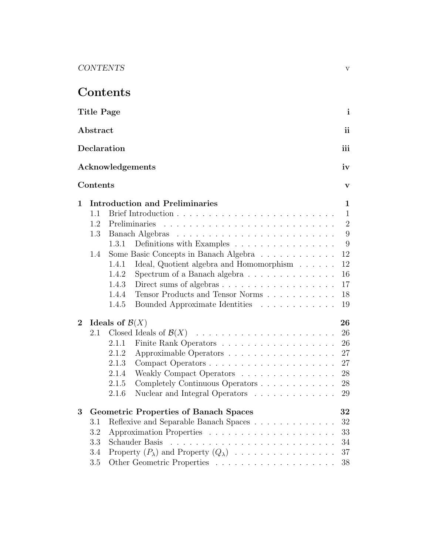CONTENTS v

|          |            | Contents                                                                                                                                |                |
|----------|------------|-----------------------------------------------------------------------------------------------------------------------------------------|----------------|
|          | Title Page |                                                                                                                                         | $\mathbf{i}$   |
|          | Abstract   |                                                                                                                                         | ii             |
|          |            | Declaration                                                                                                                             | iii            |
|          |            | Acknowledgements                                                                                                                        | iv             |
|          | Contents   |                                                                                                                                         | $\mathbf{V}$   |
| 1        |            | <b>Introduction and Preliminaries</b>                                                                                                   | $\mathbf 1$    |
|          | 1.1        |                                                                                                                                         | $\mathbf{1}$   |
|          | 1.2        | Preliminaries<br><u>. A series a la característica a la característica a la característica a la característica a la característica </u> | $\overline{2}$ |
|          | 1.3        | Definitions with Examples<br>1.3.1                                                                                                      | 9<br>9         |
|          | 1.4        | Some Basic Concepts in Banach Algebra                                                                                                   | 12             |
|          |            | Ideal, Quotient algebra and Homomorphism<br>1.4.1                                                                                       | 12             |
|          |            | Spectrum of a Banach algebra $\dots \dots \dots \dots \dots$<br>1.4.2                                                                   | 16             |
|          |            | 1.4.3                                                                                                                                   | 17             |
|          |            | Tensor Products and Tensor Norms<br>1.4.4                                                                                               | 18             |
|          |            | 1.4.5<br>Bounded Approximate Identities                                                                                                 | 19             |
| $\bf{2}$ |            | Ideals of $\mathcal{B}(X)$                                                                                                              | 26             |
|          | 2.1        |                                                                                                                                         | 26             |
|          |            | 2.1.1                                                                                                                                   | 26             |
|          |            | Approximable Operators<br>2.1.2                                                                                                         | 27             |
|          |            | 2.1.3                                                                                                                                   | 27             |
|          |            | 2.1.4<br>Weakly Compact Operators                                                                                                       | 28             |
|          |            | Completely Continuous Operators<br>2.1.5                                                                                                | 28             |
|          |            | Nuclear and Integral Operators $\dots \dots \dots \dots$<br>2.1.6                                                                       | 29             |
| 3        |            | <b>Geometric Properties of Banach Spaces</b>                                                                                            | $\bf{32}$      |
|          | 3.1        | Reflexive and Separable Banach Spaces                                                                                                   | 32             |
|          | 3.2        |                                                                                                                                         |                |
|          | 3.3        | <b>Schauder Basis</b>                                                                                                                   | 34             |
|          | 3.4        | Property $(P_\lambda)$ and Property $(Q_\lambda)$                                                                                       | 37             |
|          | 3.5        |                                                                                                                                         | 38             |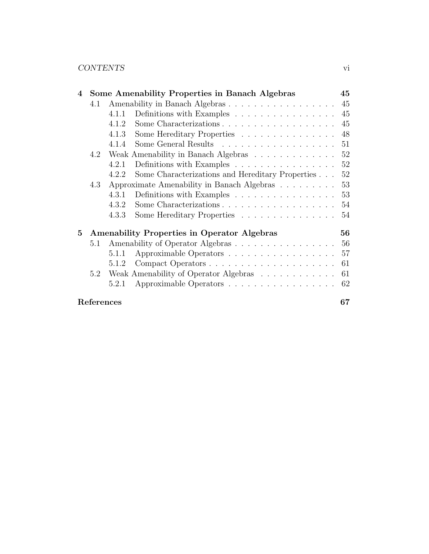| $\boldsymbol{\Lambda}$ | Some Amenability Properties in Banach Algebras |                                                                                |  |  |
|------------------------|------------------------------------------------|--------------------------------------------------------------------------------|--|--|
|                        | 4.1                                            | Amenability in Banach Algebras                                                 |  |  |
|                        |                                                | Definitions with Examples $\dots \dots \dots \dots \dots \dots$<br>45<br>4.1.1 |  |  |
|                        |                                                | 45<br>4.1.2                                                                    |  |  |
|                        |                                                | 48<br>4.1.3<br>Some Hereditary Properties                                      |  |  |
|                        |                                                | 51<br>4.1.4                                                                    |  |  |
|                        | 4.2                                            | Weak Amenability in Banach Algebras<br>52                                      |  |  |
|                        |                                                | Definitions with Examples $\ldots \ldots \ldots \ldots \ldots$<br>52<br>4.2.1  |  |  |
|                        |                                                | Some Characterizations and Hereditary Properties<br>52<br>4.2.2                |  |  |
|                        | 4.3                                            | Approximate Amenability in Banach Algebras<br>53                               |  |  |
|                        |                                                | Definitions with Examples $\ldots \ldots \ldots \ldots \ldots$<br>53<br>4.3.1  |  |  |
|                        |                                                | 54<br>4.3.2                                                                    |  |  |
|                        |                                                | Some Hereditary Properties<br>4.3.3<br>54                                      |  |  |
| 5                      |                                                | <b>Amenability Properties in Operator Algebras</b><br>56                       |  |  |
|                        | 5.1                                            | Amenability of Operator Algebras<br>56                                         |  |  |
|                        |                                                | Approximable Operators<br>57<br>5.1.1                                          |  |  |
|                        |                                                | 61<br>5.1.2                                                                    |  |  |
|                        | 5.2                                            | Weak Amenability of Operator Algebras<br>61                                    |  |  |
|                        |                                                | Approximable Operators<br>62<br>5.2.1                                          |  |  |
|                        | References<br>67                               |                                                                                |  |  |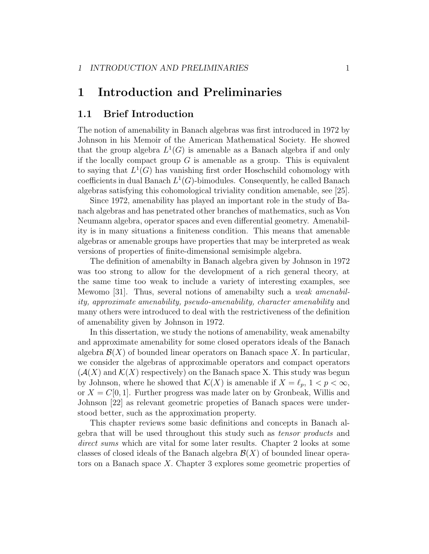## 1 Introduction and Preliminaries

## 1.1 Brief Introduction

The notion of amenability in Banach algebras was first introduced in 1972 by Johnson in his Memoir of the American Mathematical Society. He showed that the group algebra  $L^1(G)$  is amenable as a Banach algebra if and only if the locally compact group  $G$  is amenable as a group. This is equivalent to saying that  $L^1(G)$  has vanishing first order Hoschschild cohomology with coefficients in dual Banach  $L^1(G)$ -bimodules. Consequently, he called Banach algebras satisfying this cohomological triviality condition amenable, see [25].

Since 1972, amenability has played an important role in the study of Banach algebras and has penetrated other branches of mathematics, such as Von Neumann algebra, operator spaces and even differential geometry. Amenability is in many situations a finiteness condition. This means that amenable algebras or amenable groups have properties that may be interpreted as weak versions of properties of finite-dimensional semisimple algebra.

The definition of amenabilty in Banach algebra given by Johnson in 1972 was too strong to allow for the development of a rich general theory, at the same time too weak to include a variety of interesting examples, see Mewomo [31]. Thus, several notions of amenabilty such a weak amenability, approximate amenability, pseudo-amenability, character amenability and many others were introduced to deal with the restrictiveness of the definition of amenability given by Johnson in 1972.

In this dissertation, we study the notions of amenability, weak amenabilty and approximate amenability for some closed operators ideals of the Banach algebra  $\mathcal{B}(X)$  of bounded linear operators on Banach space X. In particular, we consider the algebras of approximable operators and compact operators  $(\mathcal{A}(X)$  and  $\mathcal{K}(X)$  respectively) on the Banach space X. This study was begun by Johnson, where he showed that  $\mathcal{K}(X)$  is amenable if  $X = \ell_p, 1 < p < \infty$ , or  $X = C[0, 1]$ . Further progress was made later on by Gronbeak, Willis and Johnson [22] as relevant geometric propeties of Banach spaces were understood better, such as the approximation property.

This chapter reviews some basic definitions and concepts in Banach algebra that will be used throughout this study such as tensor products and direct sums which are vital for some later results. Chapter 2 looks at some classes of closed ideals of the Banach algebra  $\mathcal{B}(X)$  of bounded linear operators on a Banach space X. Chapter 3 explores some geometric properties of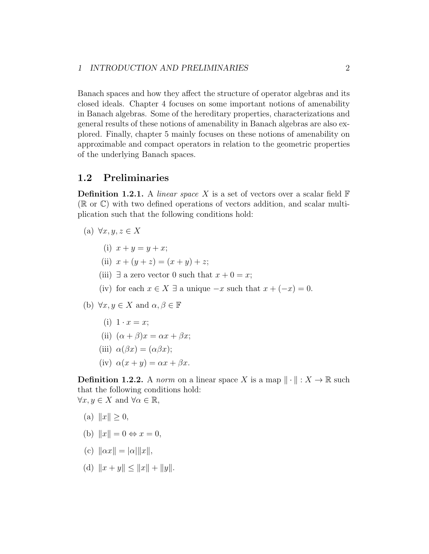Banach spaces and how they affect the structure of operator algebras and its closed ideals. Chapter 4 focuses on some important notions of amenability in Banach algebras. Some of the hereditary properties, characterizations and general results of these notions of amenability in Banach algebras are also explored. Finally, chapter 5 mainly focuses on these notions of amenability on approximable and compact operators in relation to the geometric properties of the underlying Banach spaces.

## 1.2 Preliminaries

**Definition 1.2.1.** A linear space X is a set of vectors over a scalar field  $\mathbb{F}$ (R or C) with two defined operations of vectors addition, and scalar multiplication such that the following conditions hold:

- (a)  $\forall x, y, z \in X$ 
	- (i)  $x + y = y + x$ ;
	- (ii)  $x + (y + z) = (x + y) + z;$
	- (iii)  $\exists$  a zero vector 0 such that  $x + 0 = x$ ;
	- (iv) for each  $x \in X \exists$  a unique  $-x$  such that  $x + (-x) = 0$ .
- (b)  $\forall x, y \in X$  and  $\alpha, \beta \in \mathbb{F}$ 
	- (i)  $1 \cdot x = x$ ;
	- (ii)  $(\alpha + \beta)x = \alpha x + \beta x;$
	- (iii)  $\alpha(\beta x) = (\alpha \beta x);$
	- (iv)  $\alpha(x + y) = \alpha x + \beta x$ .

**Definition 1.2.2.** A norm on a linear space X is a map  $\|\cdot\|: X \to \mathbb{R}$  such that the following conditions hold:  $\forall x, y \in X \text{ and } \forall \alpha \in \mathbb{R},$ 

- (a)  $||x|| > 0$ ,
- (b)  $||x|| = 0 \Leftrightarrow x = 0,$
- (c)  $\|\alpha x\| = |\alpha| \|x\|,$
- (d)  $||x + y|| < ||x|| + ||y||$ .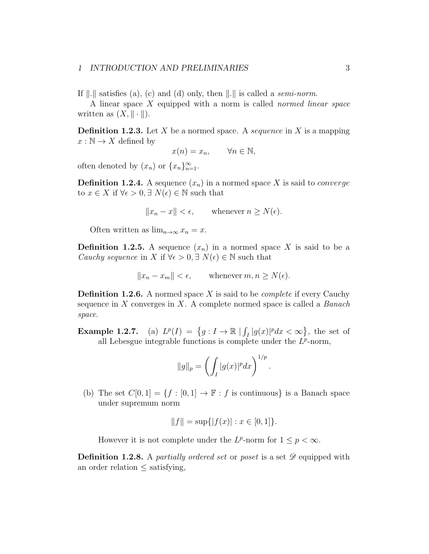If  $\| \cdot \|$  satisfies (a), (c) and (d) only, then  $\| \cdot \|$  is called a *semi-norm*.

A linear space X equipped with a norm is called normed linear space written as  $(X, \|\cdot\|)$ .

**Definition 1.2.3.** Let X be a normed space. A sequence in X is a mapping  $x:\mathbb{N}\to X$  defined by

$$
x(n) = x_n, \qquad \forall n \in \mathbb{N},
$$

often denoted by  $(x_n)$  or  $\{x_n\}_{n=1}^{\infty}$ .

**Definition 1.2.4.** A sequence  $(x_n)$  in a normed space X is said to *converge* to  $x \in X$  if  $\forall \epsilon > 0, \exists N(\epsilon) \in \mathbb{N}$  such that

$$
||x_n - x|| < \epsilon, \qquad \text{whenever } n \ge N(\epsilon).
$$

Often written as  $\lim_{n\to\infty} x_n = x$ .

**Definition 1.2.5.** A sequence  $(x_n)$  in a normed space X is said to be a *Cauchy sequence* in X if  $\forall \epsilon > 0, \exists N(\epsilon) \in \mathbb{N}$  such that

 $||x_n - x_m|| < \epsilon$ , whenever  $m, n \ge N(\epsilon)$ .

**Definition 1.2.6.** A normed space  $X$  is said to be *complete* if every Cauchy sequence in X converges in X. A complete normed space is called a *Banach* space.

**Example 1.2.7.** (a)  $L^p(I) = \{g: I \to \mathbb{R} \mid \int_I |g(x)|^p dx < \infty\}$ , the set of all Lebesgue integrable functions is complete under the  $L^p$ -norm,

$$
||g||_p = \left(\int_I |g(x)|^p dx\right)^{1/p}
$$

.

(b) The set  $C[0, 1] = \{f : [0, 1] \to \mathbb{F} : f \text{ is continuous}\}\$ is a Banach space under supremum norm

$$
||f|| = \sup\{|f(x)| : x \in [0,1]\}.
$$

However it is not complete under the  $L^p$ -norm for  $1 \leq p < \infty$ .

**Definition 1.2.8.** A *partially ordered set* or *poset* is a set  $\mathscr{D}$  equipped with an order relation  $\leq$  satisfying,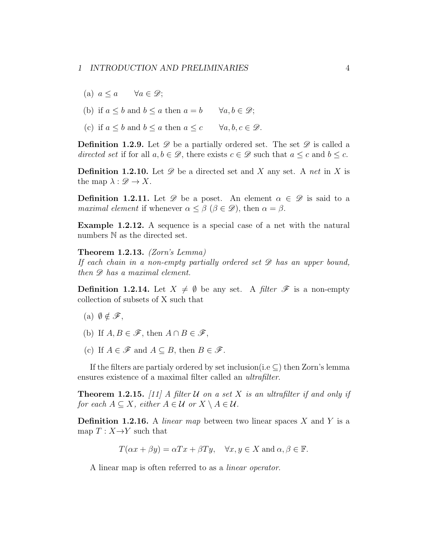- (a)  $a \leq a \quad \forall a \in \mathscr{D}$ ;
- (b) if  $a \leq b$  and  $b \leq a$  then  $a = b$   $\forall a, b \in \mathcal{D}$ ;
- (c) if  $a \leq b$  and  $b \leq a$  then  $a \leq c \quad \forall a, b, c \in \mathcal{D}$ .

**Definition 1.2.9.** Let  $\mathscr{D}$  be a partially ordered set. The set  $\mathscr{D}$  is called a directed set if for all  $a, b \in \mathcal{D}$ , there exists  $c \in \mathcal{D}$  such that  $a \leq c$  and  $b \leq c$ .

**Definition 1.2.10.** Let  $\mathscr D$  be a directed set and X any set. A net in X is the map  $\lambda : \mathscr{D} \to X$ .

**Definition 1.2.11.** Let  $\mathscr D$  be a poset. An element  $\alpha \in \mathscr D$  is said to a *maximal element* if whenever  $\alpha \leq \beta \ (\beta \in \mathcal{D})$ , then  $\alpha = \beta$ .

Example 1.2.12. A sequence is a special case of a net with the natural numbers N as the directed set.

Theorem 1.2.13. (Zorn's Lemma)

If each chain in a non-empty partially ordered set  $\mathscr D$  has an upper bound, then  $\mathscr{D}$  has a maximal element.

**Definition 1.2.14.** Let  $X \neq \emptyset$  be any set. A filter  $\mathscr F$  is a non-empty collection of subsets of X such that

- (a)  $\emptyset \notin \mathscr{F}$ ,
- (b) If  $A, B \in \mathscr{F}$ , then  $A \cap B \in \mathscr{F}$ ,
- (c) If  $A \in \mathscr{F}$  and  $A \subseteq B$ , then  $B \in \mathscr{F}$ .

If the filters are partialy ordered by set inclusion(i.e  $\subseteq$ ) then Zorn's lemma ensures existence of a maximal filter called an *ultrafilter*.

**Theorem 1.2.15.** [11] A filter U on a set X is an ultrafilter if and only if for each  $A \subseteq X$ , either  $A \in \mathcal{U}$  or  $X \setminus A \in \mathcal{U}$ .

**Definition 1.2.16.** A linear map between two linear spaces X and Y is a map  $T : X \rightarrow Y$  such that

$$
T(\alpha x + \beta y) = \alpha Tx + \beta Ty
$$
,  $\forall x, y \in X$  and  $\alpha, \beta \in \mathbb{F}$ .

A linear map is often referred to as a linear operator.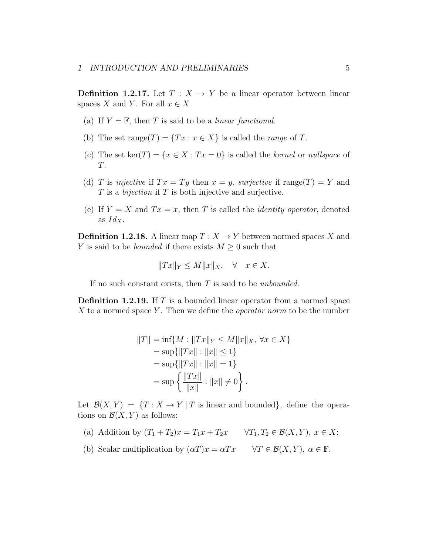**Definition 1.2.17.** Let  $T : X \rightarrow Y$  be a linear operator between linear spaces X and Y. For all  $x \in X$ 

- (a) If  $Y = \mathbb{F}$ , then T is said to be a linear functional.
- (b) The set range $(T) = \{Tx : x \in X\}$  is called the *range* of T.
- (c) The set  $\ker(T) = \{x \in X : Tx = 0\}$  is called the *kernel* or *nullspace* of T.
- (d) T is injective if  $Tx = Ty$  then  $x = y$ , surjective if range $(T) = Y$  and  $T$  is a *bijection* if  $T$  is both injective and surjective.
- (e) If  $Y = X$  and  $Tx = x$ , then T is called the *identity operator*, denoted as  $Id_X$ .

**Definition 1.2.18.** A linear map  $T : X \to Y$  between normed spaces X and Y is said to be *bounded* if there exists  $M \geq 0$  such that

$$
||Tx||_Y \le M||x||_X, \quad \forall \quad x \in X.
$$

If no such constant exists, then  $T$  is said to be unbounded.

**Definition 1.2.19.** If T is a bounded linear operator from a normed space X to a normed space Y. Then we define the *operator norm* to be the number

$$
||T|| = \inf\{M : ||Tx||_Y \le M||x||_X, \forall x \in X\}
$$
  
=  $\sup\{||Tx|| : ||x|| \le 1\}$   
=  $\sup\{||Tx|| : ||x|| = 1\}$   
=  $\sup\{\frac{||Tx||}{||x||} : ||x|| \ne 0\}$ .

Let  $\mathcal{B}(X, Y) = \{T : X \to Y | T$  is linear and bounded, define the operations on  $\mathcal{B}(X, Y)$  as follows:

- (a) Addition by  $(T_1 + T_2)x = T_1x + T_2x$   $\forall T_1, T_2 \in \mathcal{B}(X, Y), x \in X;$
- (b) Scalar multiplication by  $(\alpha T)x = \alpha Tx$   $\forall T \in \mathcal{B}(X, Y), \alpha \in \mathbb{F}$ .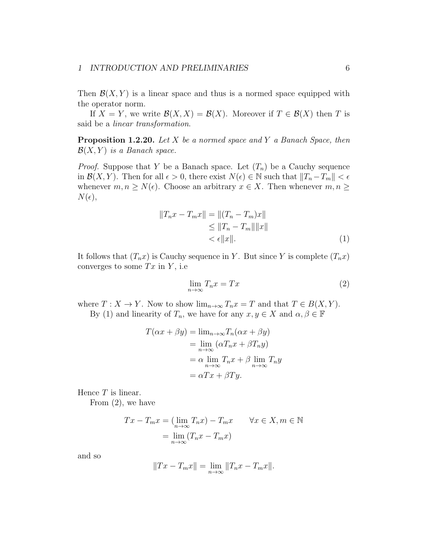Then  $\mathcal{B}(X, Y)$  is a linear space and thus is a normed space equipped with the operator norm.

If  $X = Y$ , we write  $\mathcal{B}(X, X) = \mathcal{B}(X)$ . Moreover if  $T \in \mathcal{B}(X)$  then T is said be a linear transformation.

**Proposition 1.2.20.** Let  $X$  be a normed space and  $Y$  a Banach Space, then  $\mathcal{B}(X, Y)$  is a Banach space.

*Proof.* Suppose that Y be a Banach space. Let  $(T_n)$  be a Cauchy sequence in  $\mathcal{B}(X, Y)$ . Then for all  $\epsilon > 0$ , there exist  $N(\epsilon) \in \mathbb{N}$  such that  $||T_n - T_m|| < \epsilon$ whenever  $m, n \geq N(\epsilon)$ . Choose an arbitrary  $x \in X$ . Then whenever  $m, n \geq$  $N(\epsilon)$ ,

$$
||T_n x - T_m x|| = ||(T_n - T_m)x||
$$
  
\n
$$
\le ||T_n - T_m|| ||x||
$$
  
\n
$$
< \epsilon ||x||.
$$
\n(1)

It follows that  $(T_n x)$  is Cauchy sequence in Y. But since Y is complete  $(T_n x)$ converges to some  $Tx$  in Y, i.e

$$
\lim_{n \to \infty} T_n x = Tx \tag{2}
$$

where  $T: X \to Y$ . Now to show  $\lim_{n \to \infty} T_n x = T$  and that  $T \in B(X, Y)$ .

By (1) and linearity of  $T_n$ , we have for any  $x, y \in X$  and  $\alpha, \beta \in \mathbb{F}$ 

$$
T(\alpha x + \beta y) = \lim_{n \to \infty} T_n(\alpha x + \beta y)
$$
  
= 
$$
\lim_{n \to \infty} (\alpha T_n x + \beta T_n y)
$$
  
= 
$$
\alpha \lim_{n \to \infty} T_n x + \beta \lim_{n \to \infty} T_n y
$$
  
= 
$$
\alpha Tx + \beta Ty.
$$

Hence  $T$  is linear.

From (2), we have

$$
Tx - T_m x = (\lim_{n \to \infty} T_n x) - T_m x \qquad \forall x \in X, m \in \mathbb{N}
$$

$$
= \lim_{n \to \infty} (T_n x - T_m x)
$$

and so

$$
||Tx - T_mx|| = \lim_{n \to \infty} ||T_nx - T_mx||.
$$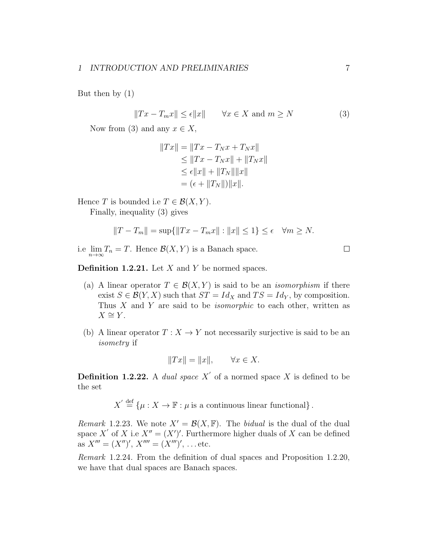But then by (1)

 $||Tx - T_mx|| \le \epsilon ||x|| \quad \forall x \in X \text{ and } m \ge N$  (3)

Now from (3) and any  $x \in X$ ,

$$
||Tx|| = ||Tx - T_Nx + T_Nx||
$$
  
\n
$$
\leq ||Tx - T_Nx|| + ||T_Nx||
$$
  
\n
$$
\leq \epsilon ||x|| + ||T_N|| ||x||
$$
  
\n
$$
= (\epsilon + ||T_N||) ||x||.
$$

Hence T is bounded i.e  $T \in \mathcal{B}(X, Y)$ .

Finally, inequality (3) gives

$$
||T - T_m|| = \sup\{||Tx - T_mx|| : ||x|| \le 1\} \le \epsilon \quad \forall m \ge N.
$$

i.e  $\lim_{n\to\infty}T_n=T$ . Hence  $\mathcal{B}(X,Y)$  is a Banach space.

**Definition 1.2.21.** Let  $X$  and  $Y$  be normed spaces.

- (a) A linear operator  $T \in \mathcal{B}(X, Y)$  is said to be an *isomorphism* if there exist  $S \in \mathcal{B}(Y, X)$  such that  $ST = Id_X$  and  $TS = Id_Y$ , by composition. Thus  $X$  and  $Y$  are said to be *isomorphic* to each other, written as  $X \cong Y$ .
- (b) A linear operator  $T : X \to Y$  not necessarily surjective is said to be an isometry if

$$
||Tx|| = ||x||, \qquad \forall x \in X.
$$

**Definition 1.2.22.** A *dual space*  $X'$  of a normed space X is defined to be the set

 $X' \stackrel{\text{def}}{=} {\{\mu : X \to \mathbb{F} : \mu \text{ is a continuous linear functional}\}}.$ 

Remark 1.2.23. We note  $X' = \mathcal{B}(X, \mathbb{F})$ . The bidual is the dual of the dual space X' of X i.e  $X'' = (X')'$ . Furthermore higher duals of X can be defined as  $X''' = (X'')', X'''' = (X''')', \dots$  etc.

Remark 1.2.24. From the definition of dual spaces and Proposition 1.2.20, we have that dual spaces are Banach spaces.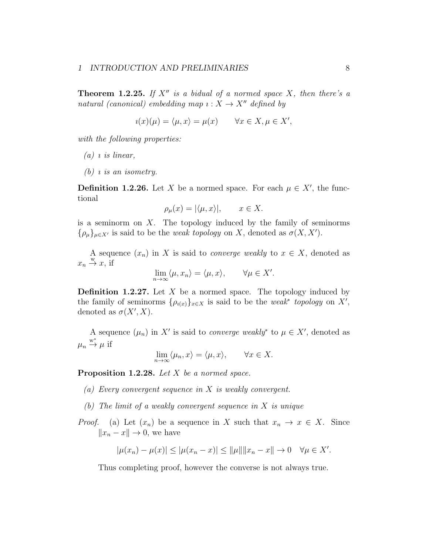**Theorem 1.2.25.** If  $X''$  is a bidual of a normed space X, then there's a natural (canonical) embedding map  $\iota: X \to X''$  defined by

$$
i(x)(\mu) = \langle \mu, x \rangle = \mu(x) \quad \forall x \in X, \mu \in X',
$$

with the following properties:

 $(a)$  *i is linear*,

 $(b)$  *is an isometry.* 

**Definition 1.2.26.** Let X be a normed space. For each  $\mu \in X'$ , the functional

$$
\rho_{\mu}(x) = |\langle \mu, x \rangle|, \qquad x \in X.
$$

is a seminorm on  $X$ . The topology induced by the family of seminorms  $\{\rho_\mu\}_{\mu \in X'}$  is said to be the *weak topology* on X, denoted as  $\sigma(X, X')$ .

A sequence  $(x_n)$  in X is said to *converge weakly* to  $x \in X$ , denoted as  $x_n \stackrel{w}{\rightarrow} x$ , if

$$
\lim_{n \to \infty} \langle \mu, x_n \rangle = \langle \mu, x \rangle, \qquad \forall \mu \in X'.
$$

**Definition 1.2.27.** Let  $X$  be a normed space. The topology induced by the family of seminorms  $\{\rho_{i(x)}\}_{x\in X}$  is said to be the *weak<sup>\*</sup> topology* on X', denoted as  $\sigma(X', X)$ .

A sequence  $(\mu_n)$  in X' is said to *converge weakly*<sup>\*</sup> to  $\mu \in X'$ , denoted as  $\mu_n \stackrel{w^*}{\rightarrow} \mu$  if

$$
\lim_{n \to \infty} \langle \mu_n, x \rangle = \langle \mu, x \rangle, \quad \forall x \in X.
$$

Proposition 1.2.28. Let X be a normed space.

- (a) Every convergent sequence in X is weakly convergent.
- (b) The limit of a weakly convergent sequence in  $X$  is unique
- *Proof.* (a) Let  $(x_n)$  be a sequence in X such that  $x_n \to x \in X$ . Since  $||x_n - x|| \to 0$ , we have

$$
|\mu(x_n) - \mu(x)| \le |\mu(x_n - x)| \le ||\mu|| ||x_n - x|| \to 0 \quad \forall \mu \in X'.
$$

Thus completing proof, however the converse is not always true.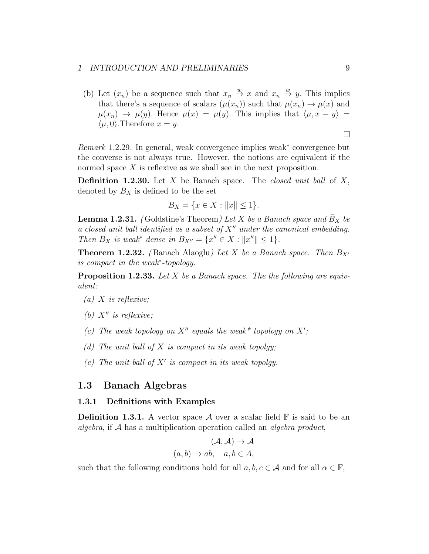(b) Let  $(x_n)$  be a sequence such that  $x_n \stackrel{w}{\rightarrow} x$  and  $x_n \stackrel{w}{\rightarrow} y$ . This implies that there's a sequence of scalars  $(\mu(x_n))$  such that  $\mu(x_n) \to \mu(x)$  and  $\mu(x_n) \to \mu(y)$ . Hence  $\mu(x) = \mu(y)$ . This implies that  $\langle \mu, x - y \rangle =$  $\langle \mu, 0 \rangle$ . Therefore  $x = y$ .

Remark 1.2.29. In general, weak convergence implies weak<sup>∗</sup> convergence but the converse is not always true. However, the notions are equivalent if the normed space  $X$  is reflexive as we shall see in the next proposition.

**Definition 1.2.30.** Let X be Banach space. The *closed unit ball* of  $X$ , denoted by  $B_X$  is defined to be the set

$$
B_X = \{ x \in X : ||x|| \le 1 \}.
$$

**Lemma 1.2.31.** (Goldstine's Theorem) Let X be a Banach space and  $\bar{B}_X$  be a closed unit ball identified as a subset of  $X<sup>n</sup>$  under the canonical embedding. Then  $B_X$  is weak<sup>\*</sup> dense in  $B_{X''} = \{x'' \in X : ||x''|| \le 1\}.$ 

**Theorem 1.2.32.** (Banach Alaoglu) Let X be a Banach space. Then  $B_{X'}$ is compact in the weak<sup>∗</sup> -topology.

**Proposition 1.2.33.** Let X be a Banach space. The the following are equivalent:

- (a) X is reflexive;
- (b)  $X''$  is reflexive;
- (c) The weak topology on  $X''$  equals the weak\* topology on  $X'$ ;
- (d) The unit ball of  $X$  is compact in its weak topolgy;
- (e) The unit ball of  $X'$  is compact in its weak topolgy.

## 1.3 Banach Algebras

#### 1.3.1 Definitions with Examples

**Definition 1.3.1.** A vector space  $\mathcal A$  over a scalar field  $\mathbb F$  is said to be an algebra, if  $A$  has a multiplication operation called an *algebra product*,

$$
(\mathcal{A}, \mathcal{A}) \to \mathcal{A}
$$
  
 $(a, b) \to ab, \quad a, b \in \mathcal{A},$ 

such that the following conditions hold for all  $a, b, c \in \mathcal{A}$  and for all  $\alpha \in \mathbb{F}$ ,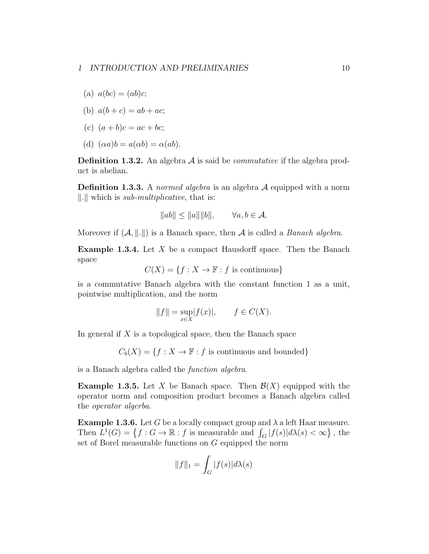- (a)  $a(bc)=(ab)c;$
- (b)  $a(b + c) = ab + ac;$
- (c)  $(a + b)c = ac + bc;$
- (d)  $(\alpha a)b = a(\alpha b) = \alpha(ab)$ .

**Definition 1.3.2.** An algebra  $A$  is said be *commutative* if the algebra product is abelian.

**Definition 1.3.3.** A normed algebra is an algebra  $A$  equipped with a norm  $\|.\|$  which is sub-multiplicative, that is:

$$
||ab|| \le ||a|| ||b||, \qquad \forall a, b \in \mathcal{A}.
$$

Moreover if  $(A, \|\. \|)$  is a Banach space, then A is called a *Banach algebra*.

Example 1.3.4. Let X be a compact Hausdorff space. Then the Banach space

$$
C(X) = \{ f : X \to \mathbb{F} : f \text{ is continuous} \}
$$

is a commutative Banach algebra with the constant function 1 as a unit, pointwise multiplication, and the norm

$$
||f|| = \sup_{x \in X} |f(x)|, \qquad f \in C(X).
$$

In general if  $X$  is a topological space, then the Banach space

 $C_b(X) = \{f : X \to \mathbb{F} : f \text{ is continuous and bounded}\}\$ 

is a Banach algebra called the function algebra.

**Example 1.3.5.** Let X be Banach space. Then  $\mathcal{B}(X)$  equipped with the operator norm and composition product becomes a Banach algebra called the operator algerba.

**Example 1.3.6.** Let G be a locally compact group and  $\lambda$  a left Haar measure. Then  $L^1(G) = \{f : G \to \mathbb{R} : f \text{ is measurable and } \int_G |f(s)| d\lambda(s) < \infty \},\$ the set of Borel measurable functions on G equipped the norm

$$
||f||_1 = \int_G |f(s)|d\lambda(s)
$$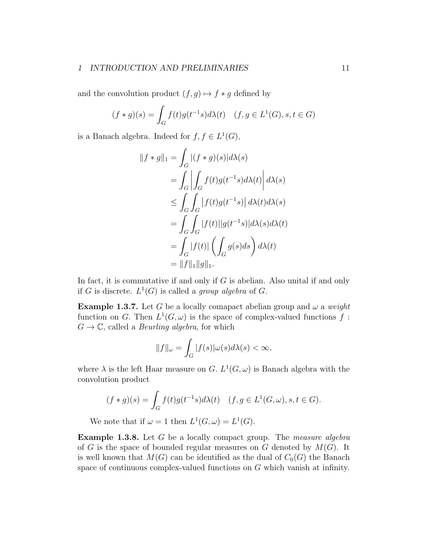and the convolution product  $(f, g) \mapsto f * g$  defined by

$$
(f * g)(s) = \int_G f(t)g(t^{-1}s)d\lambda(t) \quad (f, g \in L^1(G), s, t \in G)
$$

is a Banach algebra. Indeed for  $f, f \in L^1(G)$ ,

$$
||f * g||_1 = \int_G |(f * g)(s)|d\lambda(s)
$$
  
= 
$$
\int_G \left| \int_G f(t)g(t^{-1}s)d\lambda(t) \right| d\lambda(s)
$$
  

$$
\leq \int_G \int_G |f(t)g(t^{-1}s)| d\lambda(t)d\lambda(s)
$$
  
= 
$$
\int_G \int_G |f(t)||g(t^{-1}s)|d\lambda(s)d\lambda(t)
$$
  
= 
$$
\int_G |f(t)| \left( \int_G g(s)ds \right) d\lambda(t)
$$
  
= 
$$
||f||_1 ||g||_1.
$$

In fact, it is commutative if and only if  $G$  is abelian. Also unital if and only if G is discrete.  $L^1(G)$  is called a group algebra of G.

**Example 1.3.7.** Let G be a locally comapact abelian group and  $\omega$  a weight function on G. Then  $L^1(G, \omega)$  is the space of complex-valued functions f:  $G \to \mathbb{C}$ , called a *Beurling algebra*, for which

$$
||f||_{\omega} = \int_{G} |f(s)| \omega(s) d\lambda(s) < \infty,
$$

where  $\lambda$  is the left Haar measure on G.  $L^1(G, \omega)$  is Banach algebra with the convolution product

$$
(f * g)(s) = \int_G f(t)g(t^{-1}s)d\lambda(t) \quad (f, g \in L^1(G, \omega), s, t \in G).
$$

We note that if  $\omega = 1$  then  $L^1(G, \omega) = L^1(G)$ .

**Example 1.3.8.** Let G be a locally compact group. The *measure algebra* of G is the space of bounded regular measures on G denoted by  $M(G)$ . It is well known that  $M(G)$  can be identified as the dual of  $C_0(G)$  the Banach space of continuous complex-valued functions on G which vanish at infinity.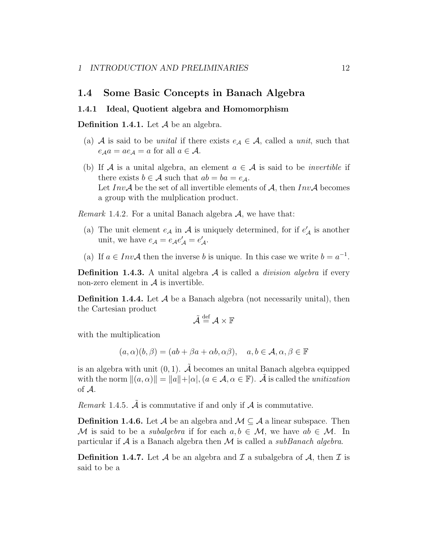## 1.4 Some Basic Concepts in Banach Algebra

#### 1.4.1 Ideal, Quotient algebra and Homomorphism

**Definition 1.4.1.** Let  $\mathcal A$  be an algebra.

- (a) A is said to be *unital* if there exists  $e_{\mathcal{A}} \in \mathcal{A}$ , called a *unit*, such that  $e_{\mathcal{A}}a = ae_{\mathcal{A}} = a$  for all  $a \in \mathcal{A}$ .
- (b) If A is a unital algebra, an element  $a \in \mathcal{A}$  is said to be *invertible* if there exists  $b \in \mathcal{A}$  such that  $ab = ba = e_{\mathcal{A}}$ . Let  $Inv\mathcal{A}$  be the set of all invertible elements of  $\mathcal{A}$ , then  $Inv\mathcal{A}$  becomes a group with the mulplication product.

*Remark* 1.4.2. For a unital Banach algebra  $A$ , we have that:

- (a) The unit element  $e_{\mathcal{A}}$  in  $\mathcal A$  is uniquely determined, for if  $e'_{\mathcal{A}}$  is another unit, we have  $e_{\mathcal{A}} = e_{\mathcal{A}} e'_{\mathcal{A}} = e'_{\mathcal{A}}$ .
- (a) If  $a \in Inv\mathcal{A}$  then the inverse b is unique. In this case we write  $b = a^{-1}$ .

**Definition 1.4.3.** A unital algebra  $A$  is called a *division algebra* if every non-zero element in  $\mathcal A$  is invertible.

**Definition 1.4.4.** Let  $\mathcal A$  be a Banach algebra (not necessarily unital), then the Cartesian product

$$
\mathcal{\widetilde{A}} \stackrel{\mathrm{def}}{=} \mathcal{A} \times \mathbb{F}
$$

with the multiplication

$$
(a, \alpha)(b, \beta) = (ab + \beta a + \alpha b, \alpha \beta), \quad a, b \in \mathcal{A}, \alpha, \beta \in \mathbb{F}
$$

is an algebra with unit  $(0, 1)$ .  $\tilde{\mathcal{A}}$  becomes an unital Banach algebra equipped with the norm  $||(a, \alpha)|| = ||a|| + |\alpha|, (a \in \mathcal{A}, \alpha \in \mathbb{F})$ .  $\tilde{\mathcal{A}}$  is called the unitization of A.

Remark 1.4.5.  $\hat{A}$  is commutative if and only if  $A$  is commutative.

**Definition 1.4.6.** Let A be an algebra and  $\mathcal{M} \subseteq \mathcal{A}$  a linear subspace. Then M is said to be a *subalgebra* if for each  $a, b \in \mathcal{M}$ , we have  $ab \in \mathcal{M}$ . In particular if  $\mathcal A$  is a Banach algebra then  $\mathcal M$  is called a *subBanach algebra*.

**Definition 1.4.7.** Let A be an algebra and I a subalgebra of A, then I is said to be a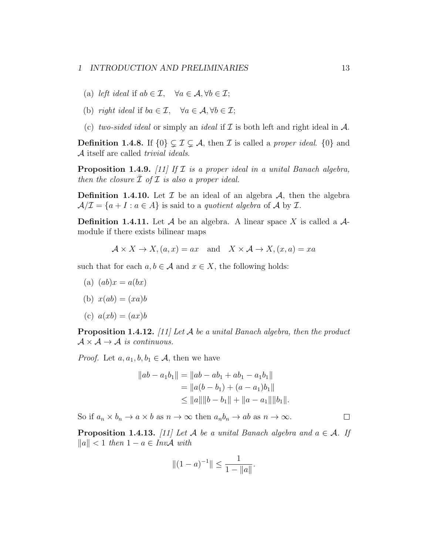- (a) left ideal if ab  $\in \mathcal{I}$ ,  $\forall a \in \mathcal{A}, \forall b \in \mathcal{I}$ ;
- (b) right ideal if ba  $\in \mathcal{I}$ ,  $\forall a \in \mathcal{A}, \forall b \in \mathcal{I}$ ;
- (c) two-sided ideal or simply an ideal if  $\mathcal I$  is both left and right ideal in  $\mathcal A$ .

**Definition 1.4.8.** If  $\{0\} \subsetneq \mathcal{I} \subsetneq \mathcal{A}$ , then  $\mathcal{I}$  is called a *proper ideal.*  $\{0\}$  and A itself are called trivial ideals.

**Proposition 1.4.9.** [11] If  $I$  is a proper ideal in a unital Banach algebra, then the closure  $\overline{I}$  of  $I$  is also a proper ideal.

**Definition 1.4.10.** Let  $\mathcal{I}$  be an ideal of an algebra  $\mathcal{A}$ , then the algebra  $A/\mathcal{I} = \{a + I : a \in A\}$  is said to a *quotient algebra* of A by  $\mathcal{I}$ .

**Definition 1.4.11.** Let A be an algebra. A linear space X is called a  $\mathcal{A}$ module if there exists bilinear maps

$$
\mathcal{A} \times X \to X, (a, x) = ax
$$
 and  $X \times \mathcal{A} \to X, (x, a) = xa$ 

such that for each  $a, b \in \mathcal{A}$  and  $x \in X$ , the following holds:

- (a)  $(ab)x = a(bx)$
- (b)  $x(ab) = (xa)b$

(c) 
$$
a(xb) = (ax)b
$$

**Proposition 1.4.12.** [11] Let  $\mathcal A$  be a unital Banach algebra, then the product  $\mathcal{A} \times \mathcal{A} \rightarrow \mathcal{A}$  is continuous.

*Proof.* Let  $a, a_1, b, b_1 \in \mathcal{A}$ , then we have

$$
||ab - a_1b_1|| = ||ab - ab_1 + ab_1 - a_1b_1||
$$
  
=  $||a(b - b_1) + (a - a_1)b_1||$   
 $\le ||a|| ||b - b_1|| + ||a - a_1|| ||b_1||.$ 

So if  $a_n \times b_n \to a \times b$  as  $n \to \infty$  then  $a_n b_n \to ab$  as  $n \to \infty$ .

**Proposition 1.4.13.** [11] Let A be a unital Banach algebra and  $a \in \mathcal{A}$ . If  $\|a\| < 1$  then  $1 - a \in Inv\mathcal{A}$  with

$$
||(1-a)^{-1}|| \le \frac{1}{1-||a||}.
$$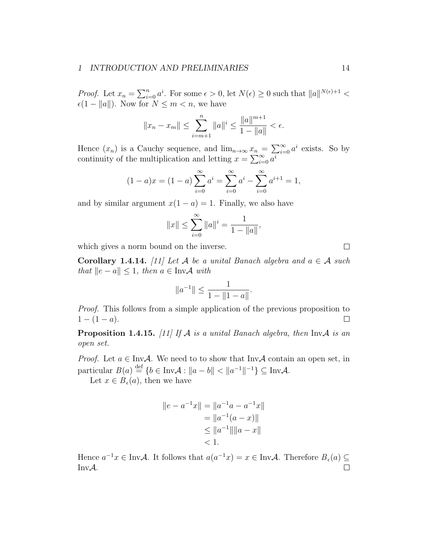*Proof.* Let  $x_n = \sum_{i=0}^n a^i$ . For some  $\epsilon > 0$ , let  $N(\epsilon) \ge 0$  such that  $||a||^{N(\epsilon)+1} <$  $\epsilon(1 - ||a||)$ . Now for  $N \leq m < n$ , we have

$$
||x_n - x_m|| \le \sum_{i=m+1}^n ||a||^i \le \frac{||a||^{m+1}}{1 - ||a||} < \epsilon.
$$

Hence  $(x_n)$  is a Cauchy sequence, and  $\lim_{n\to\infty} x_n = \sum_{i=0}^{\infty} a^i$  exists. So by continuity of the multiplication and letting  $x = \sum_{i=0}^{\infty} a^i$ 

$$
(1-a)x = (1-a)\sum_{i=0}^{\infty} a^i = \sum_{i=0}^{\infty} a^i - \sum_{i=0}^{\infty} a^{i+1} = 1,
$$

and by similar argument  $x(1 - a) = 1$ . Finally, we also have

$$
||x|| \le \sum_{i=0}^{\infty} ||a||^i = \frac{1}{1 - ||a||},
$$

which gives a norm bound on the inverse.

Corollary 1.4.14. [11] Let A be a unital Banach algebra and  $a \in \mathcal{A}$  such that  $||e − a|| \leq 1$ , then  $a \in \text{Inv}A$  with

$$
||a^{-1}|| \le \frac{1}{1 - ||1 - a||}.
$$

Proof. This follows from a simple application of the previous proposition to  $1 - (1 - a).$  $\Box$ 

**Proposition 1.4.15.** [11] If A is a unital Banach algebra, then Inv.A is an open set.

*Proof.* Let  $a \in \text{Inv}A$ . We need to to show that InvA contain an open set, in particular  $B(a) \stackrel{\text{def}}{=} \{b \in \text{Inv}\mathcal{A} : ||a - b|| < ||a^{-1}||^{-1}\} \subseteq \text{Inv}\mathcal{A}.$ 

Let  $x \in B_{\epsilon}(a)$ , then we have

$$
||e - a^{-1}x|| = ||a^{-1}a - a^{-1}x||
$$
  
=  $||a^{-1}(a - x)||$   
 $\le ||a^{-1}|| ||a - x||$   
 $< 1.$ 

Hence  $a^{-1}x \in \text{Inv}\mathcal{A}$ . It follows that  $a(a^{-1}x) = x \in \text{Inv}\mathcal{A}$ . Therefore  $B_{\epsilon}(a) \subseteq$ InvA. $\Box$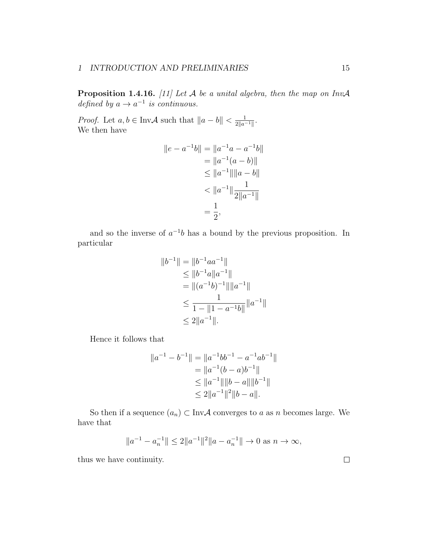**Proposition 1.4.16.** [11] Let  $A$  be a unital algebra, then the map on Inv $A$ defined by  $a \to a^{-1}$  is continuous.

*Proof.* Let  $a, b \in \text{Inv} \mathcal{A}$  such that  $\|a - b\| < \frac{1}{2\|a\|}$  $\frac{1}{2\|a^{-1}\|}$ . We then have

$$
||e - a^{-1}b|| = ||a^{-1}a - a^{-1}b||
$$
  
=  $||a^{-1}(a - b)||$   
 $\le ||a^{-1}|| ||a - b||$   
 $< ||a^{-1}|| \frac{1}{2||a^{-1}||}$   
=  $\frac{1}{2}$ ,

and so the inverse of  $a^{-1}b$  has a bound by the previous proposition. In particular

$$
||b^{-1}|| = ||b^{-1}aa^{-1}||
$$
  
\n
$$
\leq ||b^{-1}a||a^{-1}||
$$
  
\n
$$
= ||(a^{-1}b)^{-1}|| ||a^{-1}||
$$
  
\n
$$
\leq \frac{1}{1 - ||1 - a^{-1}b||} ||a^{-1}||
$$
  
\n
$$
\leq 2||a^{-1}||.
$$

Hence it follows that

$$
||a^{-1} - b^{-1}|| = ||a^{-1}bb^{-1} - a^{-1}ab^{-1}||
$$
  
=  $||a^{-1}(b - a)b^{-1}||$   
 $\le ||a^{-1}|| ||b - a|| ||b^{-1}||$   
 $\le 2||a^{-1}||^2 ||b - a||.$ 

So then if a sequence  $(a_n) \subset \text{Inv}\mathcal{A}$  converges to a as n becomes large. We have that

$$
||a^{-1} - a_n^{-1}|| \le 2||a^{-1}||^2 ||a - a_n^{-1}|| \to 0 \text{ as } n \to \infty,
$$

thus we have continuity.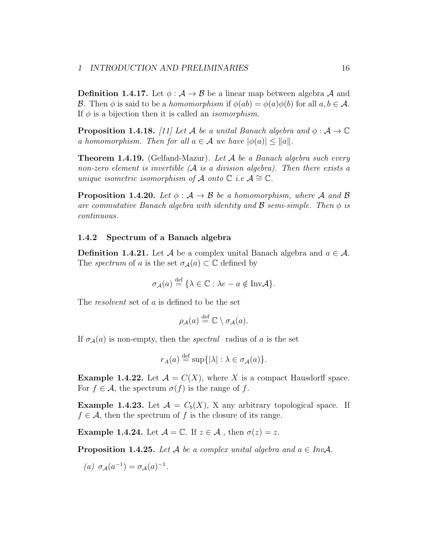**Definition 1.4.17.** Let  $\phi : \mathcal{A} \to \mathcal{B}$  be a linear map between algebra  $\mathcal{A}$  and **B**. Then  $\phi$  is said to be a *homomorphism* if  $\phi(ab) = \phi(a)\phi(b)$  for all  $a, b \in \mathcal{A}$ . If  $\phi$  is a bijection then it is called an *isomorphism*.

**Proposition 1.4.18.** [11] Let A be a unital Banach algebra and  $\phi : A \to \mathbb{C}$ a homomorphism. Then for all  $a \in \mathcal{A}$  we have  $|\phi(a)| \leq ||a||$ .

**Theorem 1.4.19.** (Gelfand-Mazur). Let A be a Banach algebra such every non-zero element is invertible  $(A$  is a division algebra). Then there exists a unique isometric isomorphism of A onto  $\mathbb C$  i.e  $\mathcal A \cong \mathbb C$ .

**Proposition 1.4.20.** Let  $\phi : A \rightarrow B$  be a homomorphism, where A and B are commutative Banach algebra with identity and  $\mathcal{B}$  semi-simple. Then  $\phi$  is continuous.

#### 1.4.2 Spectrum of a Banach algebra

**Definition 1.4.21.** Let A be a complex unital Banach algebra and  $a \in \mathcal{A}$ . The *spectrum* of a is the set  $\sigma_{\mathcal{A}}(a) \subset \mathbb{C}$  defined by

$$
\sigma_{\mathcal{A}}(a) \stackrel{\text{def}}{=} \{ \lambda \in \mathbb{C} : \lambda e - a \notin \text{Inv}\mathcal{A} \}.
$$

The *resolvent* set of a is defined to be the set

$$
\rho_{\mathcal{A}}(a) \stackrel{\text{def}}{=} \mathbb{C} \setminus \sigma_{\mathcal{A}}(a).
$$

If  $\sigma_{\mathcal{A}}(a)$  is non-empty, then the *spectral* radius of a is the set

$$
r_A(a) \stackrel{\text{def}}{=} \sup\{|\lambda| : \lambda \in \sigma_A(a)\}.
$$

**Example 1.4.22.** Let  $\mathcal{A} = C(X)$ , where X is a compact Hausdorff space. For  $f \in \mathcal{A}$ , the spectrum  $\sigma(f)$  is the range of f.

**Example 1.4.23.** Let  $\mathcal{A} = C_b(X)$ , X any arbitrary topological space. If  $f \in \mathcal{A}$ , then the spectrum of f is the closure of its range.

**Example 1.4.24.** Let  $\mathcal{A} = \mathbb{C}$ . If  $z \in \mathcal{A}$ , then  $\sigma(z) = z$ .

**Proposition 1.4.25.** Let A be a complex unital algebra and  $a \in Inv\mathcal{A}$ .

(a) 
$$
\sigma_{\mathcal{A}}(a^{-1}) = \sigma_{\mathcal{A}}(a)^{-1}
$$
.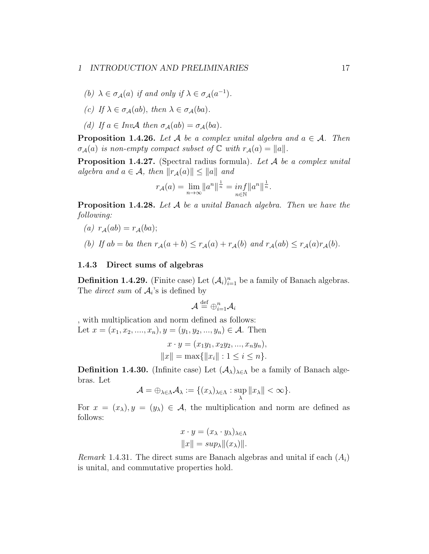- (b)  $\lambda \in \sigma_{\mathcal{A}}(a)$  if and only if  $\lambda \in \sigma_{\mathcal{A}}(a^{-1})$ .
- (c) If  $\lambda \in \sigma_{\mathcal{A}}(ab)$ , then  $\lambda \in \sigma_{\mathcal{A}}(ba)$ .
- (d) If  $a \in Inv\mathcal{A}$  then  $\sigma_{\mathcal{A}}(ab) = \sigma_{\mathcal{A}}(ba)$ .

**Proposition 1.4.26.** Let A be a complex unital algebra and  $a \in \mathcal{A}$ . Then  $\sigma_{\mathcal{A}}(a)$  is non-empty compact subset of  $\mathbb C$  with  $r_{\mathcal{A}}(a) = ||a||$ .

**Proposition 1.4.27.** (Spectral radius formula). Let  $A$  be a complex unital algebra and  $a \in \mathcal{A}$ , then  $||r_{\mathcal{A}}(a)|| \le ||a||$  and

$$
r_{\mathcal{A}}(a) = \lim_{n \to \infty} \|a^n\|^{\frac{1}{n}} = \inf_{n \in \mathbb{N}} \|a^n\|^{\frac{1}{n}}.
$$

**Proposition 1.4.28.** Let A be a unital Banach algebra. Then we have the following:

- (a)  $r_A(ab) = r_A(ba);$
- (b) If  $ab = ba$  then  $r_A(a + b) \le r_A(a) + r_A(b)$  and  $r_A(ab) \le r_A(a)r_A(b)$ .

#### 1.4.3 Direct sums of algebras

**Definition 1.4.29.** (Finite case) Let  $(A_i)_{i=1}^n$  be a family of Banach algebras. The *direct sum* of  $A_i$ 's is defined by

$$
\mathcal{A} \stackrel{\mathrm{def}}{=} \oplus_{i=1}^n \mathcal{A}_i
$$

, with multiplication and norm defined as follows: Let  $x = (x_1, x_2, \ldots, x_n), y = (y_1, y_2, \ldots, y_n) \in \mathcal{A}$ . Then

$$
x \cdot y = (x_1y_1, x_2y_2, ..., x_ny_n),
$$
  

$$
||x|| = \max\{||x_i|| : 1 \le i \le n\}.
$$

Definition 1.4.30. (Infinite case) Let  $(\mathcal{A}_{\lambda})_{\lambda \in \Lambda}$  be a family of Banach algebras. Let

$$
\mathcal{A} = \oplus_{\lambda \in \Lambda} \mathcal{A}_{\lambda} := \{ (x_{\lambda})_{\lambda \in \Lambda} : \sup_{\lambda} ||x_{\lambda}|| < \infty \}.
$$

For  $x = (x_{\lambda}), y = (y_{\lambda}) \in \mathcal{A}$ , the multiplication and norm are defined as follows:

$$
x \cdot y = (x_{\lambda} \cdot y_{\lambda})_{\lambda \in \Lambda}
$$

$$
||x|| = sup_{\lambda} ||(x_{\lambda})||.
$$

*Remark* 1.4.31. The direct sums are Banach algebras and unital if each  $(A_i)$ is unital, and commutative properties hold.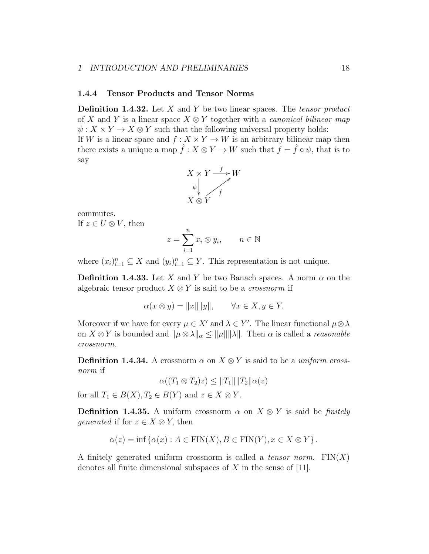#### 1.4.4 Tensor Products and Tensor Norms

**Definition 1.4.32.** Let X and Y be two linear spaces. The tensor product of X and Y is a linear space  $X \otimes Y$  together with a *canonical bilinear map*  $\psi: X \times Y \to X \otimes Y$  such that the following universal property holds:

If W is a linear space and  $f: X \times Y \to W$  is an arbitrary bilinear map then there exists a unique a map  $\hat{f}: X \otimes Y \to W$  such that  $f = \hat{f} \circ \psi$ , that is to say



commutes.

If  $z \in U \otimes V$ , then

$$
z = \sum_{i=1}^{n} x_i \otimes y_i, \qquad n \in \mathbb{N}
$$

where  $(x_i)_{i=1}^n \subseteq X$  and  $(y_i)_{i=1}^n \subseteq Y$ . This representation is not unique.

**Definition 1.4.33.** Let X and Y be two Banach spaces. A norm  $\alpha$  on the algebraic tensor product  $X \otimes Y$  is said to be a *crossnorm* if

$$
\alpha(x \otimes y) = ||x|| ||y||, \qquad \forall x \in X, y \in Y.
$$

Moreover if we have for every  $\mu \in X'$  and  $\lambda \in Y'$ . The linear functional  $\mu \otimes \lambda$ on  $X \otimes Y$  is bounded and  $\|\mu \otimes \lambda\|_{\alpha} \le \|\mu\| \|\lambda\|$ . Then  $\alpha$  is called a *reasonable* crossnorm.

**Definition 1.4.34.** A crossnorm  $\alpha$  on  $X \otimes Y$  is said to be a *uniform cross*norm if

$$
\alpha((T_1 \otimes T_2)z) \le ||T_1|| ||T_2|| \alpha(z)
$$

for all  $T_1 \in B(X)$ ,  $T_2 \in B(Y)$  and  $z \in X \otimes Y$ .

**Definition 1.4.35.** A uniform crossnorm  $\alpha$  on  $X \otimes Y$  is said be *finitely generated* if for  $z \in X \otimes Y$ , then

$$
\alpha(z) = \inf \{ \alpha(x) : A \in \text{FIN}(X), B \in \text{FIN}(Y), x \in X \otimes Y \}.
$$

A finitely generated uniform crossnorm is called a *tensor norm*.  $FIN(X)$ denotes all finite dimensional subspaces of  $X$  in the sense of [11].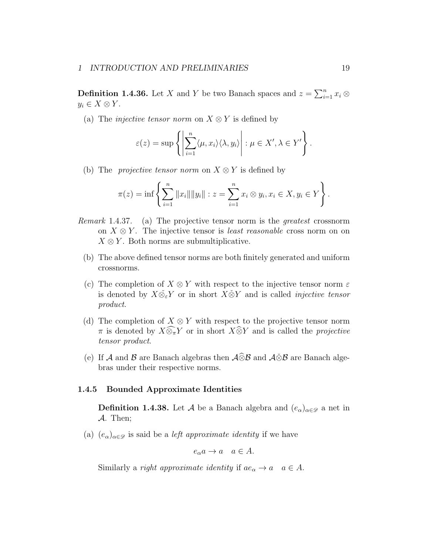**Definition 1.4.36.** Let X and Y be two Banach spaces and  $z = \sum_{i=1}^{n} x_i \otimes$  $y_i \in X \otimes Y$ .

(a) The *injective tensor norm* on  $X \otimes Y$  is defined by

$$
\varepsilon(z) = \sup \left\{ \left| \sum_{i=1}^n \langle \mu, x_i \rangle \langle \lambda, y_i \rangle \right| : \mu \in X', \lambda \in Y' \right\}.
$$

(b) The *projective tensor norm* on  $X \otimes Y$  is defined by

$$
\pi(z) = \inf \left\{ \sum_{i=1}^n ||x_i|| ||y_i|| : z = \sum_{i=1}^n x_i \otimes y_i, x_i \in X, y_i \in Y \right\}.
$$

- Remark 1.4.37. (a) The projective tensor norm is the greatest crossnorm on  $X \otimes Y$ . The injective tensor is *least reasonable* cross norm on on  $X \otimes Y$ . Both norms are submultiplicative.
	- (b) The above defined tensor norms are both finitely generated and uniform crossnorms.
	- (c) The completion of  $X \otimes Y$  with respect to the injective tensor norm  $\varepsilon$ is denoted by  $X\check{\otimes}_{\varepsilon} Y$  or in short  $X\check{\otimes} Y$  and is called *injective tensor* product.
	- (d) The completion of  $X \otimes Y$  with respect to the projective tensor norm  $\pi$  is denoted by  $X\widehat{\otimes_{\pi}}Y$  or in short  $X\widehat{\otimes}Y$  and is called the projective tensor product.
	- (e) If A and B are Banach algebras then  $\mathcal{A}\widehat{\otimes}\mathcal{B}$  and  $\mathcal{A}\check{\otimes}\mathcal{B}$  are Banach algebras under their respective norms.

#### 1.4.5 Bounded Approximate Identities

**Definition 1.4.38.** Let A be a Banach algebra and  $(e_{\alpha})_{\alpha \in \mathcal{D}}$  a net in A. Then;

(a)  $(e_{\alpha})_{\alpha \in \mathcal{D}}$  is said be a *left approximate identity* if we have

$$
e_{\alpha}a \to a \quad a \in A.
$$

Similarly a right approximate identity if  $ae_{\alpha} \rightarrow a \quad a \in A$ .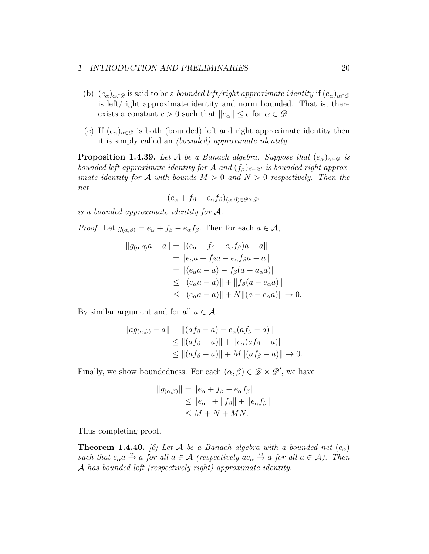- (b)  $(e_{\alpha})_{\alpha\in\mathcal{D}}$  is said to be a *bounded left/right approximate identity* if  $(e_{\alpha})_{\alpha\in\mathcal{D}}$ is left/right approximate identity and norm bounded. That is, there exists a constant  $c > 0$  such that  $||e_{\alpha}|| \leq c$  for  $\alpha \in \mathcal{D}$ .
- (c) If  $(e_{\alpha})_{\alpha \in \mathcal{D}}$  is both (bounded) left and right approximate identity then it is simply called an (bounded) approximate identity.

**Proposition 1.4.39.** Let A be a Banach algebra. Suppose that  $(e_{\alpha})_{\alpha \in \mathcal{D}}$  is bounded left approximate identity for A and  $(f_\beta)_{\beta \in \mathcal{D}}$  is bounded right approximate identity for A with bounds  $M > 0$  and  $N > 0$  respectively. Then the net

$$
(e_{\alpha} + f_{\beta} - e_{\alpha}f_{\beta})_{(\alpha,\beta)\in \mathscr{D}\times\mathscr{D}'}
$$

is a bounded approximate identity for A.

*Proof.* Let  $g_{(\alpha,\beta)} = e_{\alpha} + f_{\beta} - e_{\alpha}f_{\beta}$ . Then for each  $a \in \mathcal{A}$ ,

$$
||g_{(\alpha,\beta)}a - a|| = ||(e_{\alpha} + f_{\beta} - e_{\alpha}f_{\beta})a - a||
$$
  
=  $||e_{\alpha}a + f_{\beta}a - e_{\alpha}f_{\beta}a - a||$   
=  $||(e_{\alpha}a - a) - f_{\beta}(a - a_{\alpha}a)||$   
 $\leq ||(e_{\alpha}a - a)|| + ||f_{\beta}(a - e_{\alpha}a)||$   
 $\leq ||(e_{\alpha}a - a)|| + N ||(a - e_{\alpha}a)|| \to 0.$ 

By similar argument and for all  $a \in \mathcal{A}$ .

$$
||ag_{(\alpha,\beta)} - a|| = ||(af_{\beta} - a) - e_{\alpha}(af_{\beta} - a)||
$$
  
\n
$$
\leq ||(af_{\beta} - a)|| + ||e_{\alpha}(af_{\beta} - a)||
$$
  
\n
$$
\leq ||(af_{\beta} - a)|| + M ||(af_{\beta} - a)|| \to 0.
$$

Finally, we show boundedness. For each  $(\alpha, \beta) \in \mathcal{D} \times \mathcal{D}'$ , we have

$$
||g_{(\alpha,\beta)}|| = ||e_{\alpha} + f_{\beta} - e_{\alpha}f_{\beta}||
$$
  
\n
$$
\leq ||e_{\alpha}|| + ||f_{\beta}|| + ||e_{\alpha}f_{\beta}||
$$
  
\n
$$
\leq M + N + MN.
$$

Thus completing proof.

**Theorem 1.4.40.** [6] Let A be a Banach algebra with a bounded net  $(e_{\alpha})$ such that  $e_{\alpha}a \stackrel{w}{\rightarrow} a$  for all  $a \in \mathcal{A}$  (respectively  $ae_{\alpha} \stackrel{w}{\rightarrow} a$  for all  $a \in \mathcal{A}$ ). Then A has bounded left (respectively right) approximate identity.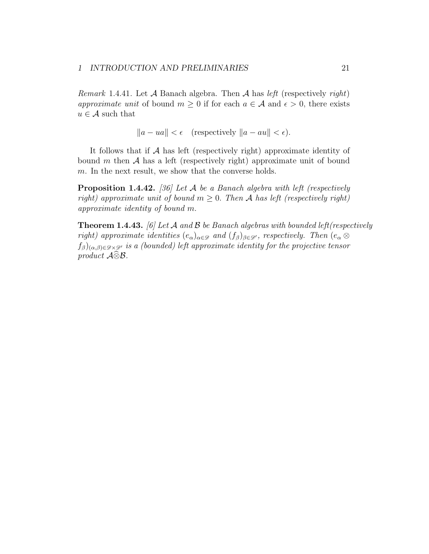*Remark* 1.4.41. Let A Banach algebra. Then A has *left* (respectively *right*) approximate unit of bound  $m \geq 0$  if for each  $a \in \mathcal{A}$  and  $\epsilon > 0$ , there exists  $u \in \mathcal{A}$  such that

$$
||a - ua|| < \epsilon \quad \text{(respectively } ||a - au|| < \epsilon\text{)}.
$$

It follows that if  $A$  has left (respectively right) approximate identity of bound m then  $A$  has a left (respectively right) approximate unit of bound m. In the next result, we show that the converse holds.

**Proposition 1.4.42.** [36] Let A be a Banach algebra with left (respectively right) approximate unit of bound  $m \geq 0$ . Then A has left (respectively right) approximate identity of bound m.

**Theorem 1.4.43.** [6] Let A and B be Banach algebras with bounded left(respectively right) approximate identities  $(e_{\alpha})_{\alpha \in \mathcal{D}}$  and  $(f_{\beta})_{\beta \in \mathcal{D}'}$ , respectively. Then  $(e_{\alpha} \otimes$  $f_{\beta}(a,\beta) \in \mathcal{D}(\alpha,\beta) \in \mathcal{D}(\alpha,\beta)$  is a (bounded) left approximate identity for the projective tensor product  $\mathcal{A}\widehat{\otimes}\mathcal{B}$ .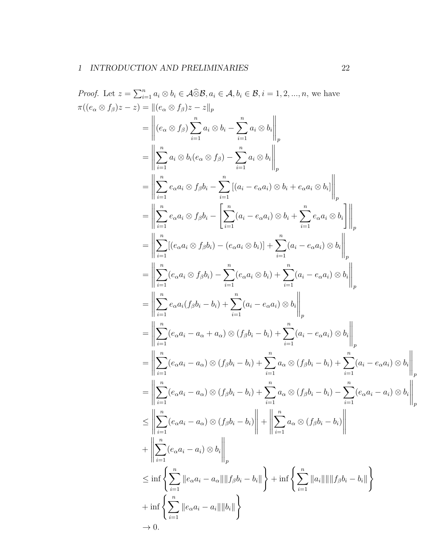Proof. Let 
$$
z = \sum_{i=1}^{n} a_i \otimes b_i \in A \hat{\otimes} B, a_i \in A, b_i \in B, i = 1, 2, ..., n
$$
, we have  
\n
$$
\pi((e_{\alpha} \otimes f_{\beta})z - z) = ||(e_{\alpha} \otimes f_{\beta})z - z||_{p}
$$
\n
$$
= ||(e_{\alpha} \otimes f_{\beta})\sum_{i=1}^{n} a_i \otimes b_i - \sum_{i=1}^{n} a_i \otimes b_i||_{p}
$$
\n
$$
= ||\sum_{i=1}^{n} a_i \otimes b_i(e_{\alpha} \otimes f_{\beta}) - \sum_{i=1}^{n} a_i \otimes b_i||_{p}
$$
\n
$$
= ||\sum_{i=1}^{n} e_{\alpha}a_i \otimes f_{\beta}b_i - \sum_{i=1}^{n} |(a_i - e_{\alpha}a_i) \otimes b_i + e_{\alpha}a_i \otimes b_i||_{p}
$$
\n
$$
= ||\sum_{i=1}^{n} e_{\alpha}a_i \otimes f_{\beta}b_i - \sum_{i=1}^{n} (a_i - e_{\alpha}a_i) \otimes b_i + \sum_{i=1}^{n} e_{\alpha}a_i \otimes b_i||_{p}
$$
\n
$$
= ||\sum_{i=1}^{n} [(e_{\alpha}a_i \otimes f_{\beta}b_i) - (e_{\alpha}a_i \otimes b_i)] + \sum_{i=1}^{n} (a_i - e_{\alpha}a_i) \otimes b_i||_{p}
$$
\n
$$
= ||\sum_{i=1}^{n} e_{\alpha}a_i(f_{\beta}b_i - b_i) + \sum_{i=1}^{n} (a_i - e_{\alpha}a_i) \otimes b_i||_{p}
$$
\n
$$
= ||\sum_{i=1}^{n} e_{\alpha}a_i(f_{\beta}b_i - b_i) + \sum_{i=1}^{n} (a_i - e_{\alpha}a_i) \otimes b_i||_{p}
$$
\n
$$
= ||\sum_{i=1}^{n} (e_{\alpha}a_i - a_{\alpha} + a_{\alpha}) \otimes (f_{\beta}b_i - b_i) + \sum_{i=1}^{n} a_{\alpha} \otimes (f_{\beta}b_i - b_i) + \sum_{i=1}^{n} (a_i - e_{\alpha}a_i) \otimes b_i||_{p
$$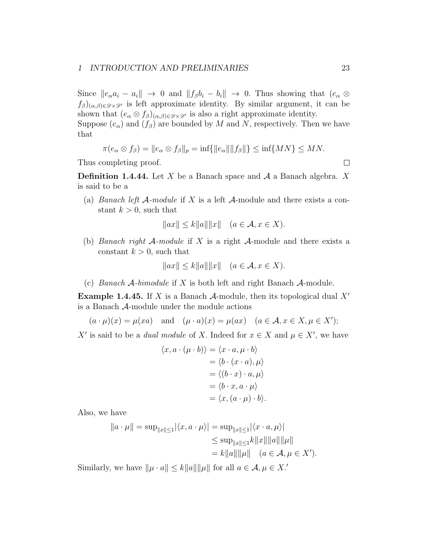Since  $||e_\alpha a_i - a_i|| \to 0$  and  $||f_\beta b_i - b_i|| \to 0$ . Thus showing that  $(e_\alpha \otimes$  $f_{\beta}|_{(\alpha,\beta)\in\mathscr{D}\times\mathscr{D}'}$  is left approximate identity. By similar argument, it can be shown that  $(e_{\alpha} \otimes f_{\beta})_{(\alpha,\beta)\in\mathscr{D}\times\mathscr{D}'}$  is also a right approximate identity. Suppose  $(e_{\alpha})$  and  $(f_{\beta})$  are bounded by M and N, respectively. Then we have that

$$
\pi(e_{\alpha} \otimes f_{\beta}) = ||e_{\alpha} \otimes f_{\beta}||_p = \inf{||e_{\alpha}|| ||f_{\beta}||} \le \inf{MN} \le MN.
$$

Thus completing proof.

**Definition 1.4.44.** Let X be a Banach space and  $\mathcal A$  a Banach algebra. X is said to be a

(a) *Banach left*  $A$ -module if  $X$  is a left  $A$ -module and there exists a constant  $k > 0$ , such that

$$
||ax|| \le k||a|| ||x|| \quad (a \in \mathcal{A}, x \in X).
$$

(b) *Banach right*  $A$ -module if X is a right  $A$ -module and there exists a constant  $k > 0$ , such that

$$
||ax|| \le k||a|| ||x|| \quad (a \in \mathcal{A}, x \in X).
$$

(c) Banach  $A$ -bimodule if X is both left and right Banach  $A$ -module.

**Example 1.4.45.** If X is a Banach A-module, then its topological dual  $X'$ is a Banach A-module under the module actions

$$
(a \cdot \mu)(x) = \mu(xa)
$$
 and  $(\mu \cdot a)(x) = \mu(ax)$   $(a \in \mathcal{A}, x \in X, \mu \in X')$ ;

X' is said to be a *dual module* of X. Indeed for  $x \in X$  and  $\mu \in X'$ , we have

$$
\langle x, a \cdot (\mu \cdot b) \rangle = \langle x \cdot a, \mu \cdot b \rangle
$$
  
=  $\langle b \cdot (x \cdot a), \mu \rangle$   
=  $\langle (b \cdot x) \cdot a, \mu \rangle$   
=  $\langle b \cdot x, a \cdot \mu \rangle$   
=  $\langle x, (a \cdot \mu) \cdot b \rangle$ .

Also, we have

$$
||a \cdot \mu|| = \sup_{||x|| \le 1} |\langle x, a \cdot \mu \rangle| = \sup_{||x|| \le 1} |\langle x \cdot a, \mu \rangle|
$$
  
\n
$$
\le \sup_{||x|| \le 1} k ||x|| ||a|| ||\mu||
$$
  
\n
$$
= k ||a|| ||\mu|| \quad (a \in \mathcal{A}, \mu \in X').
$$

Similarly, we have  $\|\mu \cdot a\| \leq k \|a\| \|\mu\|$  for all  $a \in \mathcal{A}, \mu \in X$ .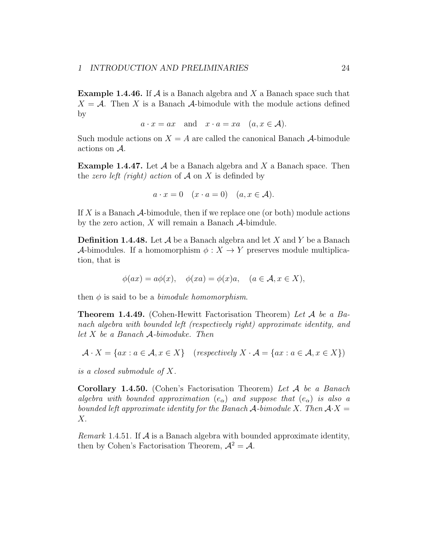**Example 1.4.46.** If  $A$  is a Banach algebra and  $X$  a Banach space such that  $X = A$ . Then X is a Banach A-bimodule with the module actions defined by

$$
a \cdot x = ax
$$
 and  $x \cdot a = xa$   $(a, x \in \mathcal{A}).$ 

Such module actions on  $X = A$  are called the canonical Banach A-bimodule actions on A.

**Example 1.4.47.** Let  $\mathcal A$  be a Banach algebra and  $X$  a Banach space. Then the zero left (right) action of  $A$  on X is definded by

$$
a \cdot x = 0 \quad (x \cdot a = 0) \quad (a, x \in \mathcal{A}).
$$

If X is a Banach  $\mathcal{A}$ -bimodule, then if we replace one (or both) module actions by the zero action,  $X$  will remain a Banach  $A$ -bimdule.

**Definition 1.4.48.** Let  $\mathcal A$  be a Banach algebra and let  $X$  and  $Y$  be a Banach A-bimodules. If a homomorphism  $\phi: X \to Y$  preserves module multiplication, that is

$$
\phi(ax) = a\phi(x), \quad \phi(xa) = \phi(x)a, \quad (a \in \mathcal{A}, x \in X),
$$

then  $\phi$  is said to be a *bimodule homomorphism*.

**Theorem 1.4.49.** (Cohen-Hewitt Factorisation Theorem) Let  $\mathcal A$  be a Banach algebra with bounded left (respectively right) approximate identity, and let  $X$  be a Banach  $A$ -bimoduke. Then

$$
\mathcal{A} \cdot X = \{ ax : a \in \mathcal{A}, x \in X \} \quad (respectively \ X \cdot \mathcal{A} = \{ ax : a \in \mathcal{A}, x \in X \})
$$

is a closed submodule of X.

**Corollary 1.4.50.** (Cohen's Factorisation Theorem) Let  $A$  be a Banach algebra with bounded approximation  $(e_{\alpha})$  and suppose that  $(e_{\alpha})$  is also a bounded left approximate identity for the Banach  $\mathcal{A}\text{-bimodule }X$ . Then  $\mathcal{A}\cdot X =$ X.

*Remark* 1.4.51. If  $\mathcal A$  is a Banach algebra with bounded approximate identity, then by Cohen's Factorisation Theorem,  $A^2 = A$ .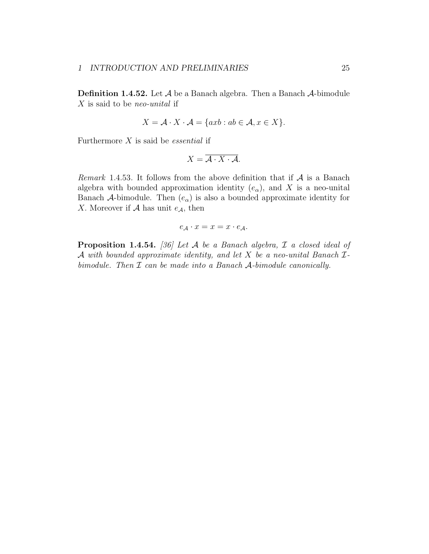**Definition 1.4.52.** Let  $\mathcal A$  be a Banach algebra. Then a Banach  $\mathcal A$ -bimodule X is said to be neo-unital if

$$
X = \mathcal{A} \cdot X \cdot \mathcal{A} = \{ axb : ab \in \mathcal{A}, x \in X \}.
$$

Furthermore  $X$  is said be *essential* if

$$
X = \overline{\mathcal{A} \cdot X \cdot \mathcal{A}}.
$$

*Remark* 1.4.53. It follows from the above definition that if  $A$  is a Banach algebra with bounded approximation identity  $(e_{\alpha})$ , and X is a neo-unital Banach A-bimodule. Then  $(e_{\alpha})$  is also a bounded approximate identity for X. Moreover if  $A$  has unit  $e_{\mathcal{A}}$ , then

$$
e_{\mathcal{A}} \cdot x = x = x \cdot e_{\mathcal{A}}.
$$

**Proposition 1.4.54.** [36] Let  $A$  be a Banach algebra,  $I$  a closed ideal of  $\mathcal A$  with bounded approximate identity, and let X be a neo-unital Banach  $\mathcal I$ bimodule. Then  $\mathcal I$  can be made into a Banach A-bimodule canonically.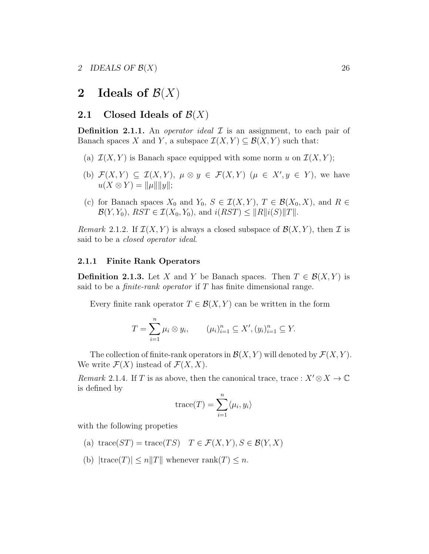# 2 Ideals of  $\mathcal{B}(X)$

## 2.1 Closed Ideals of  $\mathcal{B}(X)$

**Definition 2.1.1.** An *operator ideal*  $\mathcal{I}$  is an assignment, to each pair of Banach spaces X and Y, a subspace  $\mathcal{I}(X, Y) \subset \mathcal{B}(X, Y)$  such that:

- (a)  $\mathcal{I}(X, Y)$  is Banach space equipped with some norm u on  $\mathcal{I}(X, Y)$ ;
- (b)  $\mathcal{F}(X,Y) \subseteq \mathcal{I}(X,Y)$ ,  $\mu \otimes y \in \mathcal{F}(X,Y)$  ( $\mu \in X', y \in Y$ ), we have  $u(X \otimes Y) = ||\mu|| ||y||;$
- (c) for Banach spaces  $X_0$  and  $Y_0$ ,  $S \in \mathcal{I}(X, Y)$ ,  $T \in \mathcal{B}(X_0, X)$ , and  $R \in$  $\mathcal{B}(Y, Y_0)$ ,  $RST \in \mathcal{I}(X_0, Y_0)$ , and  $i(RST) \leq ||R||i(S)||T||$ .

*Remark* 2.1.2. If  $\mathcal{I}(X, Y)$  is always a closed subspace of  $\mathcal{B}(X, Y)$ , then  $\mathcal I$  is said to be a closed operator ideal.

#### 2.1.1 Finite Rank Operators

**Definition 2.1.3.** Let X and Y be Banach spaces. Then  $T \in \mathcal{B}(X, Y)$  is said to be a *finite-rank operator* if  $T$  has finite dimensional range.

Every finite rank operator  $T \in \mathcal{B}(X, Y)$  can be written in the form

$$
T = \sum_{i=1}^{n} \mu_i \otimes y_i, \qquad (\mu_i)_{i=1}^{n} \subseteq X', (y_i)_{i=1}^{n} \subseteq Y.
$$

The collection of finite-rank operators in  $\mathcal{B}(X, Y)$  will denoted by  $\mathcal{F}(X, Y)$ . We write  $\mathcal{F}(X)$  instead of  $\mathcal{F}(X, X)$ .

Remark 2.1.4. If T is as above, then the canonical trace, trace :  $X' \otimes X \to \mathbb{C}$ is defined by

$$
trace(T) = \sum_{i=1}^{n} \langle \mu_i, y_i \rangle
$$

with the following propeties

- (a) trace(ST) = trace(TS)  $T \in \mathcal{F}(X, Y), S \in \mathcal{B}(Y, X)$
- (b)  $|\text{trace}(T)| \leq n||T||$  whenever rank $(T) \leq n$ .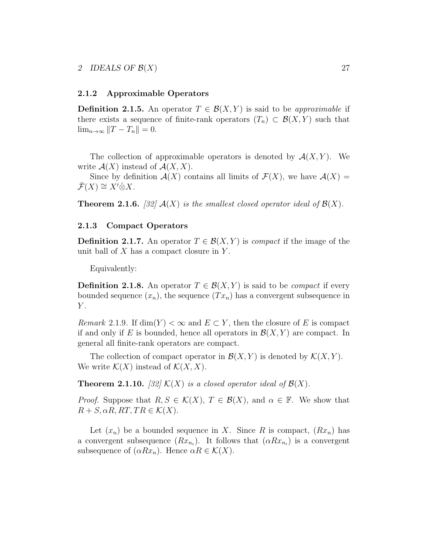#### 2.1.2 Approximable Operators

**Definition 2.1.5.** An operator  $T \in \mathcal{B}(X, Y)$  is said to be *approximable* if there exists a sequence of finite-rank operators  $(T_n) \subset \mathcal{B}(X, Y)$  such that  $\lim_{n\to\infty}$   $||T - T_n|| = 0.$ 

The collection of approximable operators is denoted by  $\mathcal{A}(X, Y)$ . We write  $\mathcal{A}(X)$  instead of  $\mathcal{A}(X, X)$ .

Since by definition  $\mathcal{A}(X)$  contains all limits of  $\mathcal{F}(X)$ , we have  $\mathcal{A}(X) =$  $\mathcal{F}(X) \cong X' \check{\otimes} X.$ 

**Theorem 2.1.6.** [32]  $A(X)$  is the smallest closed operator ideal of  $B(X)$ .

#### 2.1.3 Compact Operators

**Definition 2.1.7.** An operator  $T \in \mathcal{B}(X, Y)$  is *compact* if the image of the unit ball of  $X$  has a compact closure in  $Y$ .

Equivalently:

**Definition 2.1.8.** An operator  $T \in \mathcal{B}(X, Y)$  is said to be *compact* if every bounded sequence  $(x_n)$ , the sequence  $(Tx_n)$  has a convergent subsequence in  $Y$ .

*Remark* 2.1.9. If  $\dim(Y) < \infty$  and  $E \subset Y$ , then the closure of E is compact if and only if E is bounded, hence all operators in  $\mathcal{B}(X, Y)$  are compact. In general all finite-rank operators are compact.

The collection of compact operator in  $\mathcal{B}(X, Y)$  is denoted by  $\mathcal{K}(X, Y)$ . We write  $\mathcal{K}(X)$  instead of  $\mathcal{K}(X, X)$ .

**Theorem 2.1.10.** [32]  $\mathcal{K}(X)$  is a closed operator ideal of  $\mathcal{B}(X)$ .

*Proof.* Suppose that  $R, S \in \mathcal{K}(X), T \in \mathcal{B}(X)$ , and  $\alpha \in \mathbb{F}$ . We show that  $R + S, \alpha R, RT, TR \in \mathcal{K}(X)$ .

Let  $(x_n)$  be a bounded sequence in X. Since R is compact,  $(Rx_n)$  has a convergent subsequence  $(Rx_{n_i})$ . It follows that  $(\alpha Rx_{n_i})$  is a convergent subsequence of  $(\alpha Rx_n)$ . Hence  $\alpha R \in \mathcal{K}(X)$ .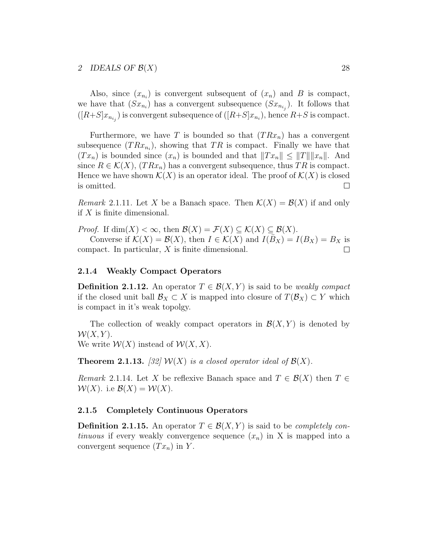Also, since  $(x_{n_i})$  is convergent subsequent of  $(x_n)$  and B is compact, we have that  $(Sx_{n_i})$  has a convergent subsequence  $(Sx_{n_{i_j}})$ . It follows that  $([R+S]x_{n_{i_j}})$  is convergent subsequence of  $([R+S]x_{n_i})$ , hence  $R+S$  is compact.

Furthermore, we have T is bounded so that  $(TRx_n)$  has a convergent subsequence  $(TRx_{n_i})$ , showing that TR is compact. Finally we have that  $(T x_n)$  is bounded since  $(x_n)$  is bounded and that  $||Tx_n|| \leq ||T|| ||x_n||$ . And since  $R \in \mathcal{K}(X)$ ,  $(TRx_n)$  has a convergent subsequence, thus TR is compact. Hence we have shown  $\mathcal{K}(X)$  is an operator ideal. The proof of  $\mathcal{K}(X)$  is closed is omitted.  $\Box$ 

*Remark* 2.1.11. Let X be a Banach space. Then  $\mathcal{K}(X) = \mathcal{B}(X)$  if and only if  $X$  is finite dimensional.

*Proof.* If  $dim(X) < \infty$ , then  $\mathcal{B}(X) = \mathcal{F}(X) \subseteq \mathcal{K}(X) \subseteq \mathcal{B}(X)$ .

Converse if  $\mathcal{K}(X) = \mathcal{B}(X)$ , then  $I \in \mathcal{K}(X)$  and  $I(\overline{B}_X) = I(B_X) = B_X$  is compact. In particular, X is finite dimensional.  $\Box$ 

#### 2.1.4 Weakly Compact Operators

**Definition 2.1.12.** An operator  $T \in \mathcal{B}(X, Y)$  is said to be *weakly compact* if the closed unit ball  $\mathcal{B}_X \subset X$  is mapped into closure of  $T(\mathcal{B}_X) \subset Y$  which is compact in it's weak topolgy.

The collection of weakly compact operators in  $\mathcal{B}(X, Y)$  is denoted by  $\mathcal{W}(X, Y)$ .

We write  $W(X)$  instead of  $W(X, X)$ .

**Theorem 2.1.13.** [32]  $W(X)$  is a closed operator ideal of  $\mathcal{B}(X)$ .

*Remark* 2.1.14. Let X be reflexive Banach space and  $T \in \mathcal{B}(X)$  then  $T \in$  $W(X)$ . i.e  $\mathcal{B}(X) = \mathcal{W}(X)$ .

#### 2.1.5 Completely Continuous Operators

**Definition 2.1.15.** An operator  $T \in \mathcal{B}(X, Y)$  is said to be *completely continuous* if every weakly convergence sequence  $(x_n)$  in X is mapped into a convergent sequence  $(T x_n)$  in Y.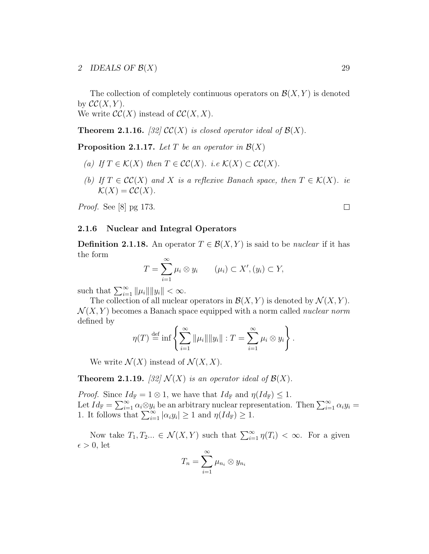The collection of completely continuous operators on  $\mathcal{B}(X, Y)$  is denoted by  $\mathcal{CC}(X, Y)$ . We write  $\mathcal{CC}(X)$  instead of  $\mathcal{CC}(X, X)$ .

**Theorem 2.1.16.** [32]  $CC(X)$  is closed operator ideal of  $\mathcal{B}(X)$ .

**Proposition 2.1.17.** Let T be an operator in  $\mathcal{B}(X)$ 

- (a) If  $T \in \mathcal{K}(X)$  then  $T \in \mathcal{CC}(X)$ . i.e  $\mathcal{K}(X) \subset \mathcal{CC}(X)$ .
- (b) If  $T \in \mathcal{CC}(X)$  and X is a reflexive Banach space, then  $T \in \mathcal{K}(X)$ . ie  $\mathcal{K}(X) = \mathcal{CC}(X).$

Proof. See [8] pg 173.

#### 2.1.6 Nuclear and Integral Operators

**Definition 2.1.18.** An operator  $T \in \mathcal{B}(X, Y)$  is said to be *nuclear* if it has the form

$$
T = \sum_{i=1}^{\infty} \mu_i \otimes y_i \qquad (\mu_i) \subset X', (y_i) \subset Y,
$$

such that  $\sum_{i=1}^{\infty} ||\mu_i|| ||y_i|| < \infty$ .

The collection of all nuclear operators in  $\mathcal{B}(X, Y)$  is denoted by  $\mathcal{N}(X, Y)$ .  $\mathcal{N}(X, Y)$  becomes a Banach space equipped with a norm called *nuclear norm* defined by

$$
\eta(T) \stackrel{\text{def}}{=} \inf \left\{ \sum_{i=1}^{\infty} \|\mu_i\| \|y_i\| : T = \sum_{i=1}^{\infty} \mu_i \otimes y_i \right\}.
$$

We write  $\mathcal{N}(X)$  instead of  $\mathcal{N}(X, X)$ .

**Theorem 2.1.19.** [32]  $\mathcal{N}(X)$  is an operator ideal of  $\mathcal{B}(X)$ .

*Proof.* Since  $Id_{\mathbb{F}} = 1 \otimes 1$ , we have that  $Id_{\mathbb{F}}$  and  $\eta(Id_{\mathbb{F}}) \leq 1$ . Let  $Id_{\mathbb{F}} = \sum_{i=1}^{\infty} \alpha_i \otimes y_i$  be an arbitrary nuclear representation. Then  $\sum_{i=1}^{\infty} \alpha_i y_i =$ 1. It follows that  $\sum_{i=1}^{\infty} |\alpha_i y_i| \geq 1$  and  $\eta(Id_{\mathbb{F}}) \geq 1$ .

Now take  $T_1, T_2... \in \mathcal{N}(X, Y)$  such that  $\sum_{i=1}^{\infty} \eta(T_i) < \infty$ . For a given  $\epsilon > 0$ , let

$$
T_n = \sum_{i=1}^{\infty} \mu_{n_i} \otimes y_{n_i}
$$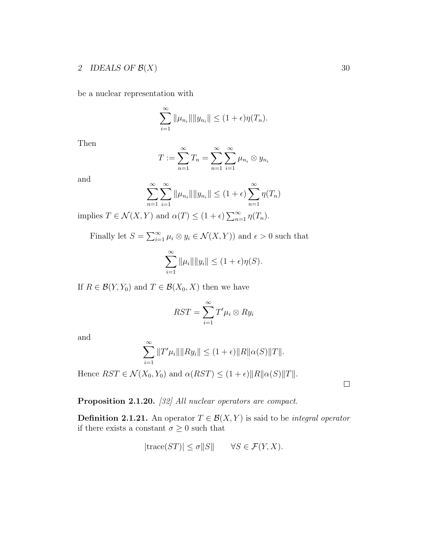## 2 IDEALS OF  $\mathcal{B}(X)$  30

be a nuclear representation with

$$
\sum_{i=1}^{\infty} \|\mu_{n_i}\| \|y_{n_i}\| \le (1+\epsilon)\eta(T_n).
$$

Then

$$
T := \sum_{n=1}^{\infty} T_n = \sum_{n=1}^{\infty} \sum_{i=1}^{\infty} \mu_{n_i} \otimes y_{n_i}
$$

and

$$
\sum_{n=1}^{\infty} \sum_{i=1}^{\infty} ||\mu_{n_i}|| ||y_{n_i}|| \le (1+\epsilon) \sum_{n=1}^{\infty} \eta(T_n)
$$

implies  $T \in \mathcal{N}(X, Y)$  and  $\alpha(T) \leq (1 + \epsilon) \sum_{n=1}^{\infty} \eta(T_n)$ .

Finally let  $S = \sum_{i=1}^{\infty} \mu_i \otimes y_i \in \mathcal{N}(X, Y)$  and  $\epsilon > 0$  such that

$$
\sum_{i=1}^{\infty} \|\mu_i\| \|y_i\| \le (1+\epsilon)\eta(S).
$$

If  $R \in \mathcal{B}(Y, Y_0)$  and  $T \in \mathcal{B}(X_0, X)$  then we have

$$
RST = \sum_{i=1}^{\infty} T'\mu_i \otimes Ry_i
$$

and

$$
\sum_{i=1}^{\infty} ||T'\mu_i|| ||Ry_i|| \le (1+\epsilon) ||R||\alpha(S)||T||.
$$

Hence  $RST \in \mathcal{N}(X_0, Y_0)$  and  $\alpha(RST) \leq (1+\epsilon) ||R|| \alpha(S)||T||$ .

 $\Box$ 

Proposition 2.1.20. [32] All nuclear operators are compact.

**Definition 2.1.21.** An operator  $T \in \mathcal{B}(X, Y)$  is said to be *integral operator* if there exists a constant  $\sigma \geq 0$  such that

$$
|\text{trace}(ST)| \le \sigma \|S\| \qquad \forall S \in \mathcal{F}(Y, X).
$$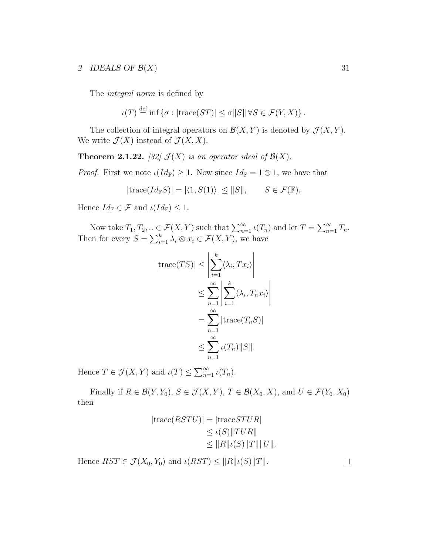#### 2 IDEALS OF  $\mathcal{B}(X)$  31

The *integral norm* is defined by

$$
\iota(T) \stackrel{\text{def}}{=} \inf \{ \sigma : |\text{trace}(ST)| \le \sigma ||S|| \,\forall S \in \mathcal{F}(Y, X) \}.
$$

The collection of integral operators on  $\mathcal{B}(X, Y)$  is denoted by  $\mathcal{J}(X, Y)$ . We write  $\mathcal{J}(X)$  instead of  $\mathcal{J}(X, X)$ .

**Theorem 2.1.22.** [32]  $\mathcal{J}(X)$  is an operator ideal of  $\mathcal{B}(X)$ .

*Proof.* First we note  $\iota(Id_{\mathbb{F}}) \geq 1$ . Now since  $Id_{\mathbb{F}} = 1 \otimes 1$ , we have that

$$
|\mathrm{trace}(Id_{\mathbb{F}}S)| = |\langle 1, S(1)\rangle| \le ||S||, \qquad S \in \mathcal{F}(\mathbb{F}).
$$

Hence  $Id_{\mathbb{F}} \in \mathcal{F}$  and  $\iota(Id_{\mathbb{F}}) \leq 1$ .

Now take  $T_1, T_2, ... \in \mathcal{F}(X, Y)$  such that  $\sum_{n=1}^{\infty} \iota(T_n)$  and let  $T = \sum_{n=1}^{\infty} T_n$ . Then for every  $S = \sum_{i=1}^{k} \lambda_i \otimes x_i \in \mathcal{F}(X, Y)$ , we have

$$
|\text{trace}(TS)| \leq \left| \sum_{i=1}^{k} \langle \lambda_i, Tx_i \rangle \right|
$$
  
\n
$$
\leq \sum_{n=1}^{\infty} \left| \sum_{i=1}^{k} \langle \lambda_i, T_n x_i \rangle \right|
$$
  
\n
$$
= \sum_{n=1}^{\infty} |\text{trace}(T_n S)|
$$
  
\n
$$
\leq \sum_{n=1}^{\infty} \iota(T_n) \|S\|.
$$

Hence  $T \in \mathcal{J}(X, Y)$  and  $\iota(T) \leq \sum_{n=1}^{\infty} \iota(T_n)$ .

Finally if  $R \in \mathcal{B}(Y, Y_0)$ ,  $S \in \mathcal{J}(X, Y)$ ,  $T \in \mathcal{B}(X_0, X)$ , and  $U \in \mathcal{F}(Y_0, X_0)$ then

$$
|\text{trace}(RSTU)| = |\text{traceSTUR}|
$$
  
\n
$$
\leq \iota(S) ||TUR||
$$
  
\n
$$
\leq ||R||\iota(S)||T|| ||U||.
$$

Hence  $RST \in \mathcal{J}(X_0, Y_0)$  and  $\iota(RST) \leq ||R|| \iota(S)||T||$ .

 $\Box$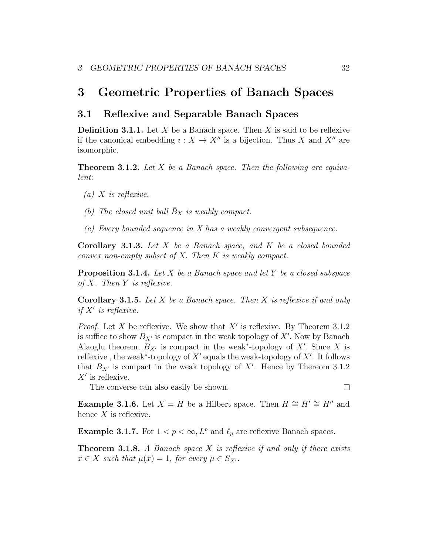## 3 Geometric Properties of Banach Spaces

## 3.1 Reflexive and Separable Banach Spaces

**Definition 3.1.1.** Let  $X$  be a Banach space. Then  $X$  is said to be reflexive if the canonical embedding  $i: X \to X''$  is a bijection. Thus X and X<sup>n</sup> are isomorphic.

**Theorem 3.1.2.** Let X be a Banach space. Then the following are equivalent:

- (a) X is reflexive.
- (b) The closed unit ball  $\bar{B}_X$  is weakly compact.
- $(c)$  Every bounded sequence in X has a weakly convergent subsequence.

**Corollary 3.1.3.** Let  $X$  be a Banach space, and  $K$  be a closed bounded convex non-empty subset of X. Then K is weakly compact.

**Proposition 3.1.4.** Let X be a Banach space and let Y be a closed subspace of  $X$ . Then  $Y$  is reflexive.

**Corollary 3.1.5.** Let X be a Banach space. Then X is reflexive if and only if  $X'$  is reflexive.

*Proof.* Let X be reflexive. We show that  $X'$  is reflexive. By Theorem 3.1.2 is suffice to show  $B_{X'}$  is compact in the weak topology of X'. Now by Banach Alaoglu theorem,  $B_{X'}$  is compact in the weak<sup>\*</sup>-topology of X'. Since X is relfexive, the weak<sup>\*</sup>-topology of  $X'$  equals the weak-topology of  $X'$ . It follows that  $B_{X'}$  is compact in the weak topology of X'. Hence by Thereom 3.1.2  $X'$  is reflexive.

The converse can also easily be shown.

 $\Box$ 

**Example 3.1.6.** Let  $X = H$  be a Hilbert space. Then  $H \cong H' \cong H''$  and hence  $X$  is reflexive.

**Example 3.1.7.** For  $1 < p < \infty$ ,  $L^p$  and  $\ell_p$  are reflexive Banach spaces.

**Theorem 3.1.8.** A Banach space X is reflexive if and only if there exists  $x \in X$  such that  $\mu(x) = 1$ , for every  $\mu \in S_{X'}$ .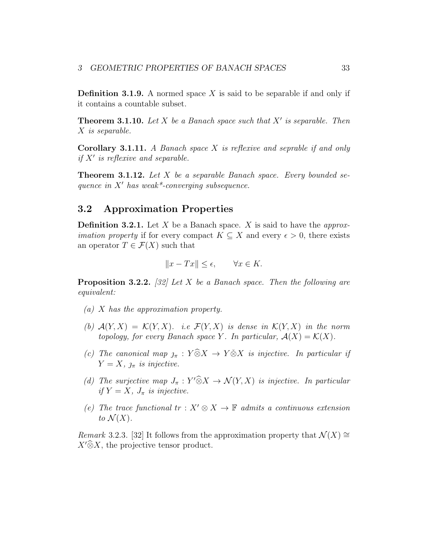**Definition 3.1.9.** A normed space X is said to be separable if and only if it contains a countable subset.

**Theorem 3.1.10.** Let  $X$  be a Banach space such that  $X'$  is separable. Then X is separable.

Corollary 3.1.11. A Banach space X is reflexive and seprable if and only if  $X'$  is reflexive and separable.

**Theorem 3.1.12.** Let  $X$  be a separable Banach space. Every bounded sequence in  $X'$  has weak\*-converging subsequence.

## 3.2 Approximation Properties

**Definition 3.2.1.** Let X be a Banach space. X is said to have the *approximation property* if for every compact  $K \subseteq X$  and every  $\epsilon > 0$ , there exists an operator  $T \in \mathcal{F}(X)$  such that

$$
||x - Tx|| \le \epsilon, \qquad \forall x \in K.
$$

**Proposition 3.2.2.** [32] Let X be a Banach space. Then the following are equivalent:

- (a) X has the approximation property.
- (b)  $\mathcal{A}(Y,X) = \mathcal{K}(Y,X)$ . i.e  $\mathcal{F}(Y,X)$  is dense in  $\mathcal{K}(Y,X)$  in the norm topology, for every Banach space Y. In particular,  $\mathcal{A}(X) = \mathcal{K}(X)$ .
- (c) The canonical map  $j_{\pi}: Y \widehat{\otimes} X \to Y \check{\otimes} X$  is injective. In particular if  $Y = X$ ,  $\jmath_{\pi}$  is injective.
- (d) The surjective map  $J_{\pi}: Y \widehat{\otimes} X \to \mathcal{N}(Y, X)$  is injective. In particular if  $Y = X$ ,  $J_{\pi}$  is injective.
- (e) The trace functional  $tr : X' \otimes X \to \mathbb{F}$  admits a continuous extension to  $\mathcal{N}(X)$ .

Remark 3.2.3. [32] It follows from the approximation property that  $\mathcal{N}(X) \cong$  $X' \otimes X$ , the projective tensor product.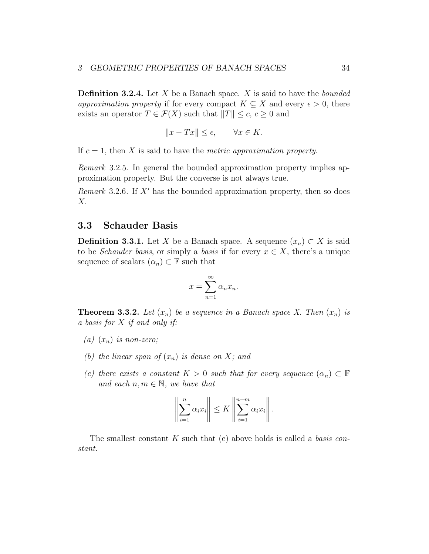**Definition 3.2.4.** Let X be a Banach space. X is said to have the *bounded approximation property* if for every compact  $K \subseteq X$  and every  $\epsilon > 0$ , there exists an operator  $T \in \mathcal{F}(X)$  such that  $||T|| \leq c, c \geq 0$  and

$$
||x - Tx|| \le \epsilon, \qquad \forall x \in K.
$$

If  $c = 1$ , then X is said to have the *metric approximation property*.

Remark 3.2.5. In general the bounded approximation property implies approximation property. But the converse is not always true.

Remark 3.2.6. If  $X'$  has the bounded approximation property, then so does X.

## 3.3 Schauder Basis

**Definition 3.3.1.** Let X be a Banach space. A sequence  $(x_n) \subset X$  is said to be *Schauder basis*, or simply a *basis* if for every  $x \in X$ , there's a unique sequence of scalars  $(\alpha_n) \subset \mathbb{F}$  such that

$$
x = \sum_{n=1}^{\infty} \alpha_n x_n.
$$

**Theorem 3.3.2.** Let  $(x_n)$  be a sequence in a Banach space X. Then  $(x_n)$  is a basis for X if and only if:

- (a)  $(x_n)$  is non-zero;
- (b) the linear span of  $(x_n)$  is dense on X; and
- (c) there exists a constant  $K > 0$  such that for every sequence  $(\alpha_n) \subset \mathbb{F}$ and each  $n, m \in \mathbb{N}$ , we have that

$$
\left\| \sum_{i=1}^n \alpha_i x_i \right\| \le K \left\| \sum_{i=1}^{n+m} \alpha_i x_i \right\|.
$$

The smallest constant  $K$  such that  $(c)$  above holds is called a *basis con*stant.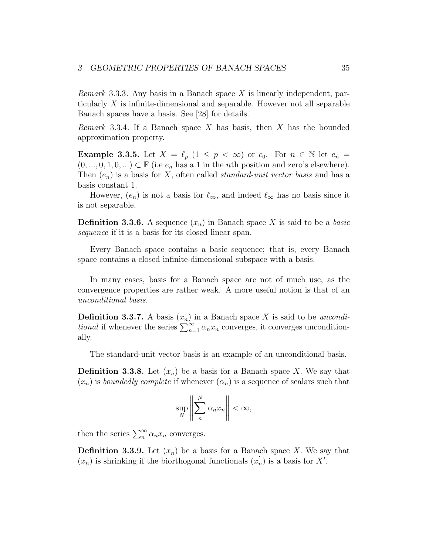*Remark* 3.3.3. Any basis in a Banach space X is linearly independent, particularly X is infinite-dimensional and separable. However not all separable Banach spaces have a basis. See [28] for details.

*Remark* 3.3.4. If a Banach space X has basis, then X has the bounded approximation property.

**Example 3.3.5.** Let  $X = \ell_p$  ( $1 \leq p < \infty$ ) or  $c_0$ . For  $n \in \mathbb{N}$  let  $e_n =$  $(0, ..., 0, 1, 0, ...) \subset \mathbb{F}$  (i.e  $e_n$  has a 1 in the *n*th position and zero's elsewhere). Then  $(e_n)$  is a basis for X, often called *standard-unit vector basis* and has a basis constant 1.

However,  $(e_n)$  is not a basis for  $\ell_{\infty}$ , and indeed  $\ell_{\infty}$  has no basis since it is not separable.

**Definition 3.3.6.** A sequence  $(x_n)$  in Banach space X is said to be a *basic* sequence if it is a basis for its closed linear span.

Every Banach space contains a basic sequence; that is, every Banach space contains a closed infinite-dimensional subspace with a basis.

In many cases, basis for a Banach space are not of much use, as the convergence properties are rather weak. A more useful notion is that of an unconditional basis.

**Definition 3.3.7.** A basis  $(x_n)$  in a Banach space X is said to be *unconditional* if whenever the series  $\sum_{n=1}^{\infty} \alpha_n x_n$  converges, it converges unconditionally.

The standard-unit vector basis is an example of an unconditional basis.

**Definition 3.3.8.** Let  $(x_n)$  be a basis for a Banach space X. We say that  $(x_n)$  is boundedly complete if whenever  $(\alpha_n)$  is a sequence of scalars such that

$$
\sup_{N}\left\|\sum_{n}^{N}\alpha_{n}x_{n}\right\|<\infty,
$$

then the series  $\sum_{n=0}^{\infty} \alpha_n x_n$  converges.

**Definition 3.3.9.** Let  $(x_n)$  be a basis for a Banach space X. We say that  $(x_n)$  is shrinking if the biorthogonal functionals  $(x_n)$  $n \choose n$  is a basis for X'.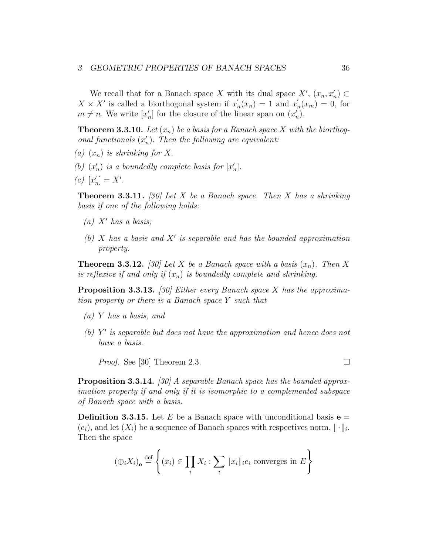#### 3 GEOMETRIC PROPERTIES OF BANACH SPACES 36

We recall that for a Banach space X with its dual space  $X'$ ,  $(x_n, x'_n) \subset$  $X \times X'$  is called a biorthogonal system if  $x'_i$  $n(x_n) = 1$  and  $x'_n$  $n(x_m) = 0$ , for  $m \neq n$ . We write  $[x'_n]$  for the closure of the linear span on  $(x'_n)$ .

**Theorem 3.3.10.** Let  $(x_n)$  be a basis for a Banach space X with the biorthogonal functionals  $(x'_n)$ . Then the following are equivalent:

- (a)  $(x_n)$  is shrinking for X.
- (b)  $(x'_n)$  is a boundedly complete basis for  $[x'_n]$ .
- (c)  $[x'_n] = X'.$

**Theorem 3.3.11.** [30] Let X be a Banach space. Then X has a shrinking basis if one of the following holds:

- (a)  $X'$  has a basis;
- (b)  $X$  has a basis and  $X'$  is separable and has the bounded approximation property.

**Theorem 3.3.12.** [30] Let X be a Banach space with a basis  $(x_n)$ . Then X is reflexive if and only if  $(x_n)$  is boundedly complete and shrinking.

**Proposition 3.3.13.** [30] Either every Banach space X has the approximation property or there is a Banach space Y such that

- (a) Y has a basis, and
- (b)  $Y'$  is separable but does not have the approximation and hence does not have a basis.

Proof. See [30] Theorem 2.3.

**Proposition 3.3.14.** [30] A separable Banach space has the bounded approximation property if and only if it is isomorphic to a complemented subspace of Banach space with a basis.

**Definition 3.3.15.** Let E be a Banach space with unconditional basis  $e =$  $(e_i)$ , and let  $(X_i)$  be a sequence of Banach spaces with respectives norm,  $\|\cdot\|_i$ . Then the space

$$
(\bigoplus_i X_i)_e \stackrel{\text{def}}{=} \left\{ (x_i) \in \prod_i X_i : \sum_i ||x_i||_i e_i \text{ converges in } E \right\}
$$

 $\Box$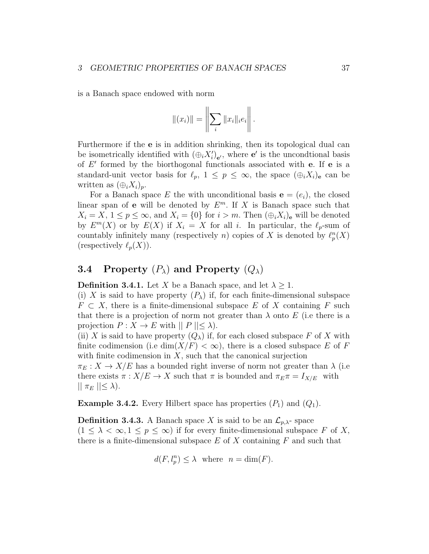is a Banach space endowed with norm

$$
||(x_i)|| = \left\| \sum_i ||x_i||_i e_i \right\|.
$$

Furthermore if the e is in addition shrinking, then its topological dual can be isometrically identified with  $(\bigoplus_i X_i')_{\mathbf{e}'}$ , where  $\mathbf{e}'$  is the uncondtional basis of  $E'$  formed by the biorthogonal functionals associated with e. If e is a standard-unit vector basis for  $\ell_p$ ,  $1 \leq p \leq \infty$ , the space  $(\bigoplus_i X_i)_e$  can be written as  $(\bigoplus_i X_i)_p$ .

For a Banach space E the with unconditional basis  $\mathbf{e} = (e_i)$ , the closed linear span of **e** will be denoted by  $E^m$ . If X is Banach space such that  $X_i = X, 1 \leq p \leq \infty$ , and  $X_i = \{0\}$  for  $i > m$ . Then  $(\bigoplus_i X_i)_{\mathbf{e}}$  will be denoted by  $E^m(X)$  or by  $E(X)$  if  $X_i = X$  for all i. In particular, the  $\ell_p$ -sum of countably infinitely many (respectively *n*) copies of X is denoted by  $\ell_p^n(X)$ (respectively  $\ell_p(X)$ ).

## 3.4 Property  $(P_\lambda)$  and Property  $(Q_\lambda)$

**Definition 3.4.1.** Let X be a Banach space, and let  $\lambda \geq 1$ .

(i) X is said to have property  $(P_\lambda)$  if, for each finite-dimensional subspace  $F \subset X$ , there is a finite-dimensional subspace E of X containing F such that there is a projection of norm not greater than  $\lambda$  onto E (i.e there is a projection  $P: X \to E$  with  $|| P || \leq \lambda$ .

(ii) X is said to have property  $(Q_{\lambda})$  if, for each closed subspace F of X with finite codimension (i.e dim $(X/F) < \infty$ ), there is a closed subspace E of F with finite codimension in  $X$ , such that the canonical surjection

 $\pi_E: X \to X/E$  has a bounded right inverse of norm not greater than  $\lambda$  (i.e. there exists  $\pi : X/E \to X$  such that  $\pi$  is bounded and  $\pi_E \pi = I_{X/E}$  with  $|| \pi_E || \leq \lambda$ .

**Example 3.4.2.** Every Hilbert space has properties  $(P_1)$  and  $(Q_1)$ .

**Definition 3.4.3.** A Banach space X is said to be an  $\mathcal{L}_{p,\lambda}$ - space  $(1 \leq \lambda < \infty, 1 \leq p \leq \infty)$  if for every finite-dimensional subspace F of X, there is a finite-dimensional subspace  $E$  of X containing  $F$  and such that

$$
d(F, l_p^n) \le \lambda \quad \text{where} \quad n = \dim(F).
$$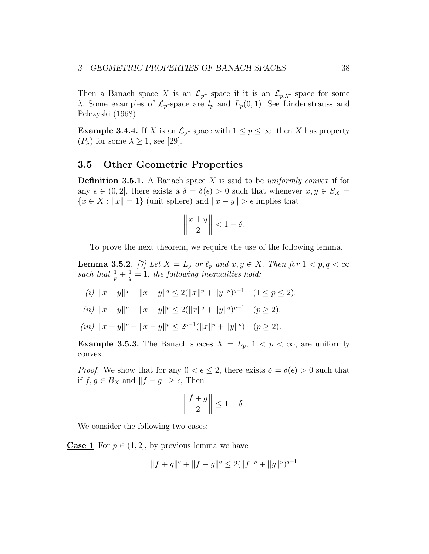Then a Banach space X is an  $\mathcal{L}_p$ - space if it is an  $\mathcal{L}_{p,\lambda}$ - space for some λ. Some examples of  $\mathcal{L}_p$ -space are  $l_p$  and  $L_p(0, 1)$ . See Lindenstrauss and Pelczyski (1968).

**Example 3.4.4.** If X is an  $\mathcal{L}_p$ - space with  $1 \leq p \leq \infty$ , then X has property  $(P_{\lambda})$  for some  $\lambda \geq 1$ , see [29].

## 3.5 Other Geometric Properties

**Definition 3.5.1.** A Banach space X is said to be *uniformly convex* if for any  $\epsilon \in (0, 2]$ , there exists a  $\delta = \delta(\epsilon) > 0$  such that whenever  $x, y \in S_X =$  ${x \in X : ||x|| = 1}$  (unit sphere) and  $||x - y|| > \epsilon$  implies that

$$
\left\|\frac{x+y}{2}\right\| < 1 - \delta.
$$

To prove the next theorem, we require the use of the following lemma.

**Lemma 3.5.2.** [7] Let  $X = L_p$  or  $\ell_p$  and  $x, y \in X$ . Then for  $1 < p, q < \infty$ such that  $\frac{1}{p} + \frac{1}{q}$  $\frac{1}{q} = 1$ , the following inequalities hold:

- (i)  $||x + y||^q + ||x y||^q \le 2(||x||^p + ||y||^p)^{q-1}$   $(1 \le p \le 2);$
- (ii)  $||x + y||^p + ||x y||^p \le 2(||x||^q + ||y||^q)^{p-1}$  ( $p \ge 2$ );
- (iii)  $||x + y||^p + ||x y||^p \le 2^{p-1}(||x||^p + ||y||^p)$  ( $p \ge 2$ ).

**Example 3.5.3.** The Banach spaces  $X = L_p$ ,  $1 < p < \infty$ , are uniformly convex.

*Proof.* We show that for any  $0 < \epsilon \leq 2$ , there exists  $\delta = \delta(\epsilon) > 0$  such that if  $f, g \in \overline{B}_X$  and  $||f - g|| \ge \epsilon$ , Then

$$
\left\|\frac{f+g}{2}\right\| \le 1-\delta.
$$

We consider the following two cases:

**Case 1** For  $p \in (1, 2]$ , by previous lemma we have

$$
||f+g||q + ||f-g||q \le 2(||f||p + ||g||p)q-1
$$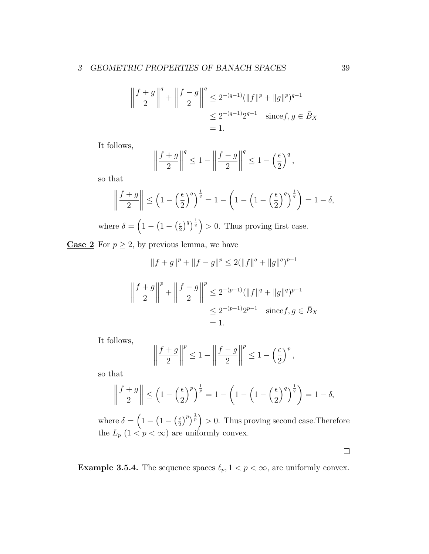$$
\left\| \frac{f+g}{2} \right\|^q + \left\| \frac{f-g}{2} \right\|^q \le 2^{-(q-1)} (\|f\|^p + \|g\|^p)^{q-1}
$$
  

$$
\le 2^{-(q-1)} 2^{q-1} \quad \text{since } f, g \in \bar{B}_X
$$
  
= 1.

It follows,

$$
\left\|\frac{f+g}{2}\right\|^q \le 1 - \left\|\frac{f-g}{2}\right\|^q \le 1 - \left(\frac{\epsilon}{2}\right)^q,
$$

so that

$$
\left\|\frac{f+g}{2}\right\| \le \left(1-\left(\frac{\epsilon}{2}\right)^q\right)^{\frac{1}{q}} = 1-\left(1-\left(1-\left(\frac{\epsilon}{2}\right)^q\right)^{\frac{1}{q}}\right) = 1-\delta,
$$

where  $\delta = \left(1 - \left(1 - \frac{\epsilon}{2}\right)\right)$  $\left(\frac{\epsilon}{2}\right)^{q}$  $\left(\frac{1}{q}\right)$  > 0. Thus proving first case.

**Case 2** For  $p \geq 2$ , by previous lemma, we have

$$
||f+g||^p + ||f-g||^p \le 2(||f||^q + ||g||^q)^{p-1}
$$

$$
\left\| \frac{f+g}{2} \right\|^p + \left\| \frac{f-g}{2} \right\|^p \le 2^{-(p-1)} (\|f\|^q + \|g\|^q)^{p-1}
$$
  

$$
\le 2^{-(p-1)} 2^{p-1} \quad \text{since } f, g \in \bar{B}_X
$$
  
= 1.

It follows,

$$
\left\|\frac{f+g}{2}\right\|^p \le 1 - \left\|\frac{f-g}{2}\right\|^p \le 1 - \left(\frac{\epsilon}{2}\right)^p,
$$

so that

$$
\left\|\frac{f+g}{2}\right\| \le \left(1-\left(\frac{\epsilon}{2}\right)^p\right)^{\frac{1}{p}} = 1-\left(1-\left(1-\left(\frac{\epsilon}{2}\right)^q\right)^{\frac{1}{q}}\right) = 1-\delta,
$$

where  $\delta = \left(1 - \left(1 - \frac{\epsilon}{2}\right)\right)$  $\left(\frac{\epsilon}{2}\right)^p \left(\frac{1}{p}\right) > 0$ . Thus proving second case. Therefore the  $L_p$   $(1 < p < \infty)$  are uniformly convex.

 $\Box$ 

**Example 3.5.4.** The sequence spaces  $\ell_p, 1 < p < \infty$ , are uniformly convex.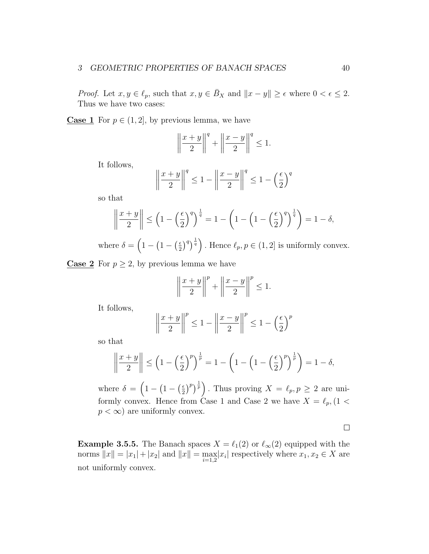#### 3 GEOMETRIC PROPERTIES OF BANACH SPACES 40

*Proof.* Let  $x, y \in \ell_p$ , such that  $x, y \in \overline{B}_X$  and  $||x - y|| \ge \epsilon$  where  $0 < \epsilon \le 2$ . Thus we have two cases:

**Case 1** For  $p \in (1, 2]$ , by previous lemma, we have

$$
\left\| \frac{x+y}{2} \right\|^q + \left\| \frac{x-y}{2} \right\|^q \le 1.
$$

It follows,

$$
\left\| \frac{x+y}{2} \right\|^q \le 1 - \left\| \frac{x-y}{2} \right\|^q \le 1 - \left(\frac{\epsilon}{2}\right)^q
$$

so that

$$
\left\|\frac{x+y}{2}\right\| \le \left(1-\left(\frac{\epsilon}{2}\right)^q\right)^{\frac{1}{q}} = 1-\left(1-\left(1-\left(\frac{\epsilon}{2}\right)^q\right)^{\frac{1}{q}}\right) = 1-\delta,
$$

where  $\delta = \left(1 - \left(1 - \frac{\epsilon}{2}\right)\right)$  $\left(\frac{\epsilon}{2}\right)^q\right)^{\frac{1}{q}}$ . Hence  $\ell_p, p \in (1, 2]$  is uniformly convex.

**Case 2** For  $p \geq 2$ , by previous lemma we have

$$
\left\|\frac{x+y}{2}\right\|^p + \left\|\frac{x-y}{2}\right\|^p \le 1.
$$

It follows,

$$
\left\|\frac{x+y}{2}\right\|^p \le 1 - \left\|\frac{x-y}{2}\right\|^p \le 1 - \left(\frac{\epsilon}{2}\right)^p
$$

so that

$$
\left\|\frac{x+y}{2}\right\| \le \left(1-\left(\frac{\epsilon}{2}\right)^p\right)^{\frac{1}{p}} = 1-\left(1-\left(1-\left(\frac{\epsilon}{2}\right)^p\right)^{\frac{1}{p}}\right) = 1-\delta,
$$

where  $\delta = \left(1 - \left(1 - \frac{\epsilon}{2}\right)\right)$  $\left(\frac{\epsilon}{2}\right)^p \right)^{\frac{1}{p}}$ . Thus proving  $X = \ell_p, p \geq 2$  are uniformly convex. Hence from Case 1 and Case 2 we have  $X = \ell_p, (1 \lt \ell_p)$  $p < \infty$ ) are uniformly convex.

 $\Box$ 

**Example 3.5.5.** The Banach spaces  $X = \ell_1(2)$  or  $\ell_{\infty}(2)$  equipped with the norms  $||x|| = |x_1| + |x_2|$  and  $||x|| = \max_{i=1,2} |x_i|$  respectively where  $x_1, x_2 \in X$  are not uniformly convex.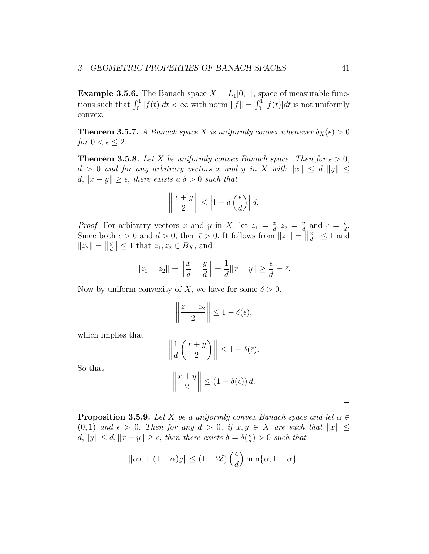**Example 3.5.6.** The Banach space  $X = L_1[0, 1]$ , space of measurable functions such that  $\int_0^1 |f(t)|dt < \infty$  with norm  $||f|| = \int_0^1 |f(t)|dt$  is not uniformly convex.

**Theorem 3.5.7.** A Banach space X is uniformly convex whenever  $\delta_X(\epsilon) > 0$ for  $0 < \epsilon \leq 2$ .

**Theorem 3.5.8.** Let X be uniformly convex Banach space. Then for  $\epsilon > 0$ ,  $d > 0$  and for any arbitrary vectors x and y in X with  $||x|| \leq d$ ,  $||y|| \leq d$  $d, \|x - y\| \geq \epsilon$ , there exists a  $\delta > 0$  such that

$$
\left\|\frac{x+y}{2}\right\| \le \left|1-\delta\left(\frac{\epsilon}{d}\right)\right|d.
$$

*Proof.* For arbitrary vectors x and y in X, let  $z_1 = \frac{x}{d}$  $\frac{x}{d}$ ,  $z_2 = \frac{y}{d}$  $\frac{y}{d}$  and  $\bar{\epsilon} = \frac{\epsilon}{d}$  $\frac{\epsilon}{d}$ . Since both  $\epsilon > 0$  and  $d > 0$ , then  $\bar{\epsilon} > 0$ . It follows from  $||z_1|| = ||\frac{x}{d}|| \le 1$  and  $||z_2|| = ||\frac{y}{d}$  $\left\| \frac{y}{d} \right\| \leq 1$  that  $z_1, z_2 \in B_X$ , and

$$
||z_1 - z_2|| = \left\|\frac{x}{d} - \frac{y}{d}\right\| = \frac{1}{d}||x - y|| \ge \frac{\epsilon}{d} = \bar{\epsilon}.
$$

Now by uniform convexity of X, we have for some  $\delta > 0$ ,

$$
\left\|\frac{z_1+z_2}{2}\right\| \le 1-\delta(\bar{\epsilon}),
$$

which implies that

$$
\left\| \frac{1}{d} \left( \frac{x+y}{2} \right) \right\| \le 1 - \delta(\bar{\epsilon}).
$$

So that

$$
\left\|\frac{x+y}{2}\right\| \leq (1-\delta(\bar{\epsilon})) d.
$$

 $\Box$ 

**Proposition 3.5.9.** Let X be a uniformly convex Banach space and let  $\alpha \in$  $(0, 1)$  and  $\epsilon > 0$ . Then for any  $d > 0$ , if  $x, y \in X$  are such that  $||x|| \leq$  $d, \|y\| \leq d, \|x - y\| \geq \epsilon$ , then there exists  $\delta = \delta(\frac{\epsilon}{d})$  $\frac{\epsilon}{d}$ ) > 0 such that

$$
\|\alpha x + (1 - \alpha)y\| \le (1 - 2\delta) \left(\frac{\epsilon}{d}\right) \min\{\alpha, 1 - \alpha\}.
$$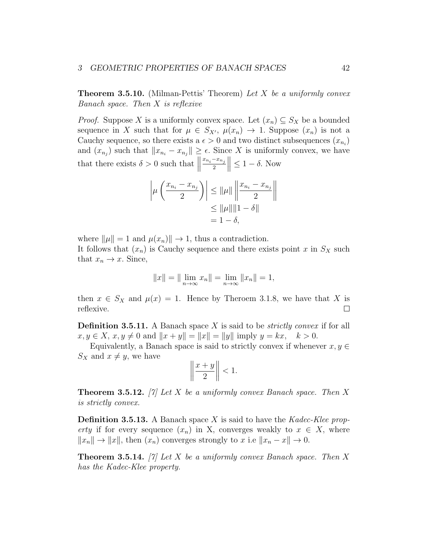**Theorem 3.5.10.** (Milman-Pettis' Theorem) Let X be a uniformly convex Banach space. Then X is reflexive

*Proof.* Suppose X is a uniformly convex space. Let  $(x_n) \subseteq S_X$  be a bounded sequence in X such that for  $\mu \in S_{X'}$ ,  $\mu(x_n) \to 1$ . Suppose  $(x_n)$  is not a Cauchy sequence, so there exists a  $\epsilon > 0$  and two distinct subsequences  $(x_{n_i})$ and  $(x_{n_j})$  such that  $||x_{n_i} - x_{n_j}|| \ge \epsilon$ . Since X is uniformly convex, we have that there exists  $\delta > 0$  such that  $\parallel$  $x_{n_i}-x_{n_j}$ 2  $\|\leq 1-\delta$ . Now

$$
\left| \mu \left( \frac{x_{n_i} - x_{n_j}}{2} \right) \right| \leq ||\mu|| \left\| \frac{x_{n_i} - x_{n_j}}{2} \right\|
$$
  

$$
\leq ||\mu|| ||1 - \delta||
$$
  

$$
= 1 - \delta,
$$

where  $\|\mu\| = 1$  and  $\mu(x_n)\|\to 1$ , thus a contradiction.

It follows that  $(x_n)$  is Cauchy sequence and there exists point x in  $S_X$  such that  $x_n \to x$ . Since,

$$
||x|| = || \lim_{n \to \infty} x_n|| = \lim_{n \to \infty} ||x_n|| = 1,
$$

then  $x \in S_X$  and  $\mu(x) = 1$ . Hence by Theroem 3.1.8, we have that X is reflexive.  $\Box$ 

**Definition 3.5.11.** A Banach space X is said to be *strictly convex* if for all  $x, y \in X$ ,  $x, y \neq 0$  and  $||x + y|| = ||x|| = ||y||$  imply  $y = kx$ ,  $k > 0$ .

Equivalently, a Banach space is said to strictly convex if whenever  $x, y \in$  $S_X$  and  $x \neq y$ , we have

$$
\left\|\frac{x+y}{2}\right\| < 1.
$$

**Theorem 3.5.12.** [7] Let X be a uniformly convex Banach space. Then X is strictly convex.

**Definition 3.5.13.** A Banach space X is said to have the Kadec-Klee property if for every sequence  $(x_n)$  in X, converges weakly to  $x \in X$ , where  $||x_n|| \to ||x||$ , then  $(x_n)$  converges strongly to x i.e  $||x_n - x|| \to 0$ .

**Theorem 3.5.14.** [7] Let X be a uniformly convex Banach space. Then X has the Kadec-Klee property.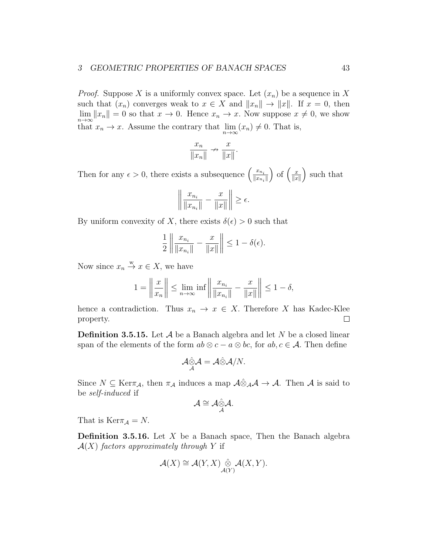#### 3 GEOMETRIC PROPERTIES OF BANACH SPACES 43

*Proof.* Suppose X is a uniformly convex space. Let  $(x_n)$  be a sequence in X such that  $(x_n)$  converges weak to  $x \in X$  and  $||x_n|| \to ||x||$ . If  $x = 0$ , then  $\lim_{n\to\infty}||x_n||=0$  so that  $x\to 0$ . Hence  $x_n\to x$ . Now suppose  $x\neq 0$ , we show that  $x_n \to x$ . Assume the contrary that  $\lim_{n \to \infty} (x_n) \neq 0$ . That is,

$$
\frac{x_n}{\|x_n\|} \nrightarrow{\quad} \frac{x}{\|x\|}.
$$

Then for any  $\epsilon > 0$ , there exists a subsequence  $\left(\frac{x_{n_i}}{||x||}\right)$  $\frac{x_{n_i}}{\|x_{n_i}\|}\bigg)$  of  $\left(\frac{x}{\|x\|}\right)$  $\frac{x}{\|x\|}\bigg$  such that

$$
\left\|\frac{x_{n_i}}{\|x_{n_i}\|}-\frac{x}{\|x\|}\right\| \geq \epsilon.
$$

By uniform convexity of X, there exists  $\delta(\epsilon) > 0$  such that

$$
\frac{1}{2}\left\|\frac{x_{n_i}}{\|x_{n_i}\|}-\frac{x}{\|x\|}\right\|\leq 1-\delta(\epsilon).
$$

Now since  $x_n \stackrel{w}{\to} x \in X$ , we have

$$
1 = \left\| \frac{x}{x_n} \right\| \le \lim_{n \to \infty} \inf \left\| \frac{x_{n_i}}{\|x_{n_i}\|} - \frac{x}{\|x\|} \right\| \le 1 - \delta,
$$

hence a contradiction. Thus  $x_n \to x \in X$ . Therefore X has Kadec-Klee property.  $\Box$ 

**Definition 3.5.15.** Let  $A$  be a Banach algebra and let  $N$  be a closed linear span of the elements of the form  $ab \otimes c - a \otimes bc$ , for  $ab, c \in \mathcal{A}$ . Then define

$$
\mathcal{A}\hat{\otimes}\mathcal{A}=\mathcal{A}\hat{\otimes}\mathcal{A}/N.
$$

Since  $N \subseteq \text{Ker}\pi_{\mathcal{A}}$ , then  $\pi_{\mathcal{A}}$  induces a map  $\mathcal{A} \otimes_{\mathcal{A}} \mathcal{A} \to \mathcal{A}$ . Then  $\mathcal{A}$  is said to be self-induced if

$$
\mathcal{A}\cong \mathcal{A}\hat{\otimes}\mathcal{A}.
$$

That is  $Ker\pi_{\mathcal{A}} = N$ .

**Definition 3.5.16.** Let  $X$  be a Banach space, Then the Banach algebra  $\mathcal{A}(X)$  factors approximately through Y if

$$
\mathcal{A}(X) \cong \mathcal{A}(Y,X) \underset{\mathcal{A}(Y)}{\hat{\otimes}} \mathcal{A}(X,Y).
$$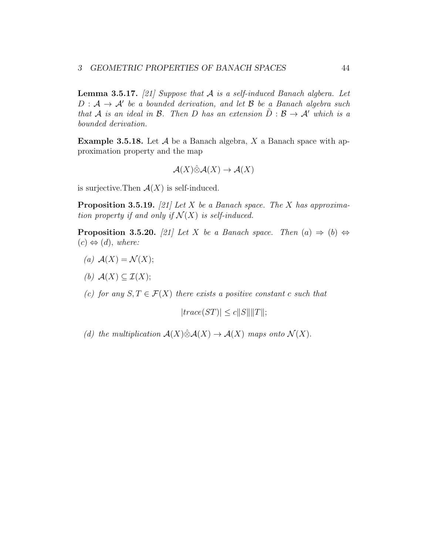**Lemma 3.5.17.** [21] Suppose that A is a self-induced Banach algbera. Let  $D: \mathcal{A} \to \mathcal{A}'$  be a bounded derivation, and let  $\mathcal{B}$  be a Banach algebra such that A is an ideal in B. Then D has an extension  $\tilde{D}: \mathcal{B} \to \mathcal{A}'$  which is a bounded derivation.

**Example 3.5.18.** Let  $A$  be a Banach algebra,  $X$  a Banach space with approximation property and the map

$$
\mathcal{A}(X)\hat{\otimes}\mathcal{A}(X)\to\mathcal{A}(X)
$$

is surjective. Then  $\mathcal{A}(X)$  is self-induced.

**Proposition 3.5.19.** [21] Let X be a Banach space. The X has approximation property if and only if  $\mathcal{N}(X)$  is self-induced.

**Proposition 3.5.20.** [21] Let X be a Banach space. Then  $(a) \Rightarrow (b) \Leftrightarrow$  $(c) \Leftrightarrow (d)$ , where:

- (a)  $\mathcal{A}(X) = \mathcal{N}(X);$
- (b)  $\mathcal{A}(X) \subset \mathcal{I}(X);$

(c) for any  $S, T \in \mathcal{F}(X)$  there exists a positive constant c such that

 $|trace(ST)| \leq c||S|| ||T||;$ 

(d) the multiplication  $\mathcal{A}(X)\hat{\otimes}\mathcal{A}(X) \to \mathcal{A}(X)$  maps onto  $\mathcal{N}(X)$ .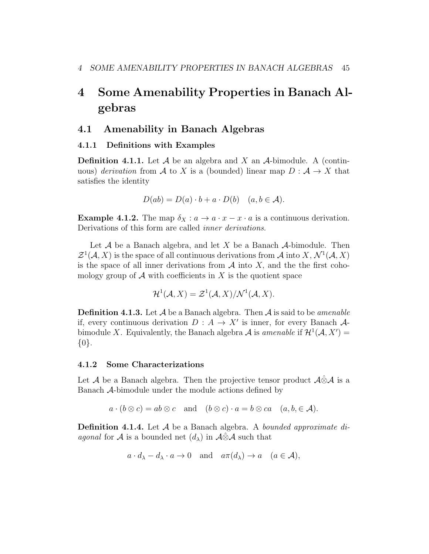# 4 Some Amenability Properties in Banach Algebras

## 4.1 Amenability in Banach Algebras

### 4.1.1 Definitions with Examples

**Definition 4.1.1.** Let  $\mathcal A$  be an algebra and  $X$  an  $\mathcal A$ -bimodule. A (continuous) derivation from A to X is a (bounded) linear map  $D: \mathcal{A} \to X$  that satisfies the identity

$$
D(ab) = D(a) \cdot b + a \cdot D(b) \quad (a, b \in \mathcal{A}).
$$

**Example 4.1.2.** The map  $\delta_X : a \to a \cdot x - x \cdot a$  is a continuous derivation. Derivations of this form are called inner derivations.

Let  $\mathcal A$  be a Banach algebra, and let X be a Banach  $\mathcal A$ -bimodule. Then  $\mathcal{Z}^1(\mathcal{A},X)$  is the space of all continuous derivations from A into X,  $\mathcal{N}^1(\mathcal{A},X)$ is the space of all inner derivations from  $A$  into  $X$ , and the the first cohomology group of  $A$  with coefficients in X is the quotient space

$$
\mathcal{H}^1(\mathcal{A}, X) = \mathcal{Z}^1(\mathcal{A}, X) / \mathcal{N}^1(\mathcal{A}, X).
$$

**Definition 4.1.3.** Let  $\mathcal A$  be a Banach algebra. Then  $\mathcal A$  is said to be *amenable* if, every continuous derivation  $D: A \to X'$  is inner, for every Banach Abimodule X. Equivalently, the Banach algebra A is amenable if  $\mathcal{H}^1(\mathcal{A}, X') =$ {0}.

#### 4.1.2 Some Characterizations

Let A be a Banach algebra. Then the projective tensor product  $\mathcal{A}\hat{\otimes}\mathcal{A}$  is a Banach A-bimodule under the module actions defined by

 $a \cdot (b \otimes c) = ab \otimes c$  and  $(b \otimes c) \cdot a = b \otimes ca$   $(a, b, \in \mathcal{A})$ .

**Definition 4.1.4.** Let  $A$  be a Banach algebra. A bounded approximate diagonal for A is a bounded net  $(d_{\lambda})$  in  $\mathcal{A}\otimes\mathcal{A}$  such that

$$
a \cdot d_{\lambda} - d_{\lambda} \cdot a \to 0
$$
 and  $a\pi(d_{\lambda}) \to a$   $(a \in \mathcal{A}),$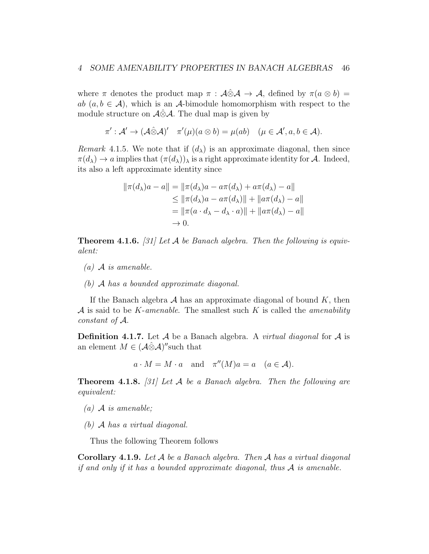where  $\pi$  denotes the product map  $\pi$ :  $\mathcal{A}\otimes\mathcal{A}\to\mathcal{A}$ , defined by  $\pi(a\otimes b)$  = ab  $(a, b \in \mathcal{A})$ , which is an A-bimodule homomorphism with respect to the module structure on  $\mathcal{A} \hat{\otimes} \mathcal{A}$ . The dual map is given by

$$
\pi': \mathcal{A}' \to (\mathcal{A} \hat{\otimes} \mathcal{A})' \quad \pi'(\mu)(a \otimes b) = \mu(ab) \quad (\mu \in \mathcal{A}', a, b \in \mathcal{A}).
$$

*Remark* 4.1.5. We note that if  $(d_{\lambda})$  is an approximate diagonal, then since  $\pi(d_{\lambda}) \to a$  implies that  $(\pi(d_{\lambda}))_{\lambda}$  is a right approximate identity for A. Indeed, its also a left approximate identity since

$$
\|\pi(d_{\lambda})a - a\| = \|\pi(d_{\lambda})a - a\pi(d_{\lambda}) + a\pi(d_{\lambda}) - a\|
$$
  
\n
$$
\leq \|\pi(d_{\lambda})a - a\pi(d_{\lambda})\| + \|a\pi(d_{\lambda}) - a\|
$$
  
\n
$$
= \|\pi(a \cdot d_{\lambda} - d_{\lambda} \cdot a)\| + \|a\pi(d_{\lambda}) - a\|
$$
  
\n
$$
\to 0.
$$

**Theorem 4.1.6.** [31] Let A be Banach algebra. Then the following is equivalent:

- $(a)$  A is amenable.
- (b) A has a bounded approximate diagonal.

If the Banach algebra  $A$  has an approximate diagonal of bound  $K$ , then A is said to be K-amenable. The smallest such K is called the amenability constant of A.

**Definition 4.1.7.** Let  $\mathcal A$  be a Banach algebra. A *virtual diagonal* for  $\mathcal A$  is an element  $M \in (\mathcal{A} \hat{\otimes} \mathcal{A})^{\prime\prime}$  such that

 $a \cdot M = M \cdot a$  and  $\pi''(M)a = a$   $(a \in \mathcal{A}).$ 

**Theorem 4.1.8.** [31] Let A be a Banach algebra. Then the following are equivalent:

- (a)  $\mathcal A$  is amenable;
- (b) A has a virtual diagonal.

Thus the following Theorem follows

**Corollary 4.1.9.** Let  $A$  be a Banach algebra. Then  $A$  has a virtual diagonal if and only if it has a bounded approximate diagonal, thus  $A$  is amenable.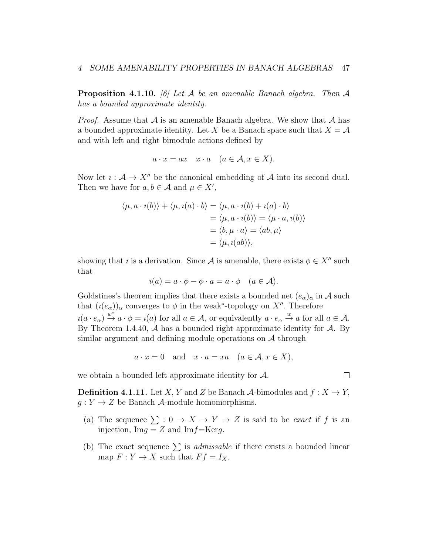**Proposition 4.1.10.** [6] Let A be an amenable Banach algebra. Then A has a bounded approximate identity.

*Proof.* Assume that  $\mathcal A$  is an amenable Banach algebra. We show that  $\mathcal A$  has a bounded approximate identity. Let X be a Banach space such that  $X = A$ and with left and right bimodule actions defined by

$$
a \cdot x = ax \quad x \cdot a \quad (a \in \mathcal{A}, x \in X).
$$

Now let  $\imath : A \to X''$  be the canonical embedding of A into its second dual. Then we have for  $a, b \in \mathcal{A}$  and  $\mu \in X'$ ,

$$
\langle \mu, a \cdot \imath(b) \rangle + \langle \mu, \imath(a) \cdot b \rangle = \langle \mu, a \cdot \imath(b) + \imath(a) \cdot b \rangle
$$
  
=  $\langle \mu, a \cdot \imath(b) \rangle = \langle \mu \cdot a, \imath(b) \rangle$   
=  $\langle b, \mu \cdot a \rangle = \langle ab, \mu \rangle$   
=  $\langle \mu, \imath(ab) \rangle$ ,

showing that *i* is a derivation. Since A is amenable, there exists  $\phi \in X''$  such that

$$
i(a) = a \cdot \phi - \phi \cdot a = a \cdot \phi \quad (a \in \mathcal{A}).
$$

Goldstines's theorem implies that there exists a bounded net  $(e_{\alpha})_{\alpha}$  in A such that  $(i(e_{\alpha}))_{\alpha}$  converges to  $\phi$  in the weak<sup>\*</sup>-topology on X''. Therefore  $u(a \cdot e_\alpha) \stackrel{w^*}{\rightarrow} a \cdot \phi = u(a)$  for all  $a \in \mathcal{A}$ , or equivalently  $a \cdot e_\alpha \stackrel{w}{\rightarrow} a$  for all  $a \in \mathcal{A}$ . By Theorem 1.4.40,  $A$  has a bounded right approximate identity for  $A$ . By similar argument and defining module operations on  $A$  through

$$
a \cdot x = 0
$$
 and  $x \cdot a = xa$   $(a \in \mathcal{A}, x \in X),$ 

we obtain a bounded left approximate identity for A.

**Definition 4.1.11.** Let X, Y and Z be Banach A-bimodules and  $f: X \to Y$ ,  $g: Y \to Z$  be Banach A-module homomorphisms.

- (a) The sequence  $\sum : 0 \to X \to Y \to Z$  is said to be exact if f is an injection, Im $q = Z$  and Im $f = \text{Ker } q$ .
- (b) The exact sequence  $\sum$  is *admissable* if there exists a bounded linear map  $F: Y \to X$  such that  $F f = I_X$ .

 $\Box$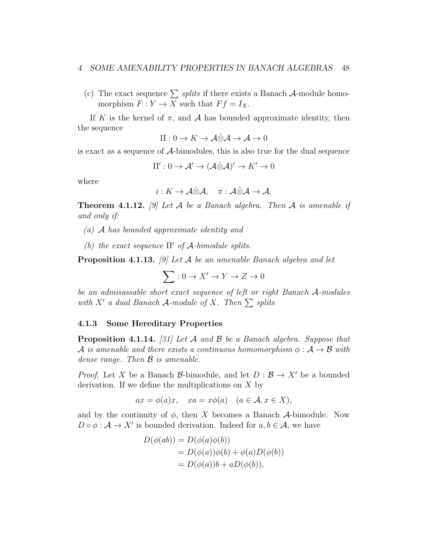(c) The exact sequence  $\sum$  splits if there exists a Banach A-module homomorphism  $F: Y \to X$  such that  $Ff = I_X$ .

If K is the kernel of  $\pi$ , and A has bounded approximate identity, then the sequence

$$
\Pi:0\to K\to \mathcal{A}\hat{\otimes}\mathcal{A}\to \mathcal{A}\to 0
$$

is exact as a sequence of A-bimodules, this is also true for the dual sequence

$$
\Pi': 0 \to \mathcal{A}' \to (\mathcal{A} \hat{\otimes} \mathcal{A})' \to K' \to 0
$$

where

$$
i: K \to \mathcal{A} \hat{\otimes} \mathcal{A}, \quad \pi: \mathcal{A} \hat{\otimes} \mathcal{A} \to \mathcal{A}.
$$

**Theorem 4.1.12.** [9] Let A be a Banach algebra. Then A is amenable if and only if:

(a) A has bounded approximate identity and

(b) the exact sequence  $\Pi'$  of  $\mathcal A$ -bimodule splits.

**Proposition 4.1.13.** [9] Let  $A$  be an amenable Banach algebra and let

$$
\sum: 0 \to X' \to Y \to Z \to 0
$$

be an admisassable short exact sequence of left or right Banach A-modules with  $X'$  a dual Banach A-module of X. Then  $\sum$  splits

#### 4.1.3 Some Hereditary Properties

**Proposition 4.1.14.** [31] Let  $A$  and  $B$  be a Banach algebra. Suppose that A is amenable and there exists a continuous homomorphism  $\phi : A \rightarrow B$  with dense range. Then  $\beta$  is amenable.

*Proof.* Let X be a Banach B-bimodule, and let  $D : \mathcal{B} \to X'$  be a bounded derivation. If we define the multiplications on  $X$  by

$$
ax = \phi(a)x, \quad xa = x\phi(a) \quad (a \in \mathcal{A}, x \in X),
$$

and by the continuity of  $\phi$ , then X becomes a Banach A-bimodule. Now  $D \circ \phi : A \to X'$  is bounded derivation. Indeed for  $a, b \in A$ , we have

$$
D(\phi(ab)) = D(\phi(a)\phi(b))
$$
  
=  $D(\phi(a))\phi(b) + \phi(a)D(\phi(b))$   
=  $D(\phi(a))b + aD(\phi(b)),$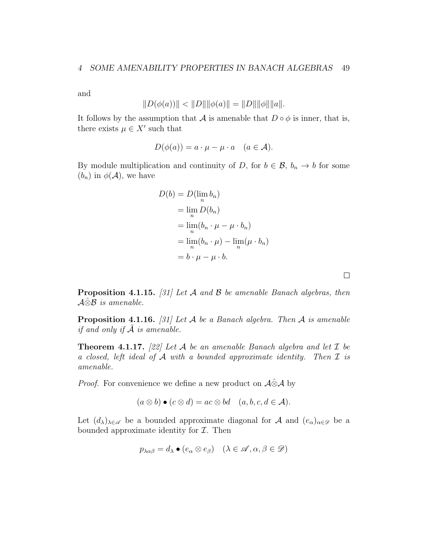and

$$
||D(\phi(a))|| < ||D|| ||\phi(a)|| = ||D|| ||\phi|| ||a||.
$$

It follows by the assumption that  $\mathcal A$  is amenable that  $D \circ \phi$  is inner, that is, there exists  $\mu \in X'$  such that

$$
D(\phi(a)) = a \cdot \mu - \mu \cdot a \quad (a \in \mathcal{A}).
$$

By module multiplication and continuity of D, for  $b \in \mathcal{B}$ ,  $b_n \to b$  for some  $(b_n)$  in  $\phi(\mathcal{A})$ , we have

$$
D(b) = D(\lim_{n} b_n)
$$
  
= 
$$
\lim_{n} D(b_n)
$$
  
= 
$$
\lim_{n} (b_n \cdot \mu - \mu \cdot b_n)
$$
  
= 
$$
\lim_{n} (b_n \cdot \mu) - \lim_{n} (\mu \cdot b_n)
$$
  
= 
$$
b \cdot \mu - \mu \cdot b.
$$

**Proposition 4.1.15.** [31] Let  $A$  and  $B$  be amenable Banach algebras, then  $\mathcal{A}\hat{\otimes}\mathcal{B}$  is amenable.

 $\Box$ 

**Proposition 4.1.16.** [31] Let A be a Banach algebra. Then A is amenable if and only if  $\tilde{A}$  is amenable.

**Theorem 4.1.17.** [22] Let A be an amenable Banach algebra and let  $\mathcal{I}$  be a closed, left ideal of  $A$  with a bounded approximate identity. Then  $I$  is amenable.

*Proof.* For convenience we define a new product on  $\mathcal{A}\hat{\otimes}\mathcal{A}$  by

$$
(a \otimes b) \bullet (c \otimes d) = ac \otimes bd \quad (a, b, c, d \in \mathcal{A}).
$$

Let  $(d_\lambda)_{\lambda \in \mathscr{A}}$  be a bounded approximate diagonal for A and  $(e_\alpha)_{\alpha \in \mathscr{D}}$  be a bounded approximate identity for  $I$ . Then

$$
p_{\lambda\alpha\beta} = d_{\lambda} \bullet (e_{\alpha} \otimes e_{\beta}) \quad (\lambda \in \mathscr{A}, \alpha, \beta \in \mathscr{D})
$$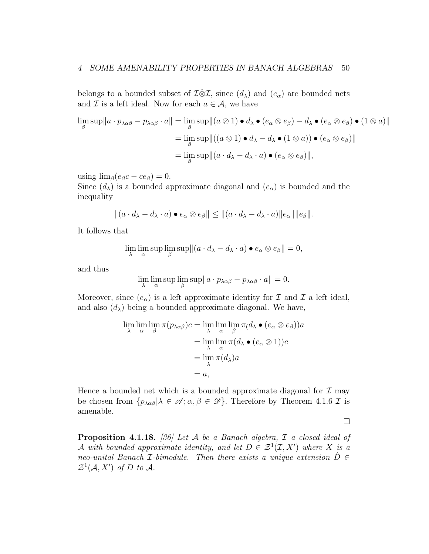belongs to a bounded subset of  $\mathcal{I}\hat{\otimes}\mathcal{I}$ , since  $(d_{\lambda})$  and  $(e_{\alpha})$  are bounded nets and  $\mathcal I$  is a left ideal. Now for each  $a \in \mathcal A$ , we have

$$
\lim_{\beta} \sup ||a \cdot p_{\lambda \alpha \beta} - p_{\lambda \alpha \beta} \cdot a|| = \lim_{\beta} \sup ||(a \otimes 1) \bullet d_{\lambda} \bullet (e_{\alpha} \otimes e_{\beta}) - d_{\lambda} \bullet (e_{\alpha} \otimes e_{\beta}) \bullet (1 \otimes a)||
$$
  
= 
$$
\lim_{\beta} \sup ||((a \otimes 1) \bullet d_{\lambda} - d_{\lambda} \bullet (1 \otimes a)) \bullet (e_{\alpha} \otimes e_{\beta})||
$$
  
= 
$$
\lim_{\beta} \sup ||(a \cdot d_{\lambda} - d_{\lambda} \cdot a) \bullet (e_{\alpha} \otimes e_{\beta})||,
$$

using  $\lim_{\beta} (e_{\beta}c - ce_{\beta}) = 0.$ 

Since  $(d_{\lambda})$  is a bounded approximate diagonal and  $(e_{\alpha})$  is bounded and the inequality

$$
||(a \cdot d_\lambda - d_\lambda \cdot a) \bullet e_\alpha \otimes e_\beta|| \leq ||(a \cdot d_\lambda - d_\lambda \cdot a)||e_\alpha|| ||e_\beta||.
$$

It follows that

$$
\lim_{\lambda} \lim_{\alpha} \sup \lim_{\beta} \sup \|(a \cdot d_{\lambda} - d_{\lambda} \cdot a) \bullet e_{\alpha} \otimes e_{\beta}\| = 0,
$$

and thus

$$
\lim_{\lambda} \lim_{\alpha} \sup \lim_{\beta} \sup \|a \cdot p_{\lambda \alpha \beta} - p_{\lambda \alpha \beta} \cdot a\| = 0.
$$

Moreover, since  $(e_{\alpha})$  is a left approximate identity for  $\mathcal I$  and  $\mathcal I$  a left ideal, and also  $(d_{\lambda})$  being a bounded approximate diagonal. We have,

$$
\lim_{\lambda} \lim_{\alpha} \lim_{\beta} \pi(p_{\lambda \alpha \beta})c = \lim_{\lambda} \lim_{\alpha} \lim_{\beta} \pi(d_{\lambda} \bullet (e_{\alpha} \otimes e_{\beta}))a
$$

$$
= \lim_{\lambda} \lim_{\alpha} \pi(d_{\lambda} \bullet (e_{\alpha} \otimes 1))c
$$

$$
= \lim_{\lambda} \pi(d_{\lambda})a
$$

$$
= a,
$$

Hence a bounded net which is a bounded approximate diagonal for  $\mathcal I$  may be chosen from  $\{p_{\lambda\alpha\beta}|\lambda \in \mathscr{A}; \alpha, \beta \in \mathscr{D}\}\)$ . Therefore by Theorem 4.1.6  $\mathcal I$  is amenable.

 $\Box$ 

**Proposition 4.1.18.** [36] Let  $A$  be a Banach algebra,  $I$  a closed ideal of A with bounded approximate identity, and let  $D \in \mathcal{Z}^1(\mathcal{I}, X')$  where X is a neo-unital Banach  $\mathcal{I}$ -bimodule. Then there exists a unique extension  $\hat{D} \in$  $\mathcal{Z}^1(\mathcal{A}, X')$  of D to A.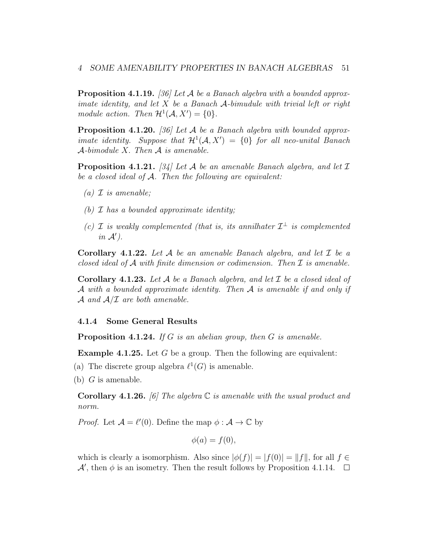**Proposition 4.1.19.** [36] Let A be a Banach algebra with a bounded approximate identity, and let  $X$  be a Banach  $A$ -bimudule with trivial left or right module action. Then  $\mathcal{H}^1(\mathcal{A}, X') = \{0\}.$ 

**Proposition 4.1.20.** [36] Let  $A$  be a Banach algebra with bounded approximate identity. Suppose that  $\mathcal{H}^1(\mathcal{A}, X') = \{0\}$  for all neo-unital Banach  $\mathcal{A}\text{-bimodule }X.$  Then  $\mathcal{A}$  is amenable.

**Proposition 4.1.21.** [34] Let A be an amenable Banach algebra, and let  $\mathcal{I}$ be a closed ideal of A. Then the following are equivalent:

- (a)  $\mathcal I$  is amenable;
- (b)  $I$  has a bounded approximate identity;
- (c)  $\mathcal I$  is weakly complemented (that is, its annilhater  $\mathcal I^{\perp}$  is complemented in  $\mathcal{A}'$ ).

**Corollary 4.1.22.** Let A be an amenable Banach algebra, and let  $\mathcal{I}$  be a closed ideal of A with finite dimension or codimension. Then  $\mathcal I$  is amenable.

**Corollary 4.1.23.** Let A be a Banach algebra, and let  $\mathcal{I}$  be a closed ideal of A with a bounded approximate identity. Then A is amenable if and only if  $\mathcal A$  and  $\mathcal A/\mathcal I$  are both amenable.

#### 4.1.4 Some General Results

**Proposition 4.1.24.** If G is an abelian group, then G is amenable.

**Example 4.1.25.** Let G be a group. Then the following are equivalent:

(a) The discrete group algebra  $\ell^1(G)$  is amenable.

(b)  $G$  is amenable.

**Corollary 4.1.26.** [6] The algebra  $\mathbb C$  is amenable with the usual product and norm.

*Proof.* Let  $\mathcal{A} = \ell'(0)$ . Define the map  $\phi : \mathcal{A} \to \mathbb{C}$  by

$$
\phi(a) = f(0),
$$

which is clearly a isomorphism. Also since  $|\phi(f)| = |f(0)| = ||f||$ , for all  $f \in$  $\mathcal{A}'$ , then  $\phi$  is an isometry. Then the result follows by Proposition 4.1.14.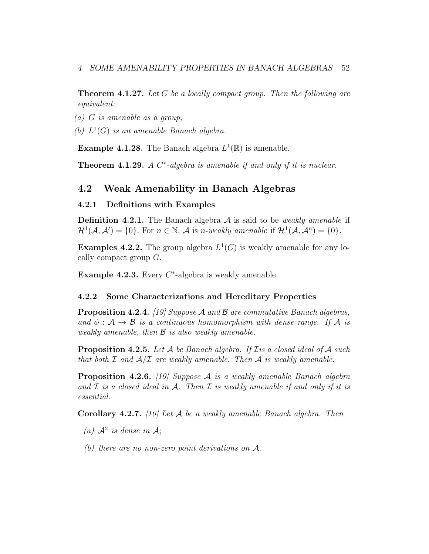Theorem 4.1.27. Let G be a locally compact group. Then the following are equivalent:

- $(a)$  G is amenable as a group;
- (b)  $L^1(G)$  is an amenable Banach algebra.

**Example 4.1.28.** The Banach algebra  $L^1(\mathbb{R})$  is amenable.

**Theorem 4.1.29.** A  $C^*$ -algebra is amenable if and only if it is nuclear.

## 4.2 Weak Amenability in Banach Algebras

#### 4.2.1 Definitions with Examples

**Definition 4.2.1.** The Banach algebra  $A$  is said to be *weakly amenable* if  $\mathcal{H}^1(\mathcal{A}, \mathcal{A}') = \{0\}.$  For  $n \in \mathbb{N}, \mathcal{A}$  is *n*-weakly amenable if  $\mathcal{H}^1(\mathcal{A}, \mathcal{A}^n) = \{0\}.$ 

**Examples 4.2.2.** The group algebra  $L^1(G)$  is weakly amenable for any locally compact group  $G$ .

Example 4.2.3. Every  $C^*$ -algebra is weakly amenable.

#### 4.2.2 Some Characterizations and Hereditary Properties

**Proposition 4.2.4.** [19] Suppose A and B are commutative Banach algebras, and  $\phi : A \rightarrow B$  is a continuous homomorphism with dense range. If A is weakly amenable, then  $\mathcal B$  is also weakly amenable.

**Proposition 4.2.5.** Let A be Banach algebra. If  $I$  is a closed ideal of A such that both  $\mathcal I$  and  $\mathcal A/\mathcal I$  are weakly amenable. Then  $\mathcal A$  is weakly amenable.

**Proposition 4.2.6.** [19] Suppose A is a weakly amenable Banach algebra and  $\mathcal I$  is a closed ideal in  $\mathcal A$ . Then  $\mathcal I$  is weakly amenable if and only if it is essential.

**Corollary 4.2.7.** [10] Let A be a weakly amenable Banach algebra. Then

- (a)  $\mathcal{A}^2$  is dense in  $\mathcal{A}$ ;
- (b) there are no non-zero point derivations on A.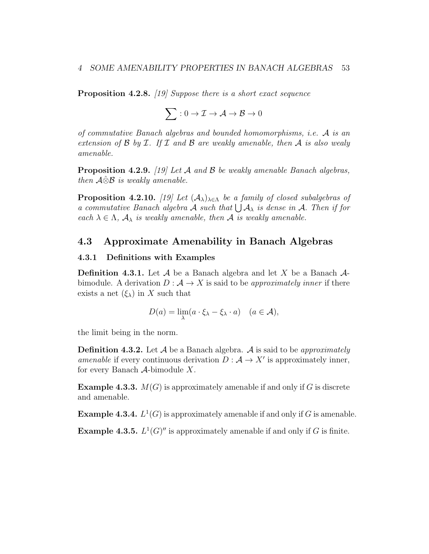**Proposition 4.2.8.** [19] Suppose there is a short exact sequence

$$
\sum : 0 \to \mathcal{I} \to \mathcal{A} \to \mathcal{B} \to 0
$$

of commutative Banach algebras and bounded homomorphisms, *i.e.*  $A$  is an extension of  $\mathcal B$  by  $\mathcal I$ . If  $\mathcal I$  and  $\mathcal B$  are weakly amenable, then  $\mathcal A$  is also wealy amenable.

**Proposition 4.2.9.** [19] Let A and B be weakly amenable Banach algebras, then  $\mathcal{A}\hat{\otimes}\mathcal{B}$  is weakly amenable.

**Proposition 4.2.10.** [19] Let  $(A_{\lambda})_{\lambda \in \Lambda}$  be a family of closed subalgebras of a commutative Banach algebra A such that  $\bigcup A_{\lambda}$  is dense in A. Then if for each  $\lambda \in \Lambda$ ,  $\mathcal{A}_{\lambda}$  is weakly amenable, then  $\mathcal A$  is weakly amenable.

## 4.3 Approximate Amenability in Banach Algebras

## 4.3.1 Definitions with Examples

**Definition 4.3.1.** Let  $\mathcal A$  be a Banach algebra and let X be a Banach  $\mathcal A$ bimodule. A derivation  $D: \mathcal{A} \to X$  is said to be approximately inner if there exists a net  $(\xi_{\lambda})$  in X such that

$$
D(a) = \lim_{\lambda} (a \cdot \xi_{\lambda} - \xi_{\lambda} \cdot a) \quad (a \in \mathcal{A}),
$$

the limit being in the norm.

**Definition 4.3.2.** Let  $A$  be a Banach algebra.  $A$  is said to be *approximately* amenable if every continuous derivation  $D : A \rightarrow X'$  is approximately inner, for every Banach  $A$ -bimodule X.

**Example 4.3.3.**  $M(G)$  is approximately amenable if and only if G is discrete and amenable.

**Example 4.3.4.**  $L^1(G)$  is approximately amenable if and only if G is amenable.

**Example 4.3.5.**  $L^1(G)''$  is approximately amenable if and only if G is finite.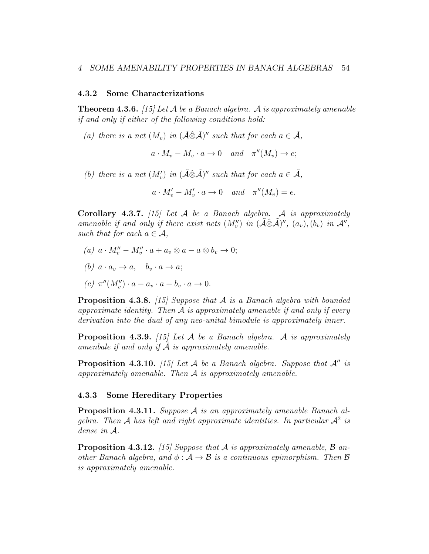#### 4.3.2 Some Characterizations

**Theorem 4.3.6.** [15] Let A be a Banach algebra. A is approximately amenable if and only if either of the following conditions hold:

(a) there is a net  $(M_v)$  in  $(\tilde{A}\hat{\otimes}\tilde{A})''$  such that for each  $a\in\tilde{A}$ ,

 $a \cdot M_v - M_v \cdot a \to 0$  and  $\pi''(M_v) \to e;$ 

(b) there is a net  $(M'_v)$  in  $(\tilde{\mathcal{A}} \hat{\otimes} \tilde{\mathcal{A}})'$  such that for each  $a \in \tilde{\mathcal{A}}$ ,

 $a \cdot M'_v - M'_v \cdot a \to 0$  and  $\pi''(M_v) = e$ .

Corollary 4.3.7. [15] Let A be a Banach algebra. A is approximately amenable if and only if there exist nets  $(M''_v)$  in  $(\tilde{\mathcal{A}} \hat{\otimes} \tilde{\mathcal{A}})'', (a_v), (b_v)$  in  $\mathcal{A}''$ , such that for each  $a \in \mathcal{A}$ ,

(a)  $a \cdot M''_v - M''_v \cdot a + a_v \otimes a - a \otimes b_v \to 0;$ 

(b) 
$$
a \cdot a_v \to a
$$
,  $b_v \cdot a \to a$ ;

$$
(c) \ \pi''(M''_v) \cdot a - a_v \cdot a - b_v \cdot a \to 0.
$$

**Proposition 4.3.8.** [15] Suppose that A is a Banach algebra with bounded approximate identity. Then  $\mathcal A$  is approximately amenable if and only if every derivation into the dual of any neo-unital bimodule is approximately inner.

**Proposition 4.3.9.** [15] Let A be a Banach algebra. A is approximately amenbale if and only if  $A$  is approximately amenable.

**Proposition 4.3.10.** [15] Let A be a Banach algebra. Suppose that  $\mathcal{A}''$  is approximately amenable. Then  $A$  is approximately amenable.

#### 4.3.3 Some Hereditary Properties

**Proposition 4.3.11.** Suppose  $\mathcal A$  is an approximately amenable Banach algebra. Then A has left and right approximate identities. In particular  $\mathcal{A}^2$  is dense in A.

**Proposition 4.3.12.** [15] Suppose that A is approximately amenable, B another Banach algebra, and  $\phi : A \rightarrow B$  is a continuous epimorphism. Then B is approximately amenable.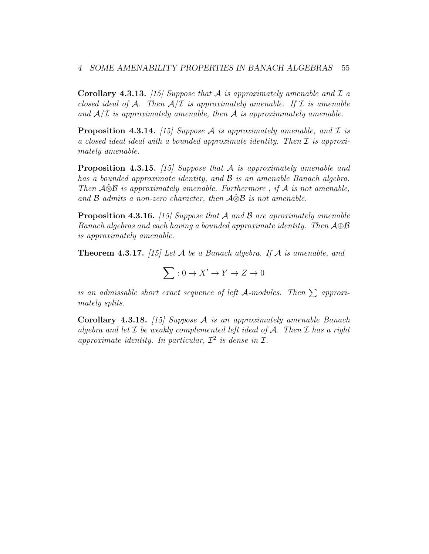**Corollary 4.3.13.** [15] Suppose that A is approximately amenable and  $\mathcal{I}$  a closed ideal of A. Then  $A/\mathcal{I}$  is approximately amenable. If  $\mathcal I$  is amenable and  $A/\mathcal{I}$  is approximately amenable, then  $A$  is approximmately amenable.

**Proposition 4.3.14.** [15] Suppose A is approximately amenable, and  $\mathcal{I}$  is a closed ideal ideal with a bounded approximate identity. Then  $\mathcal I$  is approximately amenable.

**Proposition 4.3.15.** [15] Suppose that A is approximately amenable and has a bounded approximate identity, and  $\beta$  is an amenable Banach algebra. Then  $\mathcal{A}\hat{\otimes}\mathcal{B}$  is approximately amenable. Furthermore, if  $\mathcal{A}$  is not amenable, and B admits a non-zero character, then  $\mathcal{A}\hat{\otimes}\mathcal{B}$  is not amenable.

**Proposition 4.3.16.** [15] Suppose that A and B are aproximately amenable Banach algebras and each having a bounded approximate identity. Then  $\mathcal{A} \oplus \mathcal{B}$ is approximately amenable.

**Theorem 4.3.17.** [15] Let A be a Banach algebra. If A is amenable, and

$$
\sum : 0 \to X' \to Y \to Z \to 0
$$

is an admissable short exact sequence of left  $A$ -modules. Then  $\sum$  approximately splits.

Corollary 4.3.18. [15] Suppose  $A$  is an approximately amenable Banach algebra and let  $\mathcal I$  be weakly complemented left ideal of  $\mathcal A$ . Then  $\mathcal I$  has a right approximate identity. In particular,  $\mathcal{I}^2$  is dense in  $\mathcal{I}$ .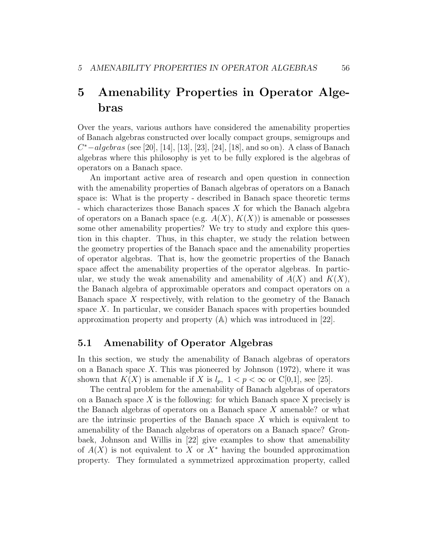# 5 Amenability Properties in Operator Algebras

Over the years, various authors have considered the amenability properties of Banach algebras constructed over locally compact groups, semigroups and  $C^*$  –algebras (see [20], [14], [13], [23], [24], [18], and so on). A class of Banach algebras where this philosophy is yet to be fully explored is the algebras of operators on a Banach space.

An important active area of research and open question in connection with the amenability properties of Banach algebras of operators on a Banach space is: What is the property - described in Banach space theoretic terms - which characterizes those Banach spaces X for which the Banach algebra of operators on a Banach space (e.g.  $A(X)$ ,  $K(X)$ ) is amenable or possesses some other amenability properties? We try to study and explore this question in this chapter. Thus, in this chapter, we study the relation between the geometry properties of the Banach space and the amenability properties of operator algebras. That is, how the geometric properties of the Banach space affect the amenability properties of the operator algebras. In particular, we study the weak amenability and amenability of  $A(X)$  and  $K(X)$ , the Banach algebra of approximable operators and compact operators on a Banach space  $X$  respectively, with relation to the geometry of the Banach space X. In particular, we consider Banach spaces with properties bounded approximation property and property (A) which was introduced in [22].

## 5.1 Amenability of Operator Algebras

In this section, we study the amenability of Banach algebras of operators on a Banach space X. This was pioneered by Johnson  $(1972)$ , where it was shown that  $K(X)$  is amenable if X is  $l_p$ ,  $1 < p < \infty$  or C[0,1], see [25].

The central problem for the amenability of Banach algebras of operators on a Banach space  $X$  is the following: for which Banach space  $X$  precisely is the Banach algebras of operators on a Banach space X amenable? or what are the intrinsic properties of the Banach space  $X$  which is equivalent to amenability of the Banach algebras of operators on a Banach space? Gronbaek, Johnson and Willis in [22] give examples to show that amenability of  $A(X)$  is not equivalent to X or  $X^*$  having the bounded approximation property. They formulated a symmetrized approximation property, called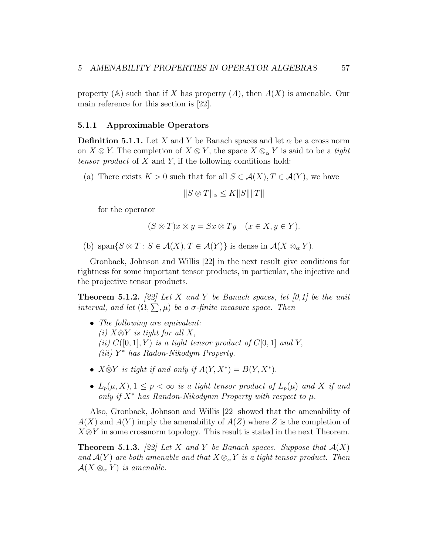property (A) such that if X has property  $(A)$ , then  $A(X)$  is amenable. Our main reference for this section is [22].

#### 5.1.1 Approximable Operators

**Definition 5.1.1.** Let X and Y be Banach spaces and let  $\alpha$  be a cross norm on  $X \otimes Y$ . The completion of  $X \otimes Y$ , the space  $X \otimes_{\alpha} Y$  is said to be a tight tensor product of  $X$  and  $Y$ , if the following conditions hold:

(a) There exists  $K > 0$  such that for all  $S \in \mathcal{A}(X), T \in \mathcal{A}(Y)$ , we have

$$
||S \otimes T||_{\alpha} \le K||S|| ||T||
$$

for the operator

$$
(S \otimes T)x \otimes y = Sx \otimes Ty \quad (x \in X, y \in Y).
$$

(b) span $\{S \otimes T : S \in \mathcal{A}(X), T \in \mathcal{A}(Y)\}\$ is dense in  $\mathcal{A}(X \otimes_{\alpha} Y)$ .

Gronbaek, Johnson and Willis [22] in the next result give conditions for tightness for some important tensor products, in particular, the injective and the projective tensor products.

**Theorem 5.1.2.** [22] Let X and Y be Banach spaces, let  $[0,1]$  be the unit interval, and let  $(\Omega, \sum, \mu)$  be a  $\sigma$ -finite measure space. Then

- The following are equivalent: (i)  $X\hat{\otimes} Y$  is tight for all X, (ii)  $C([0, 1], Y)$  is a tight tensor product of  $C[0, 1]$  and Y, (iii) Y <sup>∗</sup> has Radon-Nikodym Property.
- $X \hat{\otimes} Y$  is tight if and only if  $A(Y, X^*) = B(Y, X^*)$ .
- $L_p(\mu, X), 1 \leq p < \infty$  is a tight tensor product of  $L_p(\mu)$  and X if and only if  $X^*$  has Randon-Nikodynm Property with respect to  $\mu$ .

Also, Gronbaek, Johnson and Willis [22] showed that the amenability of  $A(X)$  and  $A(Y)$  imply the amenability of  $A(Z)$  where Z is the completion of  $X \otimes Y$  in some crossnorm topology. This result is stated in the next Theorem.

**Theorem 5.1.3.** [22] Let X and Y be Banach spaces. Suppose that  $\mathcal{A}(X)$ and  $\mathcal{A}(Y)$  are both amenable and that  $X \otimes_{\alpha} Y$  is a tight tensor product. Then  $\mathcal{A}(X \otimes_{\alpha} Y)$  is amenable.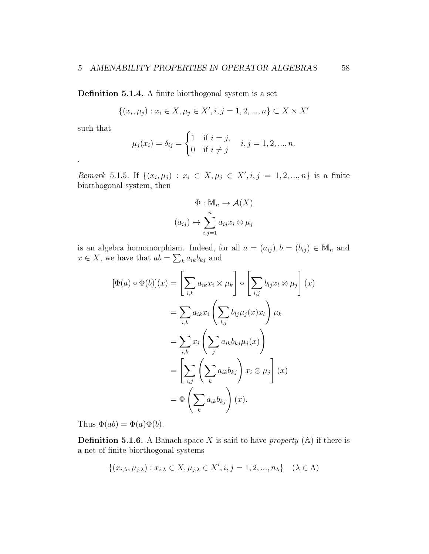Definition 5.1.4. A finite biorthogonal system is a set

$$
\{(x_i, \mu_j) : x_i \in X, \mu_j \in X', i, j = 1, 2, ..., n\} \subset X \times X'
$$

such that

.

$$
\mu_j(x_i) = \delta_{ij} = \begin{cases}\n1 & \text{if } i = j, \\
0 & \text{if } i \neq j\n\end{cases}
$$
,  $i, j = 1, 2, ..., n$ .

Remark 5.1.5. If  $\{(x_i, \mu_j) : x_i \in X, \mu_j \in X', i, j = 1, 2, ..., n\}$  is a finite biorthogonal system, then

$$
\Phi : \mathbb{M}_n \to \mathcal{A}(X)
$$

$$
(a_{ij}) \mapsto \sum_{i,j=1}^n a_{ij} x_i \otimes \mu_j
$$

is an algebra homomorphism. Indeed, for all  $a = (a_{ij}), b = (b_{ij}) \in \mathbb{M}_n$  and  $x \in X$ , we have that  $ab = \sum_k a_{ik} b_{kj}$  and

$$
[\Phi(a) \circ \Phi(b)](x) = \left[\sum_{i,k} a_{ik} x_i \otimes \mu_k\right] \circ \left[\sum_{l,j} b_{lj} x_l \otimes \mu_j\right](x)
$$
  

$$
= \sum_{i,k} a_{ik} x_i \left(\sum_{l,j} b_{lj} \mu_j(x) x_l\right) \mu_k
$$
  

$$
= \sum_{i,k} x_i \left(\sum_j a_{ik} b_{kj} \mu_j(x)\right)
$$
  

$$
= \left[\sum_{i,j} \left(\sum_k a_{ik} b_{kj}\right) x_i \otimes \mu_j\right](x)
$$
  

$$
= \Phi\left(\sum_k a_{ik} b_{kj}\right)(x).
$$

Thus  $\Phi(ab) = \Phi(a)\Phi(b)$ .

**Definition 5.1.6.** A Banach space X is said to have property  $(A)$  if there is a net of finite biorthogonal systems

$$
\{(x_{i,\lambda}, \mu_{j,\lambda}) : x_{i,\lambda} \in X, \mu_{j,\lambda} \in X', i, j = 1, 2, ..., n_{\lambda}\} \quad (\lambda \in \Lambda)
$$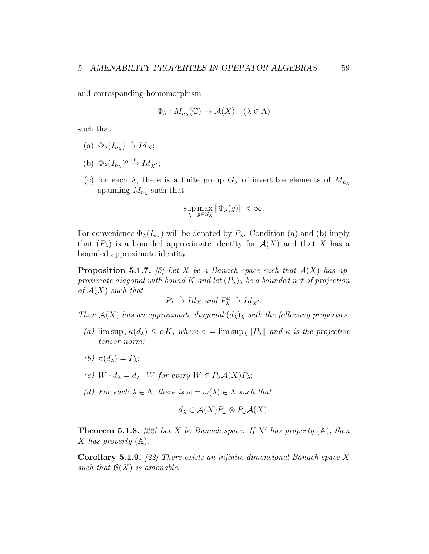and corresponding homomorphism

$$
\Phi_{\lambda}: M_{n_{\lambda}}(\mathbb{C}) \to \mathcal{A}(X) \quad (\lambda \in \Lambda)
$$

such that

- (a)  $\Phi_{\lambda}(I_{n_{\lambda}}) \stackrel{s}{\rightarrow} Id_X;$
- (b)  $\Phi_{\lambda}(I_{n_{\lambda}})^{a} \stackrel{s}{\rightarrow} Id_{X'};$
- (c) for each  $\lambda$ , there is a finite group  $G_{\lambda}$  of invertible elements of  $M_{n_{\lambda}}$ spanning  $M_{n_{\lambda}}$  such that

$$
\sup_{\lambda} \max_{g \in G_{\lambda}} \|\Phi_{\lambda}(g)\| < \infty.
$$

For convenience  $\Phi_{\lambda}(I_{n_{\lambda}})$  will be denoted by  $P_{\lambda}$ . Condition (a) and (b) imply that  $(P_\lambda)$  is a bounded approximate identity for  $\mathcal{A}(X)$  and that X has a bounded approximate identity.

**Proposition 5.1.7.** [5] Let X be a Banach space such that  $A(X)$  has approximate diagonal with bound K and let  $(P_{\lambda})_{\lambda}$  be a bounded net of projection of  $A(X)$  such that

$$
P_{\lambda} \stackrel{s}{\to} Id_X \text{ and } P_{\lambda}^a \stackrel{s}{\to} Id_{X'}.
$$

Then  $\mathcal{A}(X)$  has an approximate diagonal  $(d_{\lambda})_{\lambda}$  with the following properties:

- (a)  $\limsup_{\lambda} \kappa(d_{\lambda}) \leq \alpha K$ , where  $\alpha = \limsup_{\lambda} ||P_{\lambda}||$  and  $\kappa$  is the projective tensor norm;
- (b)  $\pi(d_{\lambda}) = P_{\lambda};$
- (c)  $W \cdot d_{\lambda} = d_{\lambda} \cdot W$  for every  $W \in P_{\lambda} \mathcal{A}(X) P_{\lambda}$ ;
- (d) For each  $\lambda \in \Lambda$ , there is  $\omega = \omega(\lambda) \in \Lambda$  such that

$$
d_{\lambda} \in \mathcal{A}(X)P_{\omega} \otimes P_{\omega} \mathcal{A}(X).
$$

**Theorem 5.1.8.** [22] Let X be Banach space. If X' has property  $(A)$ , then X has property  $(A)$ .

**Corollary 5.1.9.** [22] There exists an infinite-dimensional Banach space  $X$ such that  $\mathcal{B}(X)$  is amenable.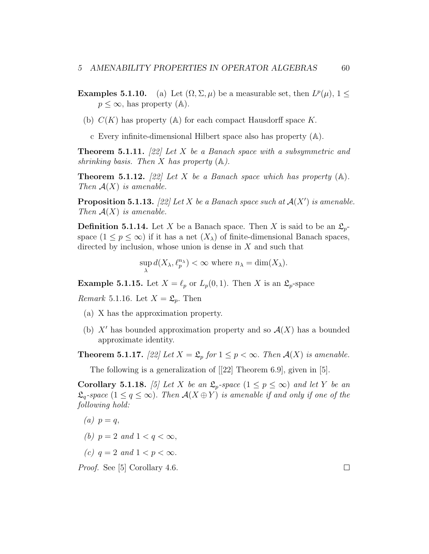**Examples 5.1.10.** (a) Let  $(\Omega, \Sigma, \mu)$  be a measurable set, then  $L^p(\mu)$ ,  $1 \leq$  $p \leq \infty$ , has property (A).

(b)  $C(K)$  has property (A) for each compact Hausdorff space K.

c Every infinite-dimensional Hilbert space also has property (A).

**Theorem 5.1.11.** [22] Let X be a Banach space with a subsymmetric and shrinking basis. Then  $X$  has property  $(A)$ .

**Theorem 5.1.12.** [22] Let X be a Banach space which has property  $(A)$ . Then  $A(X)$  is amenable.

**Proposition 5.1.13.** [22] Let X be a Banach space such at  $\mathcal{A}(X')$  is amenable. Then  $A(X)$  is amenable.

**Definition 5.1.14.** Let X be a Banach space. Then X is said to be an  $\mathfrak{L}_p$ space  $(1 \leq p \leq \infty)$  if it has a net  $(X_{\lambda})$  of finite-dimensional Banach spaces, directed by inclusion, whose union is dense in  $X$  and such that

> sup λ  $d(X_{\lambda}, \ell_p^{n_{\lambda}}) < \infty$  where  $n_{\lambda} = \dim(X_{\lambda}).$

**Example 5.1.15.** Let  $X = \ell_p$  or  $L_p(0, 1)$ . Then X is an  $\mathfrak{L}_p$ -space

*Remark* 5.1.16. Let  $X = \mathfrak{L}_p$ . Then

- (a) X has the approximation property.
- (b) X' has bounded approximation property and so  $\mathcal{A}(X)$  has a bounded approximate identity.

**Theorem 5.1.17.** [22] Let  $X = \mathfrak{L}_p$  for  $1 \leq p < \infty$ . Then  $\mathcal{A}(X)$  is amenable.

The following is a generalization of [[22] Theorem 6.9], given in [5].

**Corollary 5.1.18.** [5] Let X be an  $\mathfrak{L}_p$ -space  $(1 \leq p \leq \infty)$  and let Y be an  $\mathfrak{L}_q$ -space  $(1 \leq q \leq \infty)$ . Then  $\mathcal{A}(X \oplus Y)$  is amenable if and only if one of the following hold:

- $(a)$   $p = q$ ,
- (b)  $p = 2$  and  $1 < q < \infty$ ,

(c)  $q = 2$  and  $1 < p < \infty$ .

Proof. See [5] Corollary 4.6.

 $\Box$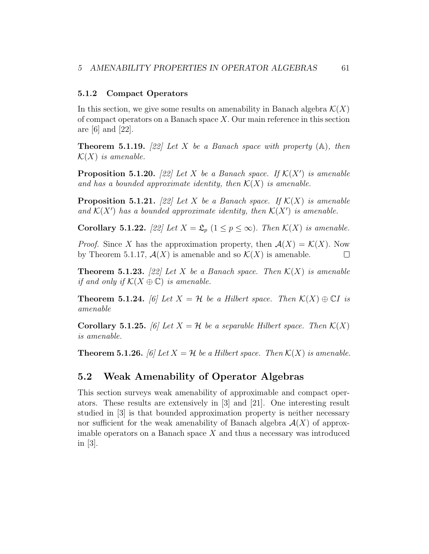#### 5.1.2 Compact Operators

In this section, we give some results on amenability in Banach algebra  $\mathcal{K}(X)$ of compact operators on a Banach space  $X$ . Our main reference in this section are  $|6|$  and  $|22|$ .

**Theorem 5.1.19.** [22] Let X be a Banach space with property  $(A)$ , then  $\mathcal{K}(X)$  is amenable.

**Proposition 5.1.20.** [22] Let X be a Banach space. If  $\mathcal{K}(X')$  is amenable and has a bounded approximate identity, then  $\mathcal{K}(X)$  is amenable.

**Proposition 5.1.21.** [22] Let X be a Banach space. If  $\mathcal{K}(X)$  is amenable and  $\mathcal{K}(X')$  has a bounded approximate identity, then  $\mathcal{K}(X')$  is amenable.

Corollary 5.1.22. [22] Let  $X = \mathfrak{L}_p$   $(1 \leq p \leq \infty)$ . Then  $\mathcal{K}(X)$  is amenable.

*Proof.* Since X has the approximation property, then  $\mathcal{A}(X) = \mathcal{K}(X)$ . Now by Theorem 5.1.17,  $\mathcal{A}(X)$  is amenable and so  $\mathcal{K}(X)$  is amenable.  $\Box$ 

**Theorem 5.1.23.** [22] Let X be a Banach space. Then  $\mathcal{K}(X)$  is amenable if and only if  $\mathcal{K}(X \oplus \mathbb{C})$  is amenable.

**Theorem 5.1.24.** [6] Let  $X = \mathcal{H}$  be a Hilbert space. Then  $\mathcal{K}(X) \oplus \mathbb{C}I$  is amenable

**Corollary 5.1.25.** [6] Let  $X = \mathcal{H}$  be a separable Hilbert space. Then  $\mathcal{K}(X)$ is amenable.

**Theorem 5.1.26.** [6] Let  $X = H$  be a Hilbert space. Then  $\mathcal{K}(X)$  is amenable.

## 5.2 Weak Amenability of Operator Algebras

This section surveys weak amenability of approximable and compact operators. These results are extensively in [3] and [21]. One interesting result studied in [3] is that bounded approximation property is neither necessary nor sufficient for the weak amenability of Banach algebra  $\mathcal{A}(X)$  of approximable operators on a Banach space  $X$  and thus a necessary was introduced in [3].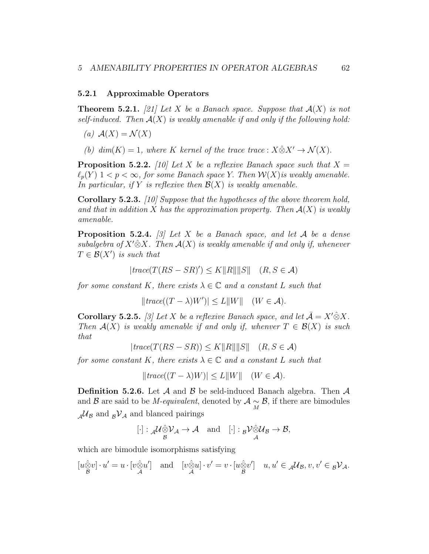#### 5.2.1 Approximable Operators

**Theorem 5.2.1.** [21] Let X be a Banach space. Suppose that  $\mathcal{A}(X)$  is not self-induced. Then  $A(X)$  is weakly amenable if and only if the following hold:

(a)  $\mathcal{A}(X) = \mathcal{N}(X)$ 

(b)  $dim(K) = 1$ , where K kernel of the trace trace :  $X \hat{\otimes} X' \to \mathcal{N}(X)$ .

**Proposition 5.2.2.** [10] Let X be a reflexive Banach space such that  $X =$  $\ell_p(Y)$  1 < p <  $\infty$ , for some Banach space Y. Then  $\mathcal{W}(X)$  is weakly amenable. In particular, if Y is reflexive then  $\mathcal{B}(X)$  is weakly amenable.

Corollary 5.2.3. [10] Suppose that the hypotheses of the above theorem hold, and that in addition X has the approximation property. Then  $A(X)$  is weakly amenable.

**Proposition 5.2.4.** [3] Let X be a Banach space, and let A be a dense subalgebra of  $X' \hat{\otimes} X$ . Then  $\mathcal{A}(X)$  is weakly amenable if and only if, whenever  $T \in \mathcal{B}(X')$  is such that

$$
|trace(T(RS - SR)' ) \le K ||R|| ||S|| \quad (R, S \in \mathcal{A})
$$

for some constant K, there exists  $\lambda \in \mathbb{C}$  and a constant L such that

$$
||\mathit{trace}((T - \lambda)W')| \le L||W|| \quad (W \in \mathcal{A}).
$$

**Corollary 5.2.5.** [3] Let X be a reflexive Banach space, and let  $\bar{\mathcal{A}} = X'\hat{\otimes}X$ . Then  $\mathcal{A}(X)$  is weakly amenable if and only if, whenver  $T \in \mathcal{B}(X)$  is such that

$$
|trace(T(RS - SR)) \le K||R|| ||S|| \quad (R, S \in \mathcal{A})
$$

for some constant K, there exists  $\lambda \in \mathbb{C}$  and a constant L such that

$$
||\operatorname{trace}((T - \lambda)W)| \le L||W|| \quad (W \in \mathcal{A}).
$$

**Definition 5.2.6.** Let  $A$  and  $B$  be seld-induced Banach algebra. Then  $A$ and B are said to be *M-equivalent*, denoted by  $\mathcal{A} \underset{M}{\sim} \mathcal{B}$ , if there are bimodules  $_{\mathcal{A}}\mathcal{U}_{\mathcal{B}}$  and  $_{\mathcal{B}}\mathcal{V}_{\mathcal{A}}$  and blanced pairings

$$
[\cdot]: {}_{\mathcal{A}}\mathcal{U} \hat{\otimes} \mathcal{V}_{\mathcal{A}} \to \mathcal{A} \text{ and } [\cdot]: {}_{\mathcal{B}}\mathcal{V} \hat{\otimes} \mathcal{U}_{\mathcal{B}} \to \mathcal{B},
$$

which are bimodule isomorphisms satisfying

$$
[u\hat{\otimes}_B v]\cdot u'=u\cdot [v\hat{\otimes}_\mathcal{A} u']\quad\text{and}\quad [v\hat{\otimes}_\mathcal{A} u]\cdot v'=v\cdot [u\hat{\otimes}_\mathcal{B} v']\quad u,u'\in {}_\mathcal{A}\mathcal{U}_\mathcal{B}, v,v'\in {}_\mathcal{B}\mathcal{V}_\mathcal{A}.
$$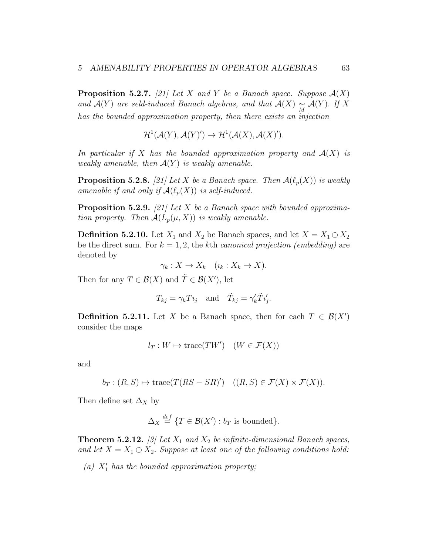**Proposition 5.2.7.** [21] Let X and Y be a Banach space. Suppose  $\mathcal{A}(X)$ and  $\mathcal{A}(Y)$  are seld-induced Banach algebras, and that  $\mathcal{A}(X) \underset{M}{\sim} \mathcal{A}(Y)$ . If X has the bounded approximation property, then there exists an injection

 $\mathcal{H}^1(\mathcal{A}(Y), \mathcal{A}(Y)') \to \mathcal{H}^1(\mathcal{A}(X), \mathcal{A}(X)').$ 

In particular if X has the bounded approximation property and  $A(X)$  is weakly amenable, then  $A(Y)$  is weakly amenable.

**Proposition 5.2.8.** [21] Let X be a Banach space. Then  $\mathcal{A}(\ell_p(X))$  is weakly amenable if and only if  $A(\ell_p(X))$  is self-induced.

**Proposition 5.2.9.** [21] Let X be a Banach space with bounded approximation property. Then  $A(L_p(\mu, X))$  is weakly amenable.

**Definition 5.2.10.** Let  $X_1$  and  $X_2$  be Banach spaces, and let  $X = X_1 \oplus X_2$ be the direct sum. For  $k = 1, 2$ , the kth *canonical projection (embedding)* are denoted by

$$
\gamma_k: X \to X_k \quad (i_k: X_k \to X).
$$

Then for any  $T \in \mathcal{B}(X)$  and  $\tilde{T} \in \mathcal{B}(X')$ , let

$$
T_{kj} = \gamma_k T i_j \quad \text{and} \quad \tilde{T}_{kj} = \gamma_k' \tilde{T} i_j'.
$$

**Definition 5.2.11.** Let X be a Banach space, then for each  $T \in \mathcal{B}(X)$ consider the maps

$$
l_T: W \mapsto \text{trace}(TW') \quad (W \in \mathcal{F}(X))
$$

and

$$
b_T : (R, S) \mapsto \text{trace}(T(RS - SR)^{\prime}) \quad ((R, S) \in \mathcal{F}(X) \times \mathcal{F}(X)).
$$

Then define set  $\Delta_X$  by

$$
\Delta_X \stackrel{def}{=} \{T \in \mathcal{B}(X') : b_T \text{ is bounded}\}.
$$

**Theorem 5.2.12.** [3] Let  $X_1$  and  $X_2$  be infinite-dimensional Banach spaces, and let  $X = X_1 \oplus X_2$ . Suppose at least one of the following conditions hold:

(a)  $X'_1$  has the bounded approximation property;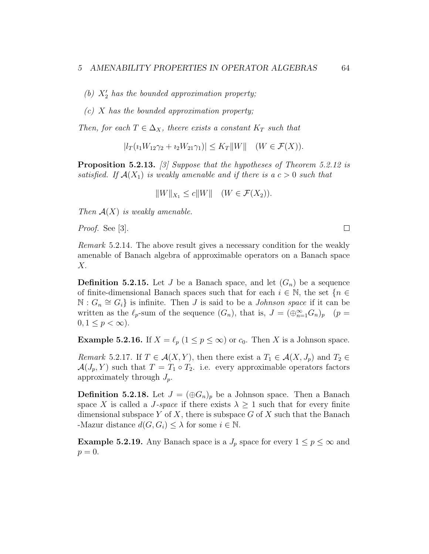- (b)  $X_2'$  has the bounded approximation property;
- $(c)$  X has the bounded approximation property;

Then, for each  $T \in \Delta_X$ , theere exists a constant  $K_T$  such that

$$
|l_T(i_1W_{12}\gamma_2 + i_2W_{21}\gamma_1)| \le K_T ||W|| \quad (W \in \mathcal{F}(X)).
$$

**Proposition 5.2.13.** [3] Suppose that the hypotheses of Theorem 5.2.12 is satisfied. If  $A(X_1)$  is weakly amenable and if there is a  $c > 0$  such that

$$
||W||_{X_1} \le c||W|| \quad (W \in \mathcal{F}(X_2)).
$$

Then  $A(X)$  is weakly amenable.

Proof. See [3].

Remark 5.2.14. The above result gives a necessary condition for the weakly amenable of Banach algebra of approximable operators on a Banach space X.

**Definition 5.2.15.** Let J be a Banach space, and let  $(G_n)$  be a sequence of finite-dimensional Banach spaces such that for each  $i \in \mathbb{N}$ , the set  $\{n \in \mathbb{N}\}$  $\mathbb{N}: G_n \cong G_i$  is infinite. Then *J* is said to be a *Johnson space* if it can be written as the  $\ell_p$ -sum of the sequence  $(G_n)$ , that is,  $J = (\bigoplus_{n=1}^{\infty} G_n)_p$   $(p =$  $0, 1 \leq p < \infty$ ).

**Example 5.2.16.** If  $X = \ell_p (1 \le p \le \infty)$  or  $c_0$ . Then X is a Johnson space.

*Remark* 5.2.17. If  $T \in \mathcal{A}(X, Y)$ , then there exist a  $T_1 \in \mathcal{A}(X, J_p)$  and  $T_2 \in$  $\mathcal{A}(J_p, Y)$  such that  $T = T_1 \circ T_2$ . i.e. every approximable operators factors approximately through  $J_p$ .

**Definition 5.2.18.** Let  $J = (\bigoplus G_n)_p$  be a Johnson space. Then a Banach space X is called a J-space if there exists  $\lambda \geq 1$  such that for every finite dimensional subspace Y of X, there is subspace G of X such that the Banach -Mazur distance  $d(G, G_i) \leq \lambda$  for some  $i \in \mathbb{N}$ .

**Example 5.2.19.** Any Banach space is a  $J_p$  space for every  $1 \leq p \leq \infty$  and  $p=0.$ 

 $\Box$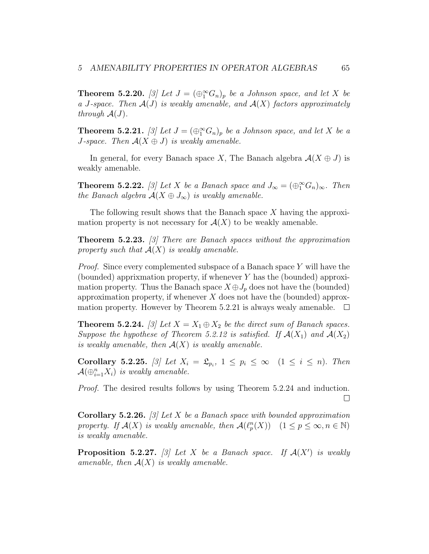**Theorem 5.2.20.** [3] Let  $J = (\bigoplus_{i=1}^{\infty} G_n)_p$  be a Johnson space, and let X be a J-space. Then  $A(J)$  is weakly amenable, and  $A(X)$  factors approximately through  $A(J)$ .

**Theorem 5.2.21.** [3] Let  $J = (\bigoplus_{1}^{\infty} G_n)_p$  be a Johnson space, and let X be a *J*-space. Then  $A(X \oplus J)$  is weakly amenable.

In general, for every Banach space X, The Banach algebra  $\mathcal{A}(X \oplus J)$  is weakly amenable.

**Theorem 5.2.22.** [3] Let X be a Banach space and  $J_{\infty} = (\bigoplus_{1}^{\infty} G_n)_{\infty}$ . Then the Banach algebra  $\mathcal{A}(X \oplus J_{\infty})$  is weakly amenable.

The following result shows that the Banach space  $X$  having the approximation property is not necessary for  $\mathcal{A}(X)$  to be weakly amenable.

**Theorem 5.2.23.** [3] There are Banach spaces without the approximation property such that  $A(X)$  is weakly amenable.

Proof. Since every complemented subspace of a Banach space Y will have the (bounded) apprixmation property, if whenever Y has the (bounded) approximation property. Thus the Banach space  $X \oplus J_p$  does not have the (bounded) approximation property, if whenever  $X$  does not have the (bounded) approxmation property. However by Theorem 5.2.21 is always wealy amenable.  $\Box$ 

**Theorem 5.2.24.** [3] Let  $X = X_1 \oplus X_2$  be the direct sum of Banach spaces. Suppose the hypothese of Theorem 5.2.12 is satisfied. If  $\mathcal{A}(X_1)$  and  $\mathcal{A}(X_2)$ is weakly amenable, then  $A(X)$  is weakly amenable.

Corollary 5.2.25. [3] Let  $X_i = \mathfrak{L}_{p_i}$ ,  $1 \leq p_i \leq \infty$   $(1 \leq i \leq n)$ . Then  $\mathcal{A}(\bigoplus_{i=1}^n X_i)$  is weakly amenable.

Proof. The desired results follows by using Theorem 5.2.24 and induction.  $\Box$ 

**Corollary 5.2.26.** [3] Let X be a Banach space with bounded approximation property. If  $\mathcal{A}(X)$  is weakly amenable, then  $\mathcal{A}(\ell_p^n(X))$   $(1 \leq p \leq \infty, n \in \mathbb{N})$ is weakly amenable.

**Proposition 5.2.27.** [3] Let X be a Banach space. If  $\mathcal{A}(X')$  is weakly amenable, then  $A(X)$  is weakly amenable.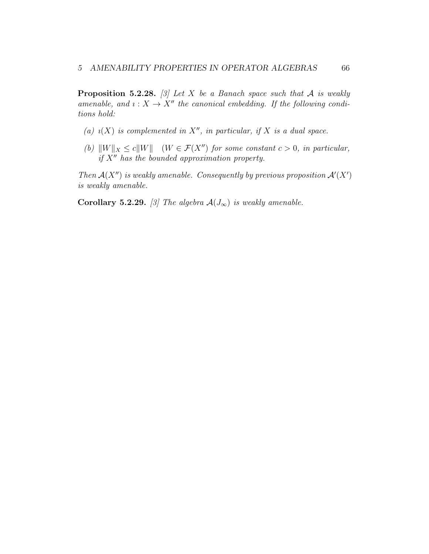**Proposition 5.2.28.** [3] Let X be a Banach space such that A is weakly amenable, and  $\iota: X \to X''$  the canonical embedding. If the following conditions hold:

- (a)  $\iota(X)$  is complemented in  $X''$ , in particular, if X is a dual space.
- (b)  $||W||_X \le c||W||$  (W  $\in \mathcal{F}(X'')$  for some constant  $c > 0$ , in particular, if  $X''$  has the bounded approximation property.

Then  $\mathcal{A}(X'')$  is weakly amenable. Consequently by previous proposition  $\mathcal{A}'(X')$ is weakly amenable.

Corollary 5.2.29. [3] The algebra  $\mathcal{A}(J_{\infty})$  is weakly amenable.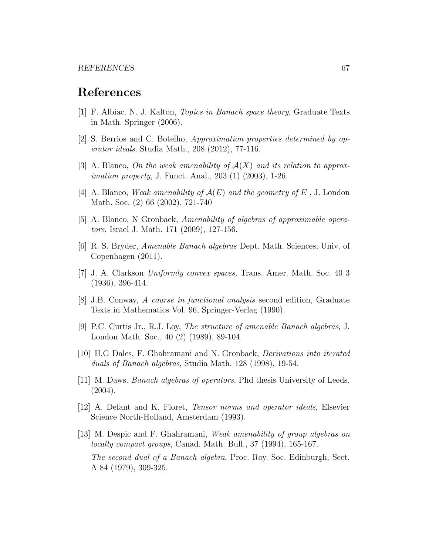## References

- [1] F. Albiac. N. J. Kalton, Topics in Banach space theory, Graduate Texts in Math. Springer (2006).
- [2] S. Berrios and C. Botelho, Approximation properties determined by operator ideals, Studia Math., 208 (2012), 77-116.
- [3] A. Blanco, On the weak amenability of  $A(X)$  and its relation to approximation property, J. Funct. Anal., 203 (1) (2003), 1-26.
- [4] A. Blanco, Weak amenability of  $\mathcal{A}(E)$  and the geometry of E, J. London Math. Soc. (2) 66 (2002), 721-740
- [5] A. Blanco, N Gronbaek, Amenability of algebras of approximable operators, Israel J. Math. 171 (2009), 127-156.
- [6] R. S. Bryder, Amenable Banach algebras Dept. Math. Sciences, Univ. of Copenhagen (2011).
- [7] J. A. Clarkson Uniformly convex spaces, Trans. Amer. Math. Soc. 40 3 (1936), 396-414.
- [8] J.B. Conway, A course in functional analysis second edition, Graduate Texts in Mathematics Vol. 96, Springer-Verlag (1990).
- [9] P.C. Curtis Jr., R.J. Loy, The structure of amenable Banach algebras, J. London Math. Soc., 40 (2) (1989), 89-104.
- [10] H.G Dales, F. Ghahramani and N. Gronbaek, Derivations into iterated duals of Banach algebras, Studia Math. 128 (1998), 19-54.
- [11] M. Daws. Banach algebras of operators, Phd thesis University of Leeds,  $(2004).$
- [12] A. Defant and K. Floret, Tensor norms and operator ideals, Elsevier Science North-Holland, Amsterdam (1993).
- [13] M. Despic and F. Ghahramani, Weak amenability of group algebras on locally compact groups, Canad. Math. Bull., 37 (1994), 165-167. The second dual of a Banach algebra, Proc. Roy. Soc. Edinburgh, Sect. A 84 (1979), 309-325.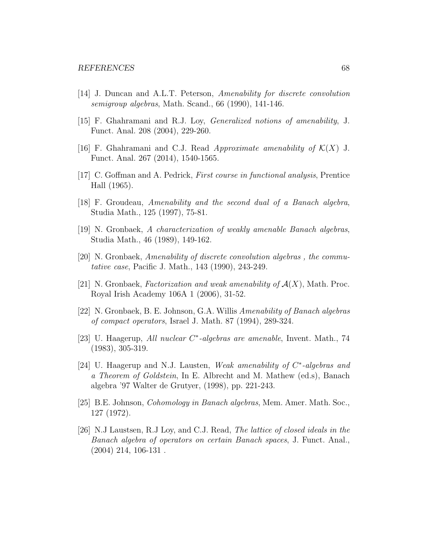- [14] J. Duncan and A.L.T. Peterson, Amenability for discrete convolution semigroup algebras, Math. Scand., 66 (1990), 141-146.
- [15] F. Ghahramani and R.J. Loy, Generalized notions of amenability, J. Funct. Anal. 208 (2004), 229-260.
- [16] F. Ghahramani and C.J. Read *Approximate amenability of*  $\mathcal{K}(X)$  J. Funct. Anal. 267 (2014), 1540-1565.
- [17] C. Goffman and A. Pedrick, First course in functional analysis, Prentice Hall (1965).
- [18] F. Groudeau, Amenability and the second dual of a Banach algebra, Studia Math., 125 (1997), 75-81.
- [19] N. Gronbaek, A characterization of weakly amenable Banach algebras, Studia Math., 46 (1989), 149-162.
- [20] N. Gronbaek, Amenability of discrete convolution algebras , the commutative case, Pacific J. Math., 143 (1990), 243-249.
- [21] N. Gronbaek, Factorization and weak amenability of  $\mathcal{A}(X)$ , Math. Proc. Royal Irish Academy 106A 1 (2006), 31-52.
- [22] N. Gronbaek, B. E. Johnson, G.A. Willis Amenability of Banach algebras of compact operators, Israel J. Math. 87 (1994), 289-324.
- [23] U. Haagerup, All nuclear C<sup>\*</sup>-algebras are amenable, Invent. Math., 74 (1983), 305-319.
- [24] U. Haagerup and N.J. Lausten, Weak amenability of  $C^*$ -algebras and a Theorem of Goldstein, In E. Albrecht and M. Mathew (ed.s), Banach algebra '97 Walter de Grutyer, (1998), pp. 221-243.
- [25] B.E. Johnson, Cohomology in Banach algebras, Mem. Amer. Math. Soc., 127 (1972).
- [26] N.J Laustsen, R.J Loy, and C.J. Read, The lattice of closed ideals in the Banach algebra of operators on certain Banach spaces, J. Funct. Anal., (2004) 214, 106-131 .